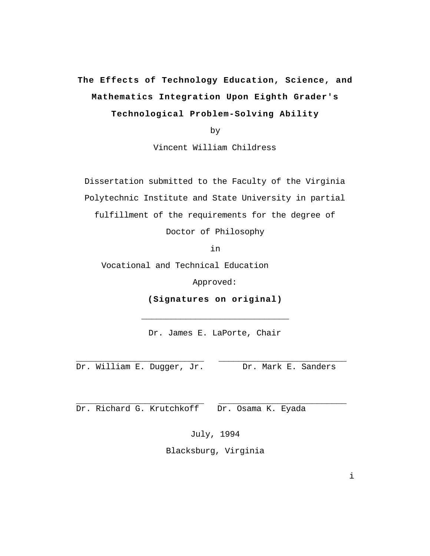# **The Effects of Technology Education, Science, and Mathematics Integration Upon Eighth Grader's Technological Problem-Solving Ability**

by

Vincent William Childress

Dissertation submitted to the Faculty of the Virginia Polytechnic Institute and State University in partial fulfillment of the requirements for the degree of

Doctor of Philosophy

in

Vocational and Technical Education

Approved:

**(Signatures on original)**

 $\overline{\phantom{a}}$  , where  $\overline{\phantom{a}}$  , where  $\overline{\phantom{a}}$  , where  $\overline{\phantom{a}}$  ,  $\overline{\phantom{a}}$  ,  $\overline{\phantom{a}}$  ,  $\overline{\phantom{a}}$  ,  $\overline{\phantom{a}}$  ,  $\overline{\phantom{a}}$  ,  $\overline{\phantom{a}}$  ,  $\overline{\phantom{a}}$  ,  $\overline{\phantom{a}}$  ,  $\overline{\phantom{a}}$  ,  $\overline{\phantom{a}}$  ,  $\overline{\phantom$ 

Dr. James E. LaPorte, Chair

 $\_$ 

 $\_$ 

Dr. William E. Dugger, Jr. Dr. Mark E. Sanders

Dr. Richard G. Krutchkoff Dr. Osama K. Eyada

July, 1994

Blacksburg, Virginia

i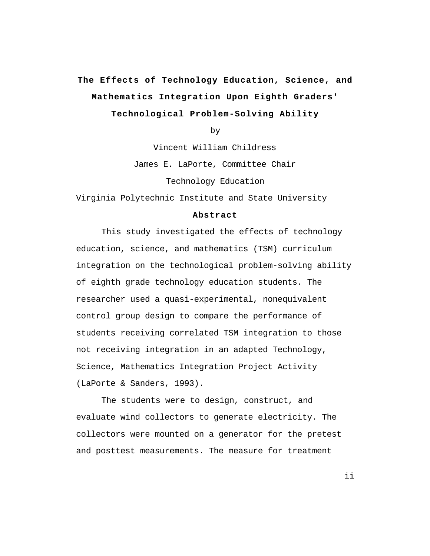# **The Effects of Technology Education, Science, and Mathematics Integration Upon Eighth Graders' Technological Problem-Solving Ability**

by

Vincent William Childress James E. LaPorte, Committee Chair Technology Education

Virginia Polytechnic Institute and State University

#### **Abstract**

This study investigated the effects of technology education, science, and mathematics (TSM) curriculum integration on the technological problem-solving ability of eighth grade technology education students. The researcher used a quasi-experimental, nonequivalent control group design to compare the performance of students receiving correlated TSM integration to those not receiving integration in an adapted Technology, Science, Mathematics Integration Project Activity (LaPorte & Sanders, 1993).

The students were to design, construct, and evaluate wind collectors to generate electricity. The collectors were mounted on a generator for the pretest and posttest measurements. The measure for treatment

ii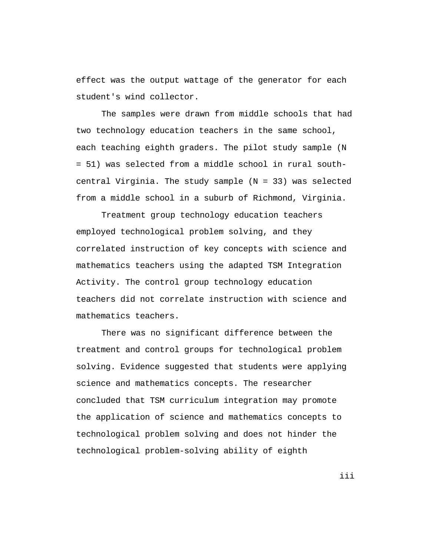effect was the output wattage of the generator for each student's wind collector.

The samples were drawn from middle schools that had two technology education teachers in the same school, each teaching eighth graders. The pilot study sample (N = 51) was selected from a middle school in rural southcentral Virginia. The study sample  $(N = 33)$  was selected from a middle school in a suburb of Richmond, Virginia.

Treatment group technology education teachers employed technological problem solving, and they correlated instruction of key concepts with science and mathematics teachers using the adapted TSM Integration Activity. The control group technology education teachers did not correlate instruction with science and mathematics teachers.

There was no significant difference between the treatment and control groups for technological problem solving. Evidence suggested that students were applying science and mathematics concepts. The researcher concluded that TSM curriculum integration may promote the application of science and mathematics concepts to technological problem solving and does not hinder the technological problem-solving ability of eighth

iii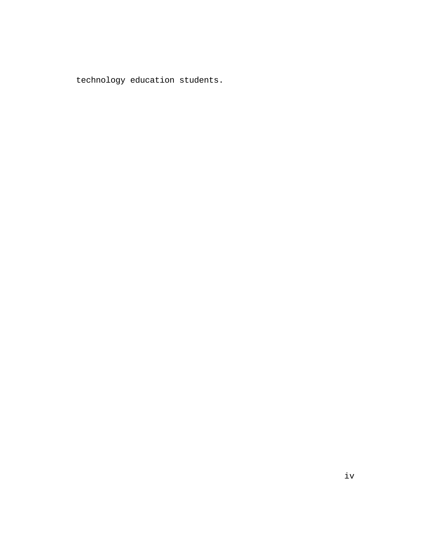technology education students.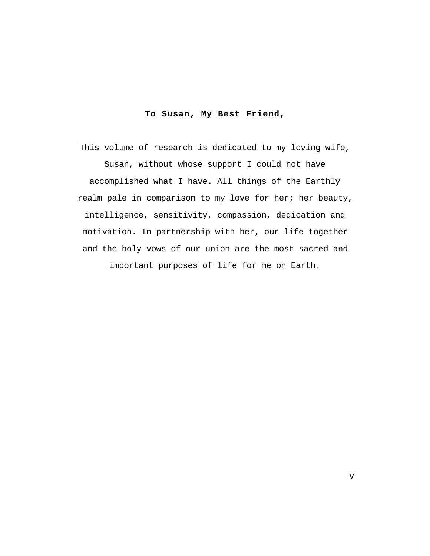# **To Susan, My Best Friend,**

This volume of research is dedicated to my loving wife, Susan, without whose support I could not have accomplished what I have. All things of the Earthly realm pale in comparison to my love for her; her beauty, intelligence, sensitivity, compassion, dedication and motivation. In partnership with her, our life together and the holy vows of our union are the most sacred and important purposes of life for me on Earth.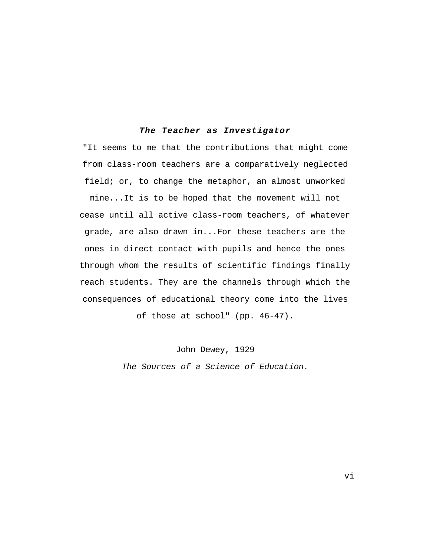## **The Teacher as Investigator**

"It seems to me that the contributions that might come from class-room teachers are a comparatively neglected field; or, to change the metaphor, an almost unworked mine...It is to be hoped that the movement will not cease until all active class-room teachers, of whatever grade, are also drawn in...For these teachers are the ones in direct contact with pupils and hence the ones through whom the results of scientific findings finally reach students. They are the channels through which the consequences of educational theory come into the lives of those at school" (pp. 46-47).

> John Dewey, 1929 The Sources of a Science of Education.

> > vi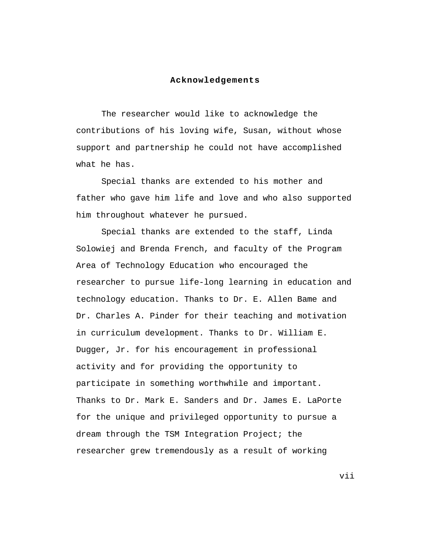#### **Acknowledgements**

The researcher would like to acknowledge the contributions of his loving wife, Susan, without whose support and partnership he could not have accomplished what he has.

Special thanks are extended to his mother and father who gave him life and love and who also supported him throughout whatever he pursued.

Special thanks are extended to the staff, Linda Solowiej and Brenda French, and faculty of the Program Area of Technology Education who encouraged the researcher to pursue life-long learning in education and technology education. Thanks to Dr. E. Allen Bame and Dr. Charles A. Pinder for their teaching and motivation in curriculum development. Thanks to Dr. William E. Dugger, Jr. for his encouragement in professional activity and for providing the opportunity to participate in something worthwhile and important. Thanks to Dr. Mark E. Sanders and Dr. James E. LaPorte for the unique and privileged opportunity to pursue a dream through the TSM Integration Project; the researcher grew tremendously as a result of working

vii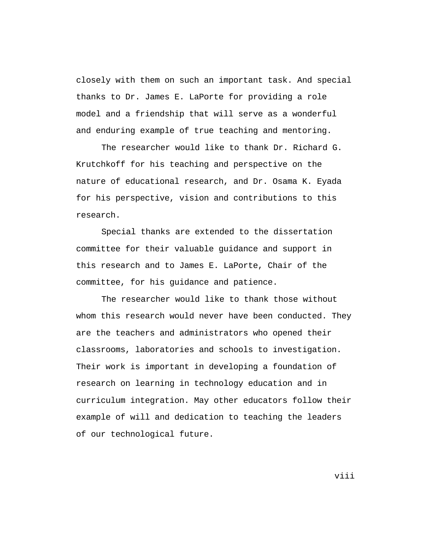closely with them on such an important task. And special thanks to Dr. James E. LaPorte for providing a role model and a friendship that will serve as a wonderful and enduring example of true teaching and mentoring.

The researcher would like to thank Dr. Richard G. Krutchkoff for his teaching and perspective on the nature of educational research, and Dr. Osama K. Eyada for his perspective, vision and contributions to this research.

Special thanks are extended to the dissertation committee for their valuable guidance and support in this research and to James E. LaPorte, Chair of the committee, for his guidance and patience.

The researcher would like to thank those without whom this research would never have been conducted. They are the teachers and administrators who opened their classrooms, laboratories and schools to investigation. Their work is important in developing a foundation of research on learning in technology education and in curriculum integration. May other educators follow their example of will and dedication to teaching the leaders of our technological future.

viii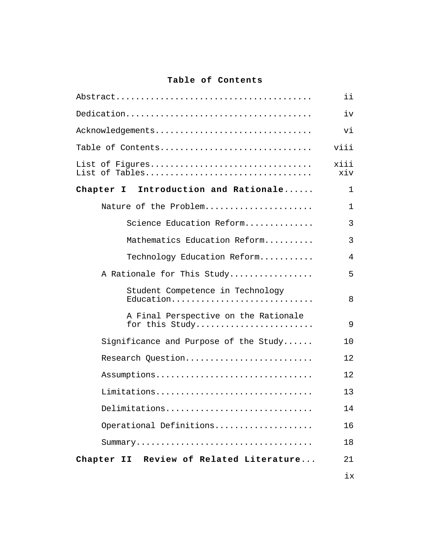# **Table of Contents**

|                                                        | ii           |
|--------------------------------------------------------|--------------|
|                                                        | iv           |
| Acknowledgements                                       | vi           |
| Table of Contents                                      | viii         |
| List of Figures<br>List of Tables                      | xiii<br>xiv  |
| Chapter I<br>Introduction and Rationale                | $\mathbf{1}$ |
| Nature of the Problem                                  | $\mathbf{1}$ |
| Science Education Reform                               | 3            |
| Mathematics Education Reform                           | 3            |
| Technology Education Reform                            | 4            |
| A Rationale for This Study                             | 5            |
| Student Competence in Technology<br>Education          | 8            |
| A Final Perspective on the Rationale<br>for this Study | 9            |
| Significance and Purpose of the Study                  | 10           |
| Research Question                                      | 12           |
| Assumptions                                            | 12           |
| Limitations                                            | 13           |
| Delimitations                                          | 14           |
| Operational Definitions                                | 16           |
|                                                        | 18           |
| Chapter II Review of Related Literature                | 21           |
|                                                        | ix           |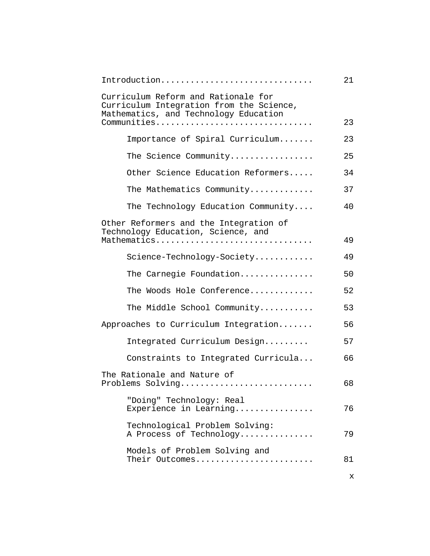| Introduction                                                                                                                            | 21 |
|-----------------------------------------------------------------------------------------------------------------------------------------|----|
| Curriculum Reform and Rationale for<br>Curriculum Integration from the Science,<br>Mathematics, and Technology Education<br>Communities | 23 |
| Importance of Spiral Curriculum                                                                                                         | 23 |
|                                                                                                                                         |    |
| The Science Community                                                                                                                   | 25 |
| Other Science Education Reformers                                                                                                       | 34 |
| The Mathematics Community                                                                                                               | 37 |
| The Technology Education Community                                                                                                      | 40 |
| Other Reformers and the Integration of<br>Technology Education, Science, and                                                            |    |
| Mathematics                                                                                                                             | 49 |
| Science-Technology-Society                                                                                                              | 49 |
| The Carnegie Foundation                                                                                                                 | 50 |
| The Woods Hole Conference                                                                                                               | 52 |
| The Middle School Community                                                                                                             | 53 |
| Approaches to Curriculum Integration                                                                                                    | 56 |
| Integrated Curriculum Design                                                                                                            | 57 |
| Constraints to Integrated Curricula                                                                                                     | 66 |
| The Rationale and Nature of<br>Problems Solving                                                                                         | 68 |
| "Doing" Technology: Real<br>Experience in Learning                                                                                      | 76 |
| Technological Problem Solving:<br>A Process of Technology                                                                               | 79 |
| Models of Problem Solving and<br>Their Outcomes                                                                                         | 81 |
|                                                                                                                                         | х  |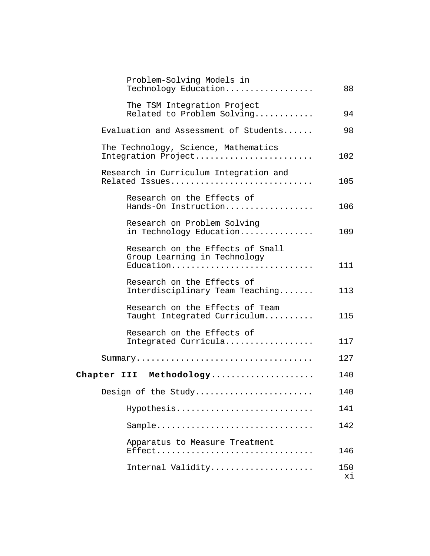| Problem-Solving Models in<br>Technology Education                             | 88        |
|-------------------------------------------------------------------------------|-----------|
| The TSM Integration Project<br>Related to Problem Solving                     | 94        |
| Evaluation and Assessment of Students                                         | 98        |
| The Technology, Science, Mathematics<br>Integration Project                   | 102       |
| Research in Curriculum Integration and<br>Related Issues                      | 105       |
| Research on the Effects of<br>Hands-On Instruction                            | 106       |
| Research on Problem Solving<br>in Technology Education                        | 109       |
| Research on the Effects of Small<br>Group Learning in Technology<br>Education | 111       |
| Research on the Effects of<br>Interdisciplinary Team Teaching                 | 113       |
| Research on the Effects of Team<br>Taught Integrated Curriculum               | 115       |
| Research on the Effects of<br>Integrated Curricula                            | 117       |
|                                                                               | 127       |
| Chapter III Methodology                                                       | 140       |
| Design of the Study                                                           | 140       |
| Hypothesis                                                                    | 141       |
| Sample                                                                        | 142       |
| Apparatus to Measure Treatment<br>Effect                                      | 146       |
| Internal Validity                                                             | 150<br>хi |
|                                                                               |           |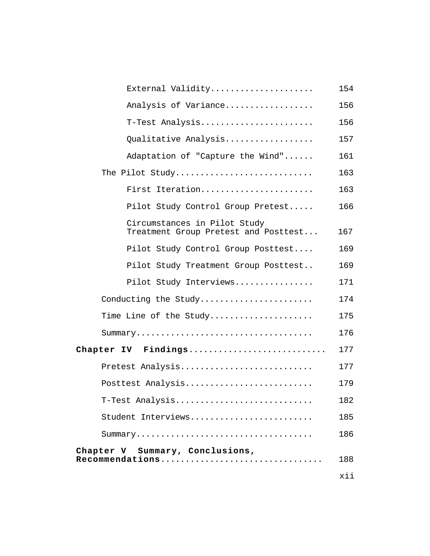| External Validity                                                    | 154 |
|----------------------------------------------------------------------|-----|
| Analysis of Variance                                                 | 156 |
| T-Test Analysis                                                      | 156 |
| Qualitative Analysis                                                 | 157 |
| Adaptation of "Capture the Wind"                                     | 161 |
| The Pilot Study                                                      | 163 |
| First Iteration                                                      | 163 |
| Pilot Study Control Group Pretest                                    | 166 |
| Circumstances in Pilot Study<br>Treatment Group Pretest and Posttest | 167 |
| Pilot Study Control Group Posttest                                   | 169 |
| Pilot Study Treatment Group Posttest                                 | 169 |
| Pilot Study Interviews                                               | 171 |
| Conducting the Study                                                 | 174 |
| Time Line of the Study                                               | 175 |
|                                                                      | 176 |
| Chapter IV Findings                                                  | 177 |
| Pretest Analysis                                                     | 177 |
| Posttest Analysis                                                    | 179 |
| T-Test Analysis                                                      | 182 |
| Student Interviews                                                   | 185 |
|                                                                      | 186 |
| Chapter V Summary, Conclusions,<br>$\verb"Recommandations$           | 188 |
|                                                                      | xii |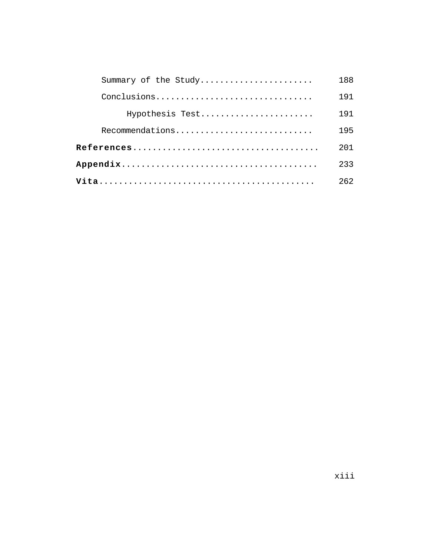| Summary of the Study | 188 |
|----------------------|-----|
| Conclusions          | 191 |
| Hypothesis Test      | 191 |
| Recommendations      | 195 |
|                      | 201 |
|                      | 233 |
|                      | 262 |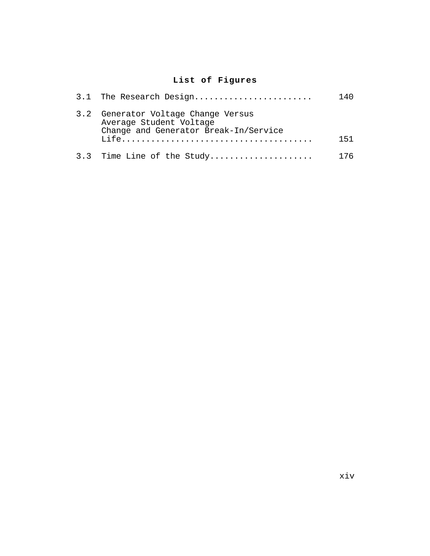# **List of Figures**

| 3.1 The Research Design                                                                                 | 140 |
|---------------------------------------------------------------------------------------------------------|-----|
| 3.2 Generator Voltage Change Versus<br>Average Student Voltage<br>Change and Generator Break-In/Service | 151 |
| 3.3 Time Line of the Study                                                                              | 176 |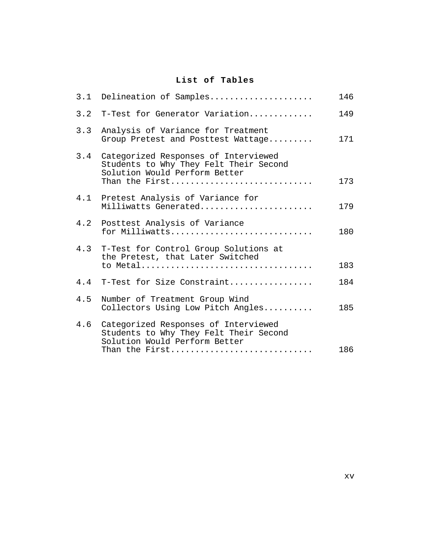# **List of Tables**

| 3.2 T-Test for Generator Variation<br>3.3<br>Analysis of Variance for Treatment<br>Group Pretest and Posttest Wattage<br>3.4<br>Categorized Responses of Interviewed<br>Students to Why They Felt Their Second<br>Solution Would Perform Better<br>Than the First<br>4.1 Pretest Analysis of Variance for<br>Milliwatts Generated<br>4.2<br>Posttest Analysis of Variance<br>for Milliwatts<br>4.3 T-Test for Control Group Solutions at<br>the Pretest, that Later Switched<br>to Metal<br>4.4 T-Test for Size Constraint | 146 |
|----------------------------------------------------------------------------------------------------------------------------------------------------------------------------------------------------------------------------------------------------------------------------------------------------------------------------------------------------------------------------------------------------------------------------------------------------------------------------------------------------------------------------|-----|
|                                                                                                                                                                                                                                                                                                                                                                                                                                                                                                                            | 149 |
|                                                                                                                                                                                                                                                                                                                                                                                                                                                                                                                            | 171 |
|                                                                                                                                                                                                                                                                                                                                                                                                                                                                                                                            | 173 |
|                                                                                                                                                                                                                                                                                                                                                                                                                                                                                                                            | 179 |
|                                                                                                                                                                                                                                                                                                                                                                                                                                                                                                                            | 180 |
|                                                                                                                                                                                                                                                                                                                                                                                                                                                                                                                            | 183 |
|                                                                                                                                                                                                                                                                                                                                                                                                                                                                                                                            | 184 |
| 4.5<br>Number of Treatment Group Wind<br>Collectors Using Low Pitch Angles                                                                                                                                                                                                                                                                                                                                                                                                                                                 | 185 |
| 4.6<br>Categorized Responses of Interviewed<br>Students to Why They Felt Their Second<br>Solution Would Perform Better<br>Than the First                                                                                                                                                                                                                                                                                                                                                                                   | 186 |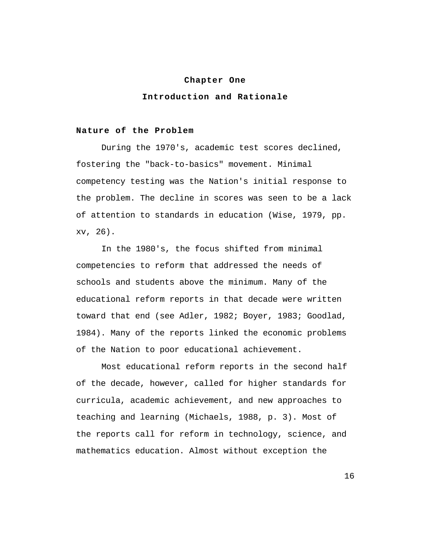#### **Chapter One**

# **Introduction and Rationale**

#### **Nature of the Problem**

During the 1970's, academic test scores declined, fostering the "back-to-basics" movement. Minimal competency testing was the Nation's initial response to the problem. The decline in scores was seen to be a lack of attention to standards in education (Wise, 1979, pp. xv, 26).

In the 1980's, the focus shifted from minimal competencies to reform that addressed the needs of schools and students above the minimum. Many of the educational reform reports in that decade were written toward that end (see Adler, 1982; Boyer, 1983; Goodlad, 1984). Many of the reports linked the economic problems of the Nation to poor educational achievement.

Most educational reform reports in the second half of the decade, however, called for higher standards for curricula, academic achievement, and new approaches to teaching and learning (Michaels, 1988, p. 3). Most of the reports call for reform in technology, science, and mathematics education. Almost without exception the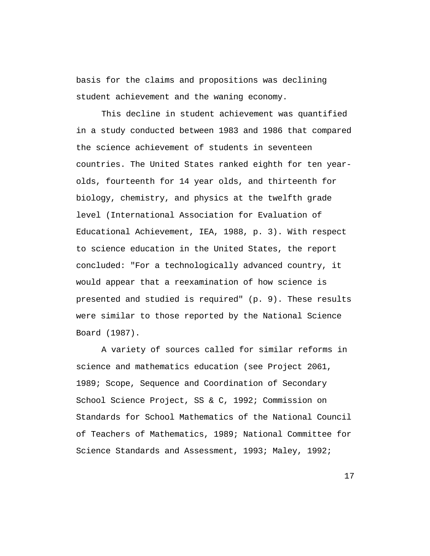basis for the claims and propositions was declining student achievement and the waning economy.

This decline in student achievement was quantified in a study conducted between 1983 and 1986 that compared the science achievement of students in seventeen countries. The United States ranked eighth for ten yearolds, fourteenth for 14 year olds, and thirteenth for biology, chemistry, and physics at the twelfth grade level (International Association for Evaluation of Educational Achievement, IEA, 1988, p. 3). With respect to science education in the United States, the report concluded: "For a technologically advanced country, it would appear that a reexamination of how science is presented and studied is required" (p. 9). These results were similar to those reported by the National Science Board (1987).

A variety of sources called for similar reforms in science and mathematics education (see Project 2061, 1989; Scope, Sequence and Coordination of Secondary School Science Project, SS & C, 1992; Commission on Standards for School Mathematics of the National Council of Teachers of Mathematics, 1989; National Committee for Science Standards and Assessment, 1993; Maley, 1992;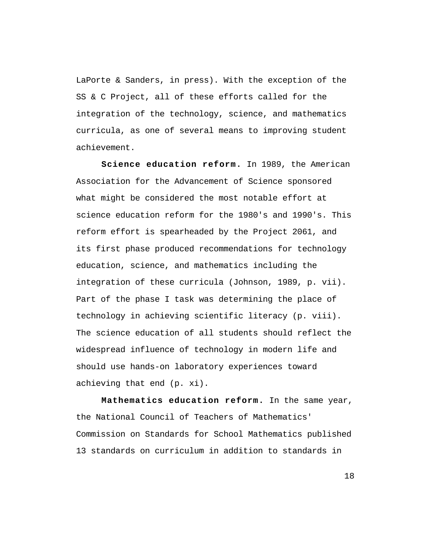LaPorte & Sanders, in press). With the exception of the SS & C Project, all of these efforts called for the integration of the technology, science, and mathematics curricula, as one of several means to improving student achievement.

**Science education reform.** In 1989, the American Association for the Advancement of Science sponsored what might be considered the most notable effort at science education reform for the 1980's and 1990's. This reform effort is spearheaded by the Project 2061, and its first phase produced recommendations for technology education, science, and mathematics including the integration of these curricula (Johnson, 1989, p. vii). Part of the phase I task was determining the place of technology in achieving scientific literacy (p. viii). The science education of all students should reflect the widespread influence of technology in modern life and should use hands-on laboratory experiences toward achieving that end (p. xi).

**Mathematics education reform.** In the same year, the National Council of Teachers of Mathematics' Commission on Standards for School Mathematics published 13 standards on curriculum in addition to standards in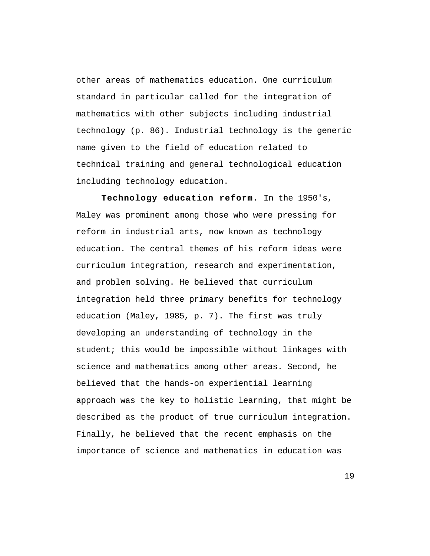other areas of mathematics education. One curriculum standard in particular called for the integration of mathematics with other subjects including industrial technology (p. 86). Industrial technology is the generic name given to the field of education related to technical training and general technological education including technology education.

**Technology education reform.** In the 1950's, Maley was prominent among those who were pressing for reform in industrial arts, now known as technology education. The central themes of his reform ideas were curriculum integration, research and experimentation, and problem solving. He believed that curriculum integration held three primary benefits for technology education (Maley, 1985, p. 7). The first was truly developing an understanding of technology in the student; this would be impossible without linkages with science and mathematics among other areas. Second, he believed that the hands-on experiential learning approach was the key to holistic learning, that might be described as the product of true curriculum integration. Finally, he believed that the recent emphasis on the importance of science and mathematics in education was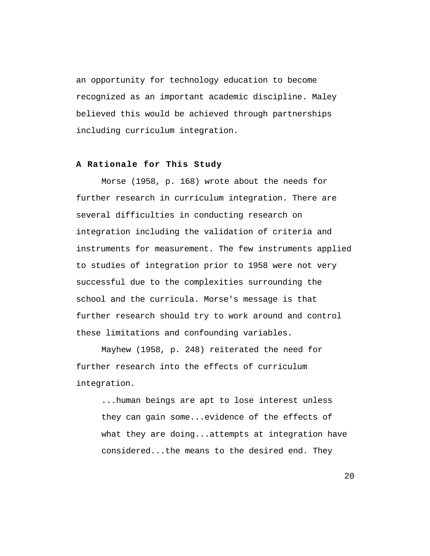an opportunity for technology education to become recognized as an important academic discipline. Maley believed this would be achieved through partnerships including curriculum integration.

#### **A Rationale for This Study**

Morse (1958, p. 168) wrote about the needs for further research in curriculum integration. There are several difficulties in conducting research on integration including the validation of criteria and instruments for measurement. The few instruments applied to studies of integration prior to 1958 were not very successful due to the complexities surrounding the school and the curricula. Morse's message is that further research should try to work around and control these limitations and confounding variables.

Mayhew (1958, p. 248) reiterated the need for further research into the effects of curriculum integration.

...human beings are apt to lose interest unless they can gain some...evidence of the effects of what they are doing...attempts at integration have considered...the means to the desired end. They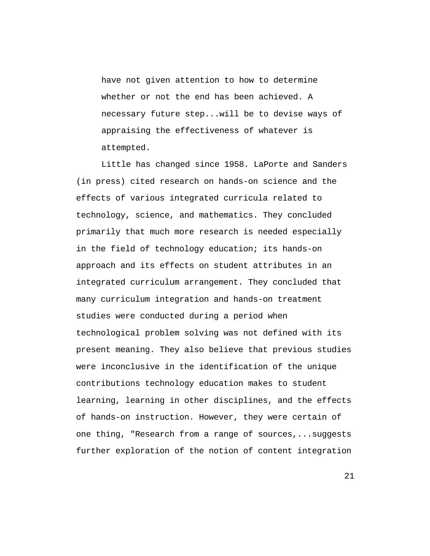have not given attention to how to determine whether or not the end has been achieved. A necessary future step...will be to devise ways of appraising the effectiveness of whatever is attempted.

Little has changed since 1958. LaPorte and Sanders (in press) cited research on hands-on science and the effects of various integrated curricula related to technology, science, and mathematics. They concluded primarily that much more research is needed especially in the field of technology education; its hands-on approach and its effects on student attributes in an integrated curriculum arrangement. They concluded that many curriculum integration and hands-on treatment studies were conducted during a period when technological problem solving was not defined with its present meaning. They also believe that previous studies were inconclusive in the identification of the unique contributions technology education makes to student learning, learning in other disciplines, and the effects of hands-on instruction. However, they were certain of one thing, "Research from a range of sources,...suggests further exploration of the notion of content integration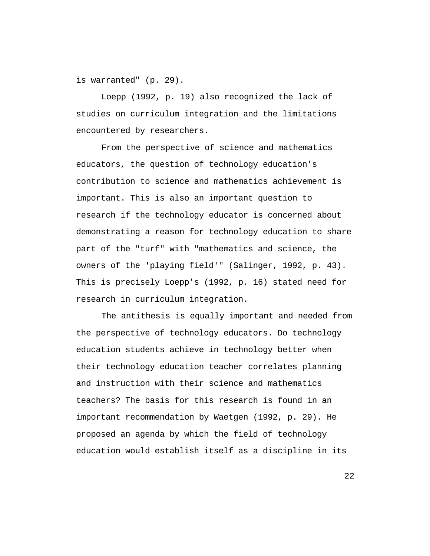is warranted" (p. 29).

Loepp (1992, p. 19) also recognized the lack of studies on curriculum integration and the limitations encountered by researchers.

From the perspective of science and mathematics educators, the question of technology education's contribution to science and mathematics achievement is important. This is also an important question to research if the technology educator is concerned about demonstrating a reason for technology education to share part of the "turf" with "mathematics and science, the owners of the 'playing field'" (Salinger, 1992, p. 43). This is precisely Loepp's (1992, p. 16) stated need for research in curriculum integration.

The antithesis is equally important and needed from the perspective of technology educators. Do technology education students achieve in technology better when their technology education teacher correlates planning and instruction with their science and mathematics teachers? The basis for this research is found in an important recommendation by Waetgen (1992, p. 29). He proposed an agenda by which the field of technology education would establish itself as a discipline in its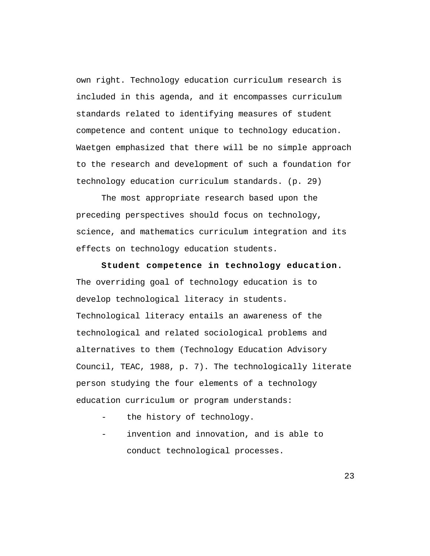own right. Technology education curriculum research is included in this agenda, and it encompasses curriculum standards related to identifying measures of student competence and content unique to technology education. Waetgen emphasized that there will be no simple approach to the research and development of such a foundation for technology education curriculum standards. (p. 29)

The most appropriate research based upon the preceding perspectives should focus on technology, science, and mathematics curriculum integration and its effects on technology education students.

**Student competence in technology education.** The overriding goal of technology education is to develop technological literacy in students. Technological literacy entails an awareness of the technological and related sociological problems and alternatives to them (Technology Education Advisory Council, TEAC, 1988, p. 7). The technologically literate person studying the four elements of a technology education curriculum or program understands:

- the history of technology.
- invention and innovation, and is able to conduct technological processes.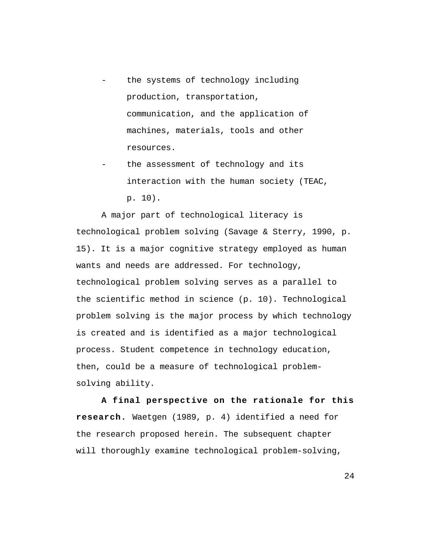- the systems of technology including production, transportation, communication, and the application of machines, materials, tools and other resources.
- the assessment of technology and its interaction with the human society (TEAC, p. 10).

A major part of technological literacy is technological problem solving (Savage & Sterry, 1990, p. 15). It is a major cognitive strategy employed as human wants and needs are addressed. For technology, technological problem solving serves as a parallel to the scientific method in science (p. 10). Technological problem solving is the major process by which technology is created and is identified as a major technological process. Student competence in technology education, then, could be a measure of technological problemsolving ability.

**A final perspective on the rationale for this research.** Waetgen (1989, p. 4) identified a need for the research proposed herein. The subsequent chapter will thoroughly examine technological problem-solving,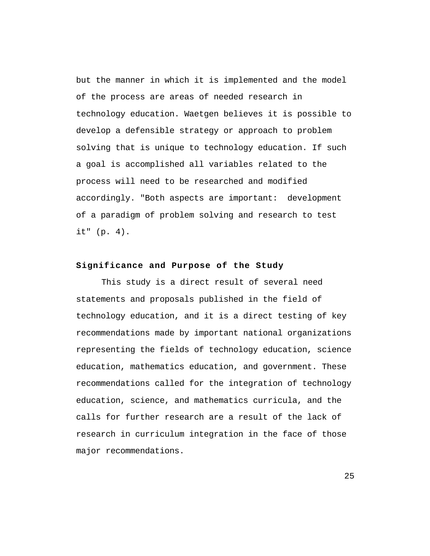but the manner in which it is implemented and the model of the process are areas of needed research in technology education. Waetgen believes it is possible to develop a defensible strategy or approach to problem solving that is unique to technology education. If such a goal is accomplished all variables related to the process will need to be researched and modified accordingly. "Both aspects are important: development of a paradigm of problem solving and research to test it" (p. 4).

#### **Significance and Purpose of the Study**

This study is a direct result of several need statements and proposals published in the field of technology education, and it is a direct testing of key recommendations made by important national organizations representing the fields of technology education, science education, mathematics education, and government. These recommendations called for the integration of technology education, science, and mathematics curricula, and the calls for further research are a result of the lack of research in curriculum integration in the face of those major recommendations.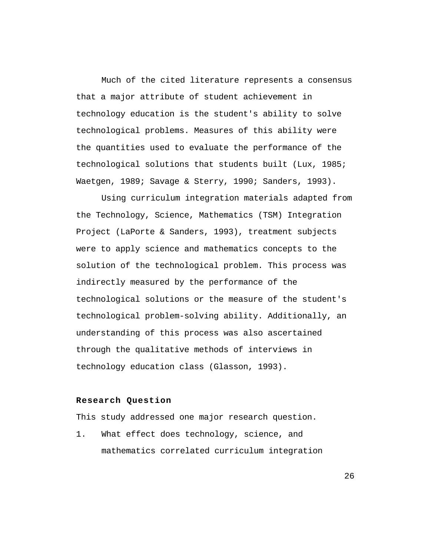Much of the cited literature represents a consensus that a major attribute of student achievement in technology education is the student's ability to solve technological problems. Measures of this ability were the quantities used to evaluate the performance of the technological solutions that students built (Lux, 1985; Waetgen, 1989; Savage & Sterry, 1990; Sanders, 1993).

Using curriculum integration materials adapted from the Technology, Science, Mathematics (TSM) Integration Project (LaPorte & Sanders, 1993), treatment subjects were to apply science and mathematics concepts to the solution of the technological problem. This process was indirectly measured by the performance of the technological solutions or the measure of the student's technological problem-solving ability. Additionally, an understanding of this process was also ascertained through the qualitative methods of interviews in technology education class (Glasson, 1993).

## **Research Question**

This study addressed one major research question.

1. What effect does technology, science, and mathematics correlated curriculum integration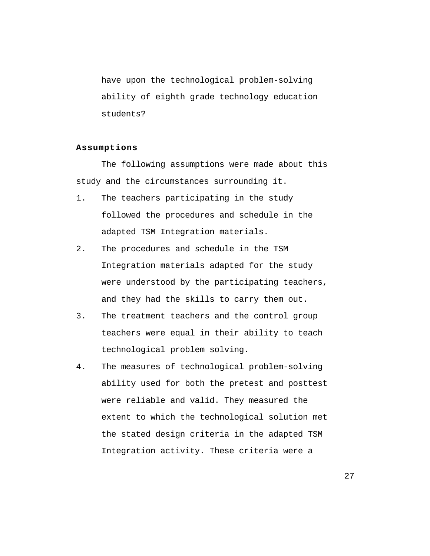have upon the technological problem-solving ability of eighth grade technology education students?

## **Assumptions**

The following assumptions were made about this study and the circumstances surrounding it.

- 1. The teachers participating in the study followed the procedures and schedule in the adapted TSM Integration materials.
- 2. The procedures and schedule in the TSM Integration materials adapted for the study were understood by the participating teachers, and they had the skills to carry them out.
- 3. The treatment teachers and the control group teachers were equal in their ability to teach technological problem solving.
- 4. The measures of technological problem-solving ability used for both the pretest and posttest were reliable and valid. They measured the extent to which the technological solution met the stated design criteria in the adapted TSM Integration activity. These criteria were a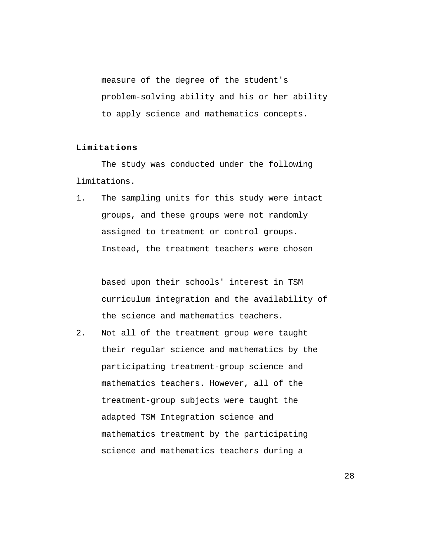measure of the degree of the student's problem-solving ability and his or her ability to apply science and mathematics concepts.

# **Limitations**

The study was conducted under the following limitations.

1. The sampling units for this study were intact groups, and these groups were not randomly assigned to treatment or control groups. Instead, the treatment teachers were chosen

based upon their schools' interest in TSM curriculum integration and the availability of the science and mathematics teachers.

2. Not all of the treatment group were taught their regular science and mathematics by the participating treatment-group science and mathematics teachers. However, all of the treatment-group subjects were taught the adapted TSM Integration science and mathematics treatment by the participating science and mathematics teachers during a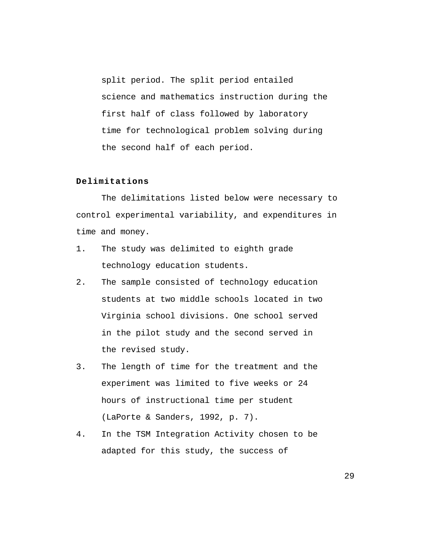split period. The split period entailed science and mathematics instruction during the first half of class followed by laboratory time for technological problem solving during the second half of each period.

# **Delimitations**

The delimitations listed below were necessary to control experimental variability, and expenditures in time and money.

- 1. The study was delimited to eighth grade technology education students.
- 2. The sample consisted of technology education students at two middle schools located in two Virginia school divisions. One school served in the pilot study and the second served in the revised study.
- 3. The length of time for the treatment and the experiment was limited to five weeks or 24 hours of instructional time per student (LaPorte & Sanders, 1992, p. 7).
- 4. In the TSM Integration Activity chosen to be adapted for this study, the success of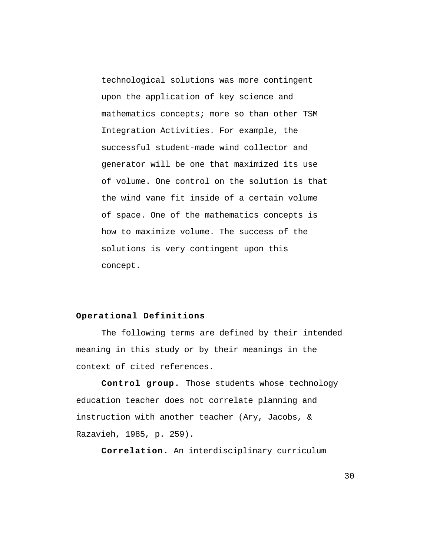technological solutions was more contingent upon the application of key science and mathematics concepts; more so than other TSM Integration Activities. For example, the successful student-made wind collector and generator will be one that maximized its use of volume. One control on the solution is that the wind vane fit inside of a certain volume of space. One of the mathematics concepts is how to maximize volume. The success of the solutions is very contingent upon this concept.

# **Operational Definitions**

The following terms are defined by their intended meaning in this study or by their meanings in the context of cited references.

**Control group.** Those students whose technology education teacher does not correlate planning and instruction with another teacher (Ary, Jacobs, & Razavieh, 1985, p. 259).

**Correlation.** An interdisciplinary curriculum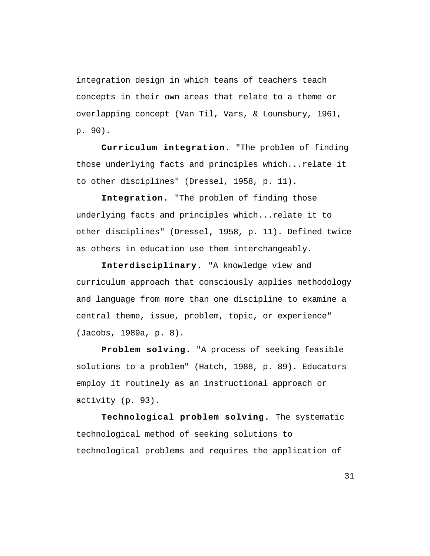integration design in which teams of teachers teach concepts in their own areas that relate to a theme or overlapping concept (Van Til, Vars, & Lounsbury, 1961, p. 90).

**Curriculum integration.** "The problem of finding those underlying facts and principles which...relate it to other disciplines" (Dressel, 1958, p. 11).

**Integration.** "The problem of finding those underlying facts and principles which...relate it to other disciplines" (Dressel, 1958, p. 11). Defined twice as others in education use them interchangeably.

**Interdisciplinary.** "A knowledge view and curriculum approach that consciously applies methodology and language from more than one discipline to examine a central theme, issue, problem, topic, or experience" (Jacobs, 1989a, p. 8).

**Problem solving.** "A process of seeking feasible solutions to a problem" (Hatch, 1988, p. 89). Educators employ it routinely as an instructional approach or activity (p. 93).

**Technological problem solving.** The systematic technological method of seeking solutions to technological problems and requires the application of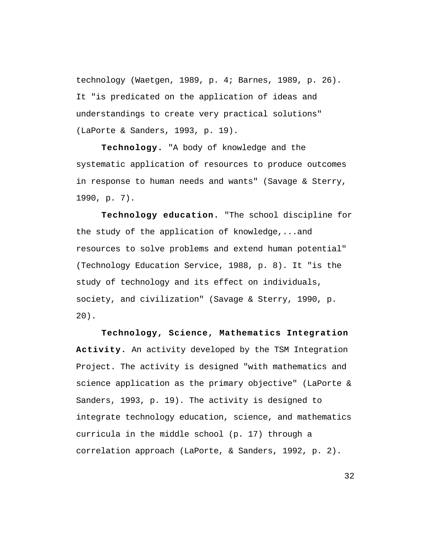technology (Waetgen, 1989, p. 4; Barnes, 1989, p. 26). It "is predicated on the application of ideas and understandings to create very practical solutions" (LaPorte & Sanders, 1993, p. 19).

**Technology.** "A body of knowledge and the systematic application of resources to produce outcomes in response to human needs and wants" (Savage & Sterry, 1990, p. 7).

**Technology education.** "The school discipline for the study of the application of knowledge,...and resources to solve problems and extend human potential" (Technology Education Service, 1988, p. 8). It "is the study of technology and its effect on individuals, society, and civilization" (Savage & Sterry, 1990, p. 20).

**Technology, Science, Mathematics Integration Activity.** An activity developed by the TSM Integration Project. The activity is designed "with mathematics and science application as the primary objective" (LaPorte & Sanders, 1993, p. 19). The activity is designed to integrate technology education, science, and mathematics curricula in the middle school (p. 17) through a correlation approach (LaPorte, & Sanders, 1992, p. 2).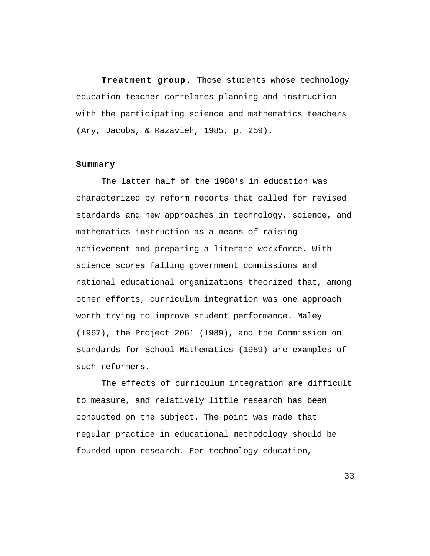**Treatment group.** Those students whose technology education teacher correlates planning and instruction with the participating science and mathematics teachers (Ary, Jacobs, & Razavieh, 1985, p. 259).

#### **Summary**

The latter half of the 1980's in education was characterized by reform reports that called for revised standards and new approaches in technology, science, and mathematics instruction as a means of raising achievement and preparing a literate workforce. With science scores falling government commissions and national educational organizations theorized that, among other efforts, curriculum integration was one approach worth trying to improve student performance. Maley (1967), the Project 2061 (1989), and the Commission on Standards for School Mathematics (1989) are examples of such reformers.

The effects of curriculum integration are difficult to measure, and relatively little research has been conducted on the subject. The point was made that regular practice in educational methodology should be founded upon research. For technology education,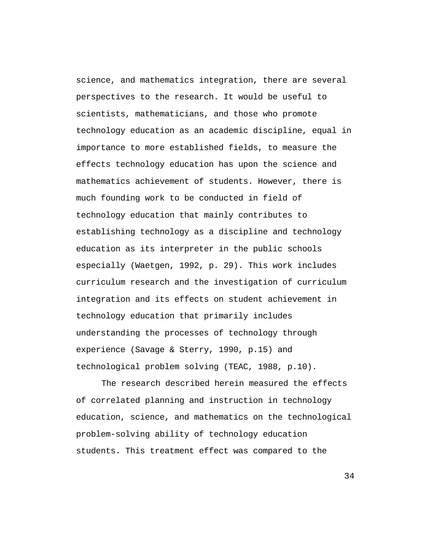science, and mathematics integration, there are several perspectives to the research. It would be useful to scientists, mathematicians, and those who promote technology education as an academic discipline, equal in importance to more established fields, to measure the effects technology education has upon the science and mathematics achievement of students. However, there is much founding work to be conducted in field of technology education that mainly contributes to establishing technology as a discipline and technology education as its interpreter in the public schools especially (Waetgen, 1992, p. 29). This work includes curriculum research and the investigation of curriculum integration and its effects on student achievement in technology education that primarily includes understanding the processes of technology through experience (Savage & Sterry, 1990, p.15) and technological problem solving (TEAC, 1988, p.10).

The research described herein measured the effects of correlated planning and instruction in technology education, science, and mathematics on the technological problem-solving ability of technology education students. This treatment effect was compared to the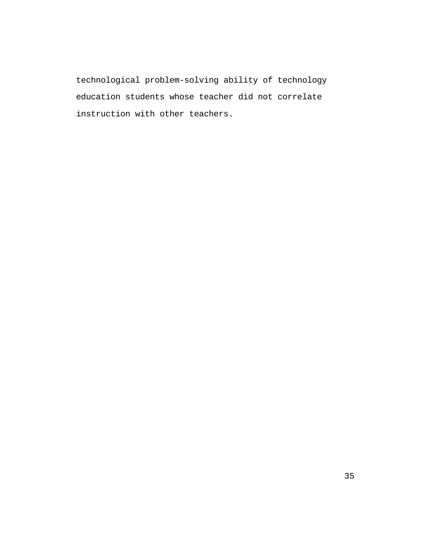technological problem-solving ability of technology education students whose teacher did not correlate instruction with other teachers.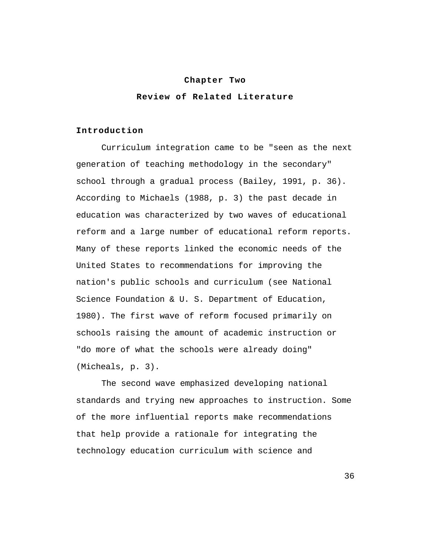#### **Chapter Two**

## **Review of Related Literature**

#### **Introduction**

Curriculum integration came to be "seen as the next generation of teaching methodology in the secondary" school through a gradual process (Bailey, 1991, p. 36). According to Michaels (1988, p. 3) the past decade in education was characterized by two waves of educational reform and a large number of educational reform reports. Many of these reports linked the economic needs of the United States to recommendations for improving the nation's public schools and curriculum (see National Science Foundation & U. S. Department of Education, 1980). The first wave of reform focused primarily on schools raising the amount of academic instruction or "do more of what the schools were already doing" (Micheals, p. 3).

The second wave emphasized developing national standards and trying new approaches to instruction. Some of the more influential reports make recommendations that help provide a rationale for integrating the technology education curriculum with science and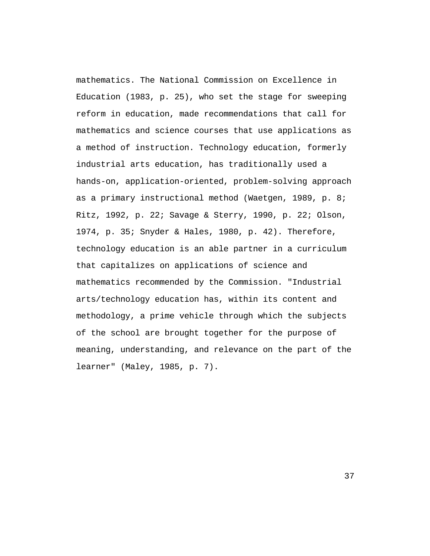mathematics. The National Commission on Excellence in Education (1983, p. 25), who set the stage for sweeping reform in education, made recommendations that call for mathematics and science courses that use applications as a method of instruction. Technology education, formerly industrial arts education, has traditionally used a hands-on, application-oriented, problem-solving approach as a primary instructional method (Waetgen, 1989, p. 8; Ritz, 1992, p. 22; Savage & Sterry, 1990, p. 22; Olson, 1974, p. 35; Snyder & Hales, 1980, p. 42). Therefore, technology education is an able partner in a curriculum that capitalizes on applications of science and mathematics recommended by the Commission. "Industrial arts/technology education has, within its content and methodology, a prime vehicle through which the subjects of the school are brought together for the purpose of meaning, understanding, and relevance on the part of the learner" (Maley, 1985, p. 7).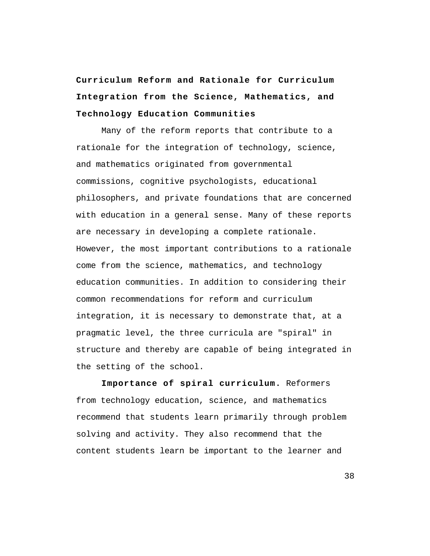**Curriculum Reform and Rationale for Curriculum Integration from the Science, Mathematics, and Technology Education Communities**

Many of the reform reports that contribute to a rationale for the integration of technology, science, and mathematics originated from governmental commissions, cognitive psychologists, educational philosophers, and private foundations that are concerned with education in a general sense. Many of these reports are necessary in developing a complete rationale. However, the most important contributions to a rationale come from the science, mathematics, and technology education communities. In addition to considering their common recommendations for reform and curriculum integration, it is necessary to demonstrate that, at a pragmatic level, the three curricula are "spiral" in structure and thereby are capable of being integrated in the setting of the school.

**Importance of spiral curriculum.** Reformers from technology education, science, and mathematics recommend that students learn primarily through problem solving and activity. They also recommend that the content students learn be important to the learner and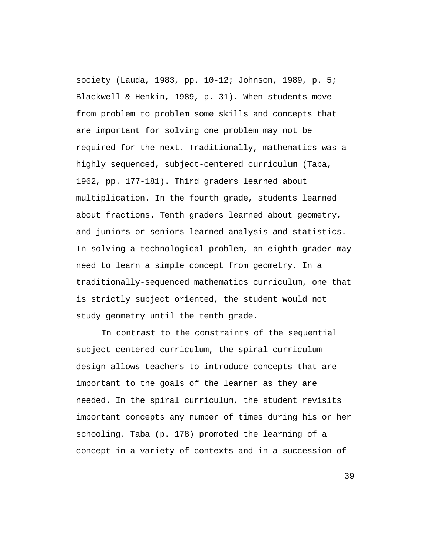society (Lauda, 1983, pp. 10-12; Johnson, 1989, p. 5; Blackwell & Henkin, 1989, p. 31). When students move from problem to problem some skills and concepts that are important for solving one problem may not be required for the next. Traditionally, mathematics was a highly sequenced, subject-centered curriculum (Taba, 1962, pp. 177-181). Third graders learned about multiplication. In the fourth grade, students learned about fractions. Tenth graders learned about geometry, and juniors or seniors learned analysis and statistics. In solving a technological problem, an eighth grader may need to learn a simple concept from geometry. In a traditionally-sequenced mathematics curriculum, one that is strictly subject oriented, the student would not study geometry until the tenth grade.

In contrast to the constraints of the sequential subject-centered curriculum, the spiral curriculum design allows teachers to introduce concepts that are important to the goals of the learner as they are needed. In the spiral curriculum, the student revisits important concepts any number of times during his or her schooling. Taba (p. 178) promoted the learning of a concept in a variety of contexts and in a succession of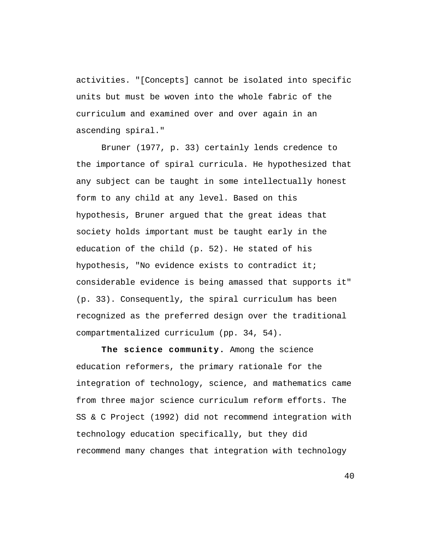activities. "[Concepts] cannot be isolated into specific units but must be woven into the whole fabric of the curriculum and examined over and over again in an ascending spiral."

Bruner (1977, p. 33) certainly lends credence to the importance of spiral curricula. He hypothesized that any subject can be taught in some intellectually honest form to any child at any level. Based on this hypothesis, Bruner argued that the great ideas that society holds important must be taught early in the education of the child (p. 52). He stated of his hypothesis, "No evidence exists to contradict it; considerable evidence is being amassed that supports it" (p. 33). Consequently, the spiral curriculum has been recognized as the preferred design over the traditional compartmentalized curriculum (pp. 34, 54).

**The science community.** Among the science education reformers, the primary rationale for the integration of technology, science, and mathematics came from three major science curriculum reform efforts. The SS & C Project (1992) did not recommend integration with technology education specifically, but they did recommend many changes that integration with technology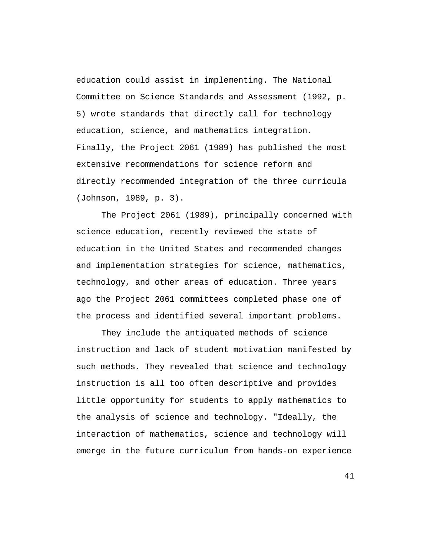education could assist in implementing. The National Committee on Science Standards and Assessment (1992, p. 5) wrote standards that directly call for technology education, science, and mathematics integration. Finally, the Project 2061 (1989) has published the most extensive recommendations for science reform and directly recommended integration of the three curricula (Johnson, 1989, p. 3).

The Project 2061 (1989), principally concerned with science education, recently reviewed the state of education in the United States and recommended changes and implementation strategies for science, mathematics, technology, and other areas of education. Three years ago the Project 2061 committees completed phase one of the process and identified several important problems.

They include the antiquated methods of science instruction and lack of student motivation manifested by such methods. They revealed that science and technology instruction is all too often descriptive and provides little opportunity for students to apply mathematics to the analysis of science and technology. "Ideally, the interaction of mathematics, science and technology will emerge in the future curriculum from hands-on experience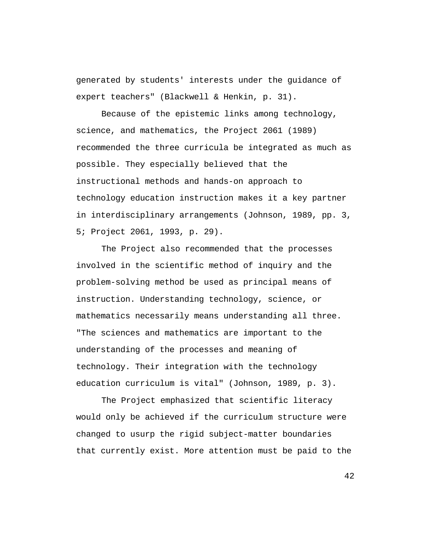generated by students' interests under the guidance of expert teachers" (Blackwell & Henkin, p. 31).

Because of the epistemic links among technology, science, and mathematics, the Project 2061 (1989) recommended the three curricula be integrated as much as possible. They especially believed that the instructional methods and hands-on approach to technology education instruction makes it a key partner in interdisciplinary arrangements (Johnson, 1989, pp. 3, 5; Project 2061, 1993, p. 29).

The Project also recommended that the processes involved in the scientific method of inquiry and the problem-solving method be used as principal means of instruction. Understanding technology, science, or mathematics necessarily means understanding all three. "The sciences and mathematics are important to the understanding of the processes and meaning of technology. Their integration with the technology education curriculum is vital" (Johnson, 1989, p. 3).

The Project emphasized that scientific literacy would only be achieved if the curriculum structure were changed to usurp the rigid subject-matter boundaries that currently exist. More attention must be paid to the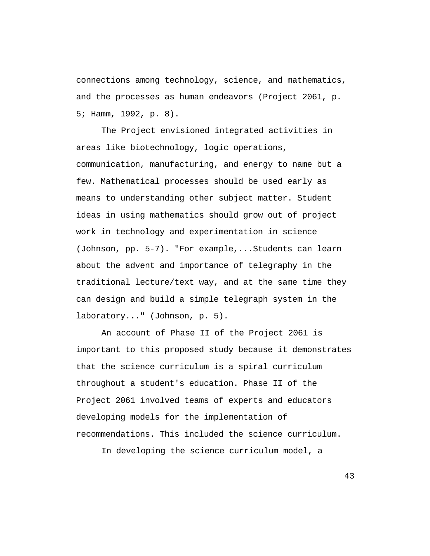connections among technology, science, and mathematics, and the processes as human endeavors (Project 2061, p. 5; Hamm, 1992, p. 8).

The Project envisioned integrated activities in areas like biotechnology, logic operations, communication, manufacturing, and energy to name but a few. Mathematical processes should be used early as means to understanding other subject matter. Student ideas in using mathematics should grow out of project work in technology and experimentation in science (Johnson, pp. 5-7). "For example,...Students can learn about the advent and importance of telegraphy in the traditional lecture/text way, and at the same time they can design and build a simple telegraph system in the laboratory..." (Johnson, p. 5).

An account of Phase II of the Project 2061 is important to this proposed study because it demonstrates that the science curriculum is a spiral curriculum throughout a student's education. Phase II of the Project 2061 involved teams of experts and educators developing models for the implementation of recommendations. This included the science curriculum.

In developing the science curriculum model, a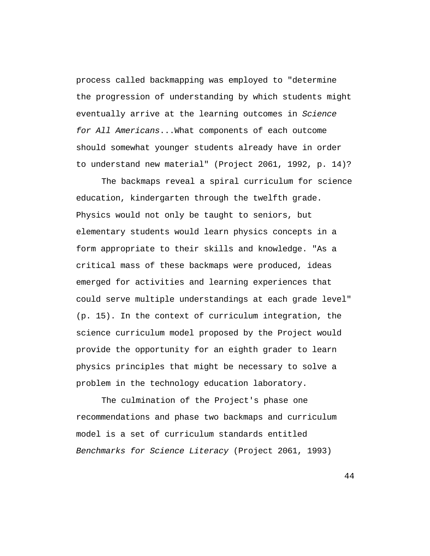process called backmapping was employed to "determine the progression of understanding by which students might eventually arrive at the learning outcomes in Science for All Americans...What components of each outcome should somewhat younger students already have in order to understand new material" (Project 2061, 1992, p. 14)?

The backmaps reveal a spiral curriculum for science education, kindergarten through the twelfth grade. Physics would not only be taught to seniors, but elementary students would learn physics concepts in a form appropriate to their skills and knowledge. "As a critical mass of these backmaps were produced, ideas emerged for activities and learning experiences that could serve multiple understandings at each grade level" (p. 15). In the context of curriculum integration, the science curriculum model proposed by the Project would provide the opportunity for an eighth grader to learn physics principles that might be necessary to solve a problem in the technology education laboratory.

The culmination of the Project's phase one recommendations and phase two backmaps and curriculum model is a set of curriculum standards entitled Benchmarks for Science Literacy (Project 2061, 1993)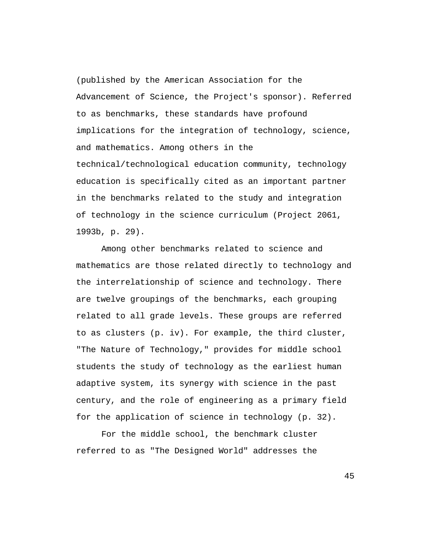(published by the American Association for the Advancement of Science, the Project's sponsor). Referred to as benchmarks, these standards have profound implications for the integration of technology, science, and mathematics. Among others in the technical/technological education community, technology education is specifically cited as an important partner in the benchmarks related to the study and integration of technology in the science curriculum (Project 2061, 1993b, p. 29).

Among other benchmarks related to science and mathematics are those related directly to technology and the interrelationship of science and technology. There are twelve groupings of the benchmarks, each grouping related to all grade levels. These groups are referred to as clusters (p. iv). For example, the third cluster, "The Nature of Technology," provides for middle school students the study of technology as the earliest human adaptive system, its synergy with science in the past century, and the role of engineering as a primary field for the application of science in technology (p. 32).

For the middle school, the benchmark cluster referred to as "The Designed World" addresses the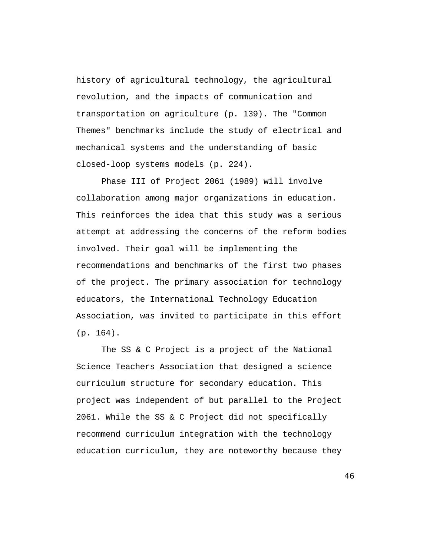history of agricultural technology, the agricultural revolution, and the impacts of communication and transportation on agriculture (p. 139). The "Common Themes" benchmarks include the study of electrical and mechanical systems and the understanding of basic closed-loop systems models (p. 224).

Phase III of Project 2061 (1989) will involve collaboration among major organizations in education. This reinforces the idea that this study was a serious attempt at addressing the concerns of the reform bodies involved. Their goal will be implementing the recommendations and benchmarks of the first two phases of the project. The primary association for technology educators, the International Technology Education Association, was invited to participate in this effort (p. 164).

The SS & C Project is a project of the National Science Teachers Association that designed a science curriculum structure for secondary education. This project was independent of but parallel to the Project 2061. While the SS & C Project did not specifically recommend curriculum integration with the technology education curriculum, they are noteworthy because they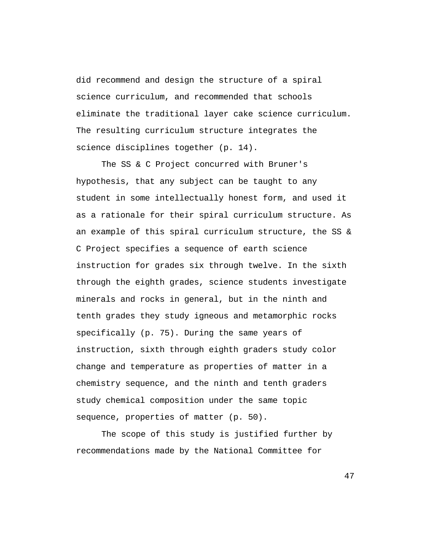did recommend and design the structure of a spiral science curriculum, and recommended that schools eliminate the traditional layer cake science curriculum. The resulting curriculum structure integrates the science disciplines together (p. 14).

The SS & C Project concurred with Bruner's hypothesis, that any subject can be taught to any student in some intellectually honest form, and used it as a rationale for their spiral curriculum structure. As an example of this spiral curriculum structure, the SS & C Project specifies a sequence of earth science instruction for grades six through twelve. In the sixth through the eighth grades, science students investigate minerals and rocks in general, but in the ninth and tenth grades they study igneous and metamorphic rocks specifically (p. 75). During the same years of instruction, sixth through eighth graders study color change and temperature as properties of matter in a chemistry sequence, and the ninth and tenth graders study chemical composition under the same topic sequence, properties of matter (p. 50).

The scope of this study is justified further by recommendations made by the National Committee for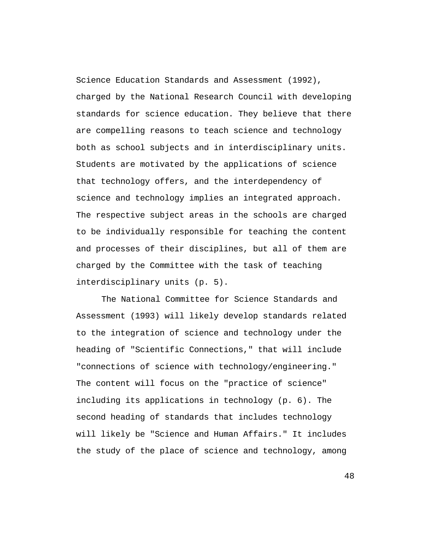Science Education Standards and Assessment (1992), charged by the National Research Council with developing standards for science education. They believe that there are compelling reasons to teach science and technology both as school subjects and in interdisciplinary units. Students are motivated by the applications of science that technology offers, and the interdependency of science and technology implies an integrated approach. The respective subject areas in the schools are charged to be individually responsible for teaching the content and processes of their disciplines, but all of them are charged by the Committee with the task of teaching interdisciplinary units (p. 5).

The National Committee for Science Standards and Assessment (1993) will likely develop standards related to the integration of science and technology under the heading of "Scientific Connections," that will include "connections of science with technology/engineering." The content will focus on the "practice of science" including its applications in technology (p. 6). The second heading of standards that includes technology will likely be "Science and Human Affairs." It includes the study of the place of science and technology, among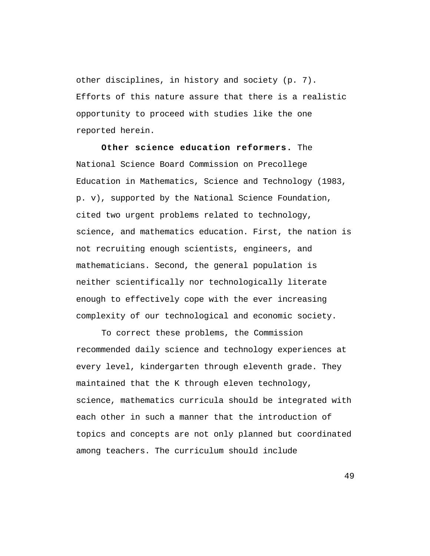other disciplines, in history and society (p. 7). Efforts of this nature assure that there is a realistic opportunity to proceed with studies like the one reported herein.

**Other science education reformers.** The National Science Board Commission on Precollege Education in Mathematics, Science and Technology (1983, p. v), supported by the National Science Foundation, cited two urgent problems related to technology, science, and mathematics education. First, the nation is not recruiting enough scientists, engineers, and mathematicians. Second, the general population is neither scientifically nor technologically literate enough to effectively cope with the ever increasing complexity of our technological and economic society.

To correct these problems, the Commission recommended daily science and technology experiences at every level, kindergarten through eleventh grade. They maintained that the K through eleven technology, science, mathematics curricula should be integrated with each other in such a manner that the introduction of topics and concepts are not only planned but coordinated among teachers. The curriculum should include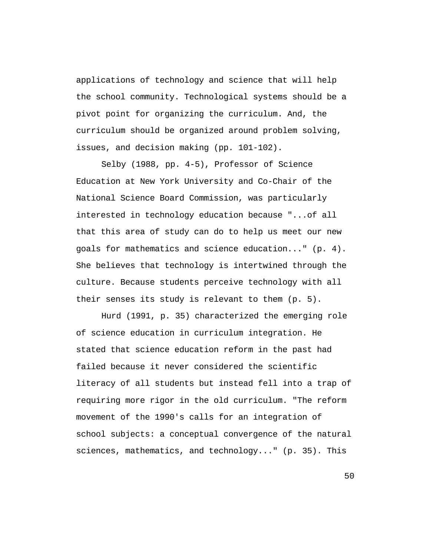applications of technology and science that will help the school community. Technological systems should be a pivot point for organizing the curriculum. And, the curriculum should be organized around problem solving, issues, and decision making (pp. 101-102).

Selby (1988, pp. 4-5), Professor of Science Education at New York University and Co-Chair of the National Science Board Commission, was particularly interested in technology education because "...of all that this area of study can do to help us meet our new goals for mathematics and science education..." (p. 4). She believes that technology is intertwined through the culture. Because students perceive technology with all their senses its study is relevant to them (p. 5).

Hurd (1991, p. 35) characterized the emerging role of science education in curriculum integration. He stated that science education reform in the past had failed because it never considered the scientific literacy of all students but instead fell into a trap of requiring more rigor in the old curriculum. "The reform movement of the 1990's calls for an integration of school subjects: a conceptual convergence of the natural sciences, mathematics, and technology..." (p. 35). This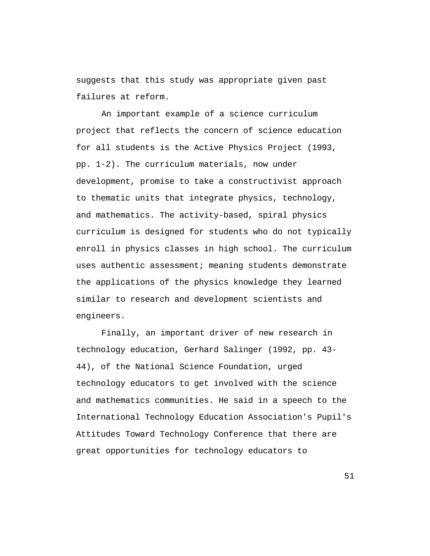suggests that this study was appropriate given past failures at reform.

An important example of a science curriculum project that reflects the concern of science education for all students is the Active Physics Project (1993, pp. 1-2). The curriculum materials, now under development, promise to take a constructivist approach to thematic units that integrate physics, technology, and mathematics. The activity-based, spiral physics curriculum is designed for students who do not typically enroll in physics classes in high school. The curriculum uses authentic assessment; meaning students demonstrate the applications of the physics knowledge they learned similar to research and development scientists and engineers.

Finally, an important driver of new research in technology education, Gerhard Salinger (1992, pp. 43- 44), of the National Science Foundation, urged technology educators to get involved with the science and mathematics communities. He said in a speech to the International Technology Education Association's Pupil's Attitudes Toward Technology Conference that there are great opportunities for technology educators to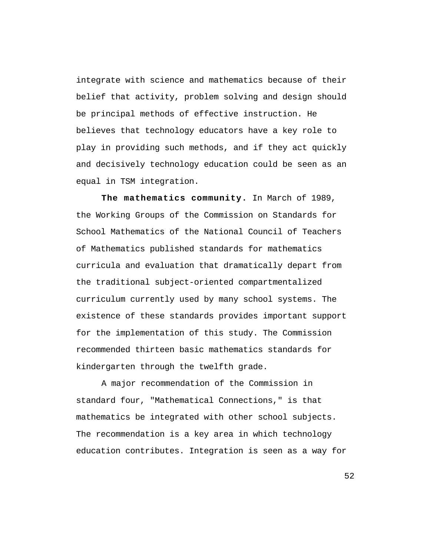integrate with science and mathematics because of their belief that activity, problem solving and design should be principal methods of effective instruction. He believes that technology educators have a key role to play in providing such methods, and if they act quickly and decisively technology education could be seen as an equal in TSM integration.

**The mathematics community.** In March of 1989, the Working Groups of the Commission on Standards for School Mathematics of the National Council of Teachers of Mathematics published standards for mathematics curricula and evaluation that dramatically depart from the traditional subject-oriented compartmentalized curriculum currently used by many school systems. The existence of these standards provides important support for the implementation of this study. The Commission recommended thirteen basic mathematics standards for kindergarten through the twelfth grade.

A major recommendation of the Commission in standard four, "Mathematical Connections," is that mathematics be integrated with other school subjects. The recommendation is a key area in which technology education contributes. Integration is seen as a way for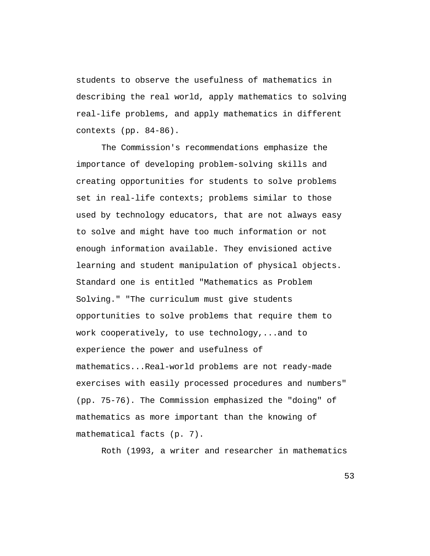students to observe the usefulness of mathematics in describing the real world, apply mathematics to solving real-life problems, and apply mathematics in different contexts (pp. 84-86).

The Commission's recommendations emphasize the importance of developing problem-solving skills and creating opportunities for students to solve problems set in real-life contexts; problems similar to those used by technology educators, that are not always easy to solve and might have too much information or not enough information available. They envisioned active learning and student manipulation of physical objects. Standard one is entitled "Mathematics as Problem Solving." "The curriculum must give students opportunities to solve problems that require them to work cooperatively, to use technology,...and to experience the power and usefulness of mathematics...Real-world problems are not ready-made exercises with easily processed procedures and numbers" (pp. 75-76). The Commission emphasized the "doing" of mathematics as more important than the knowing of mathematical facts (p. 7).

Roth (1993, a writer and researcher in mathematics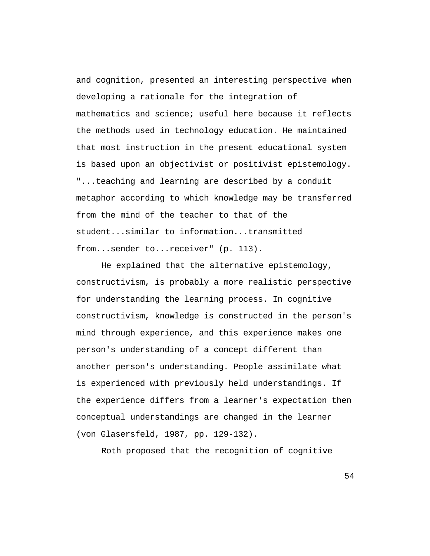and cognition, presented an interesting perspective when developing a rationale for the integration of mathematics and science; useful here because it reflects the methods used in technology education. He maintained that most instruction in the present educational system is based upon an objectivist or positivist epistemology. "...teaching and learning are described by a conduit metaphor according to which knowledge may be transferred from the mind of the teacher to that of the student...similar to information...transmitted from...sender to...receiver" (p. 113).

He explained that the alternative epistemology, constructivism, is probably a more realistic perspective for understanding the learning process. In cognitive constructivism, knowledge is constructed in the person's mind through experience, and this experience makes one person's understanding of a concept different than another person's understanding. People assimilate what is experienced with previously held understandings. If the experience differs from a learner's expectation then conceptual understandings are changed in the learner (von Glasersfeld, 1987, pp. 129-132).

Roth proposed that the recognition of cognitive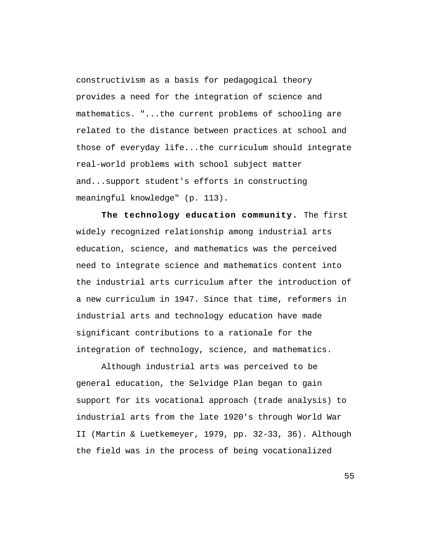constructivism as a basis for pedagogical theory provides a need for the integration of science and mathematics. "...the current problems of schooling are related to the distance between practices at school and those of everyday life...the curriculum should integrate real-world problems with school subject matter and...support student's efforts in constructing meaningful knowledge" (p. 113).

**The technology education community.** The first widely recognized relationship among industrial arts education, science, and mathematics was the perceived need to integrate science and mathematics content into the industrial arts curriculum after the introduction of a new curriculum in 1947. Since that time, reformers in industrial arts and technology education have made significant contributions to a rationale for the integration of technology, science, and mathematics.

Although industrial arts was perceived to be general education, the Selvidge Plan began to gain support for its vocational approach (trade analysis) to industrial arts from the late 1920's through World War II (Martin & Luetkemeyer, 1979, pp. 32-33, 36). Although the field was in the process of being vocationalized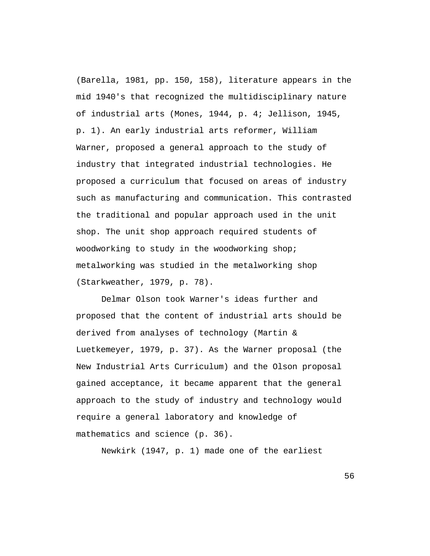(Barella, 1981, pp. 150, 158), literature appears in the mid 1940's that recognized the multidisciplinary nature of industrial arts (Mones, 1944, p. 4; Jellison, 1945, p. 1). An early industrial arts reformer, William Warner, proposed a general approach to the study of industry that integrated industrial technologies. He proposed a curriculum that focused on areas of industry such as manufacturing and communication. This contrasted the traditional and popular approach used in the unit shop. The unit shop approach required students of woodworking to study in the woodworking shop; metalworking was studied in the metalworking shop (Starkweather, 1979, p. 78).

Delmar Olson took Warner's ideas further and proposed that the content of industrial arts should be derived from analyses of technology (Martin & Luetkemeyer, 1979, p. 37). As the Warner proposal (the New Industrial Arts Curriculum) and the Olson proposal gained acceptance, it became apparent that the general approach to the study of industry and technology would require a general laboratory and knowledge of mathematics and science (p. 36).

Newkirk (1947, p. 1) made one of the earliest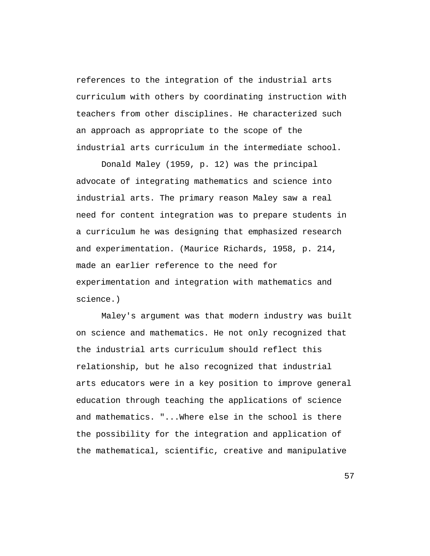references to the integration of the industrial arts curriculum with others by coordinating instruction with teachers from other disciplines. He characterized such an approach as appropriate to the scope of the industrial arts curriculum in the intermediate school.

Donald Maley (1959, p. 12) was the principal advocate of integrating mathematics and science into industrial arts. The primary reason Maley saw a real need for content integration was to prepare students in a curriculum he was designing that emphasized research and experimentation. (Maurice Richards, 1958, p. 214, made an earlier reference to the need for experimentation and integration with mathematics and science.)

Maley's argument was that modern industry was built on science and mathematics. He not only recognized that the industrial arts curriculum should reflect this relationship, but he also recognized that industrial arts educators were in a key position to improve general education through teaching the applications of science and mathematics. "...Where else in the school is there the possibility for the integration and application of the mathematical, scientific, creative and manipulative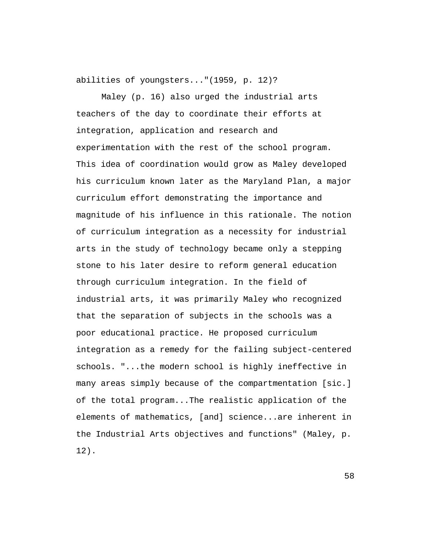abilities of youngsters..."(1959, p. 12)?

Maley (p. 16) also urged the industrial arts teachers of the day to coordinate their efforts at integration, application and research and experimentation with the rest of the school program. This idea of coordination would grow as Maley developed his curriculum known later as the Maryland Plan, a major curriculum effort demonstrating the importance and magnitude of his influence in this rationale. The notion of curriculum integration as a necessity for industrial arts in the study of technology became only a stepping stone to his later desire to reform general education through curriculum integration. In the field of industrial arts, it was primarily Maley who recognized that the separation of subjects in the schools was a poor educational practice. He proposed curriculum integration as a remedy for the failing subject-centered schools. "...the modern school is highly ineffective in many areas simply because of the compartmentation [sic.] of the total program...The realistic application of the elements of mathematics, [and] science...are inherent in the Industrial Arts objectives and functions" (Maley, p. 12).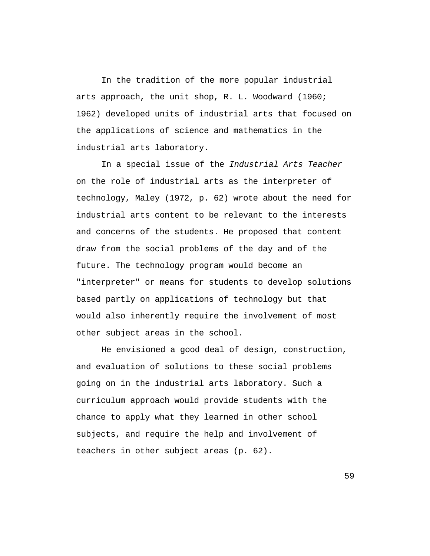In the tradition of the more popular industrial arts approach, the unit shop, R. L. Woodward (1960; 1962) developed units of industrial arts that focused on the applications of science and mathematics in the industrial arts laboratory.

In a special issue of the Industrial Arts Teacher on the role of industrial arts as the interpreter of technology, Maley (1972, p. 62) wrote about the need for industrial arts content to be relevant to the interests and concerns of the students. He proposed that content draw from the social problems of the day and of the future. The technology program would become an "interpreter" or means for students to develop solutions based partly on applications of technology but that would also inherently require the involvement of most other subject areas in the school.

He envisioned a good deal of design, construction, and evaluation of solutions to these social problems going on in the industrial arts laboratory. Such a curriculum approach would provide students with the chance to apply what they learned in other school subjects, and require the help and involvement of teachers in other subject areas (p. 62).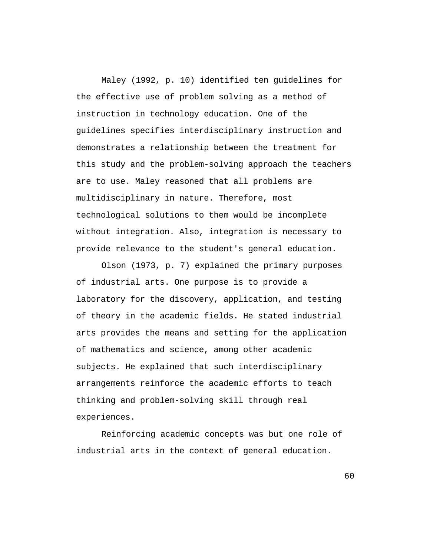Maley (1992, p. 10) identified ten guidelines for the effective use of problem solving as a method of instruction in technology education. One of the guidelines specifies interdisciplinary instruction and demonstrates a relationship between the treatment for this study and the problem-solving approach the teachers are to use. Maley reasoned that all problems are multidisciplinary in nature. Therefore, most technological solutions to them would be incomplete without integration. Also, integration is necessary to provide relevance to the student's general education.

Olson (1973, p. 7) explained the primary purposes of industrial arts. One purpose is to provide a laboratory for the discovery, application, and testing of theory in the academic fields. He stated industrial arts provides the means and setting for the application of mathematics and science, among other academic subjects. He explained that such interdisciplinary arrangements reinforce the academic efforts to teach thinking and problem-solving skill through real experiences.

Reinforcing academic concepts was but one role of industrial arts in the context of general education.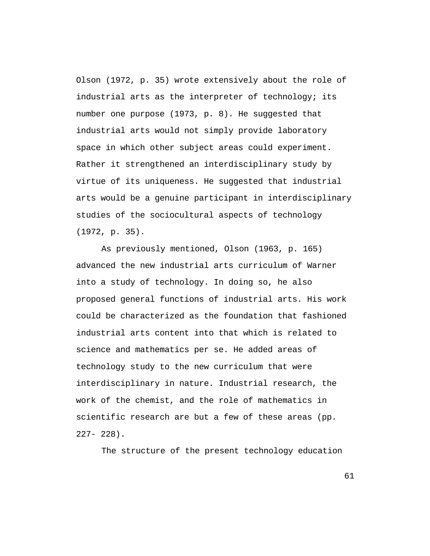Olson (1972, p. 35) wrote extensively about the role of industrial arts as the interpreter of technology; its number one purpose (1973, p. 8). He suggested that industrial arts would not simply provide laboratory space in which other subject areas could experiment. Rather it strengthened an interdisciplinary study by virtue of its uniqueness. He suggested that industrial arts would be a genuine participant in interdisciplinary studies of the sociocultural aspects of technology (1972, p. 35).

As previously mentioned, Olson (1963, p. 165) advanced the new industrial arts curriculum of Warner into a study of technology. In doing so, he also proposed general functions of industrial arts. His work could be characterized as the foundation that fashioned industrial arts content into that which is related to science and mathematics per se. He added areas of technology study to the new curriculum that were interdisciplinary in nature. Industrial research, the work of the chemist, and the role of mathematics in scientific research are but a few of these areas (pp.  $227 - 228$ 

The structure of the present technology education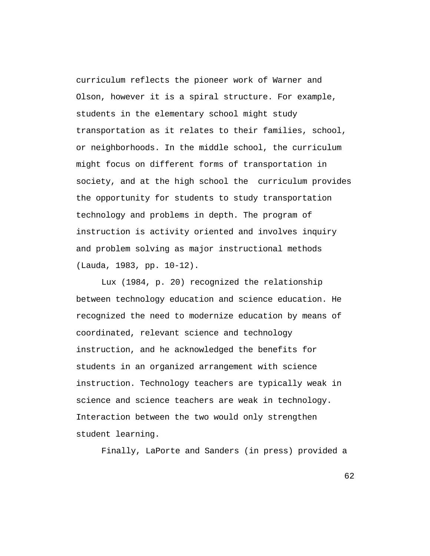curriculum reflects the pioneer work of Warner and Olson, however it is a spiral structure. For example, students in the elementary school might study transportation as it relates to their families, school, or neighborhoods. In the middle school, the curriculum might focus on different forms of transportation in society, and at the high school the curriculum provides the opportunity for students to study transportation technology and problems in depth. The program of instruction is activity oriented and involves inquiry and problem solving as major instructional methods (Lauda, 1983, pp. 10-12).

Lux (1984, p. 20) recognized the relationship between technology education and science education. He recognized the need to modernize education by means of coordinated, relevant science and technology instruction, and he acknowledged the benefits for students in an organized arrangement with science instruction. Technology teachers are typically weak in science and science teachers are weak in technology. Interaction between the two would only strengthen student learning.

Finally, LaPorte and Sanders (in press) provided a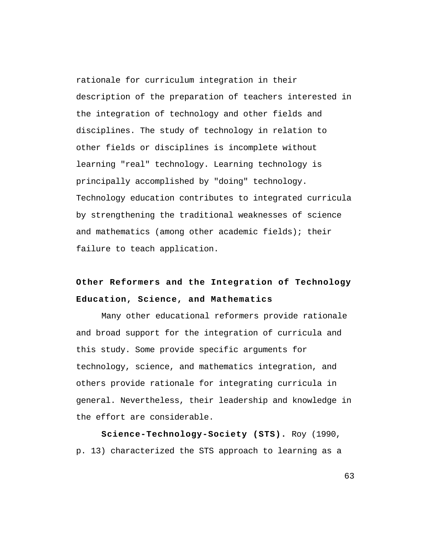rationale for curriculum integration in their description of the preparation of teachers interested in the integration of technology and other fields and disciplines. The study of technology in relation to other fields or disciplines is incomplete without learning "real" technology. Learning technology is principally accomplished by "doing" technology. Technology education contributes to integrated curricula by strengthening the traditional weaknesses of science and mathematics (among other academic fields); their failure to teach application.

## **Other Reformers and the Integration of Technology Education, Science, and Mathematics**

Many other educational reformers provide rationale and broad support for the integration of curricula and this study. Some provide specific arguments for technology, science, and mathematics integration, and others provide rationale for integrating curricula in general. Nevertheless, their leadership and knowledge in the effort are considerable.

**Science-Technology-Society (STS).** Roy (1990, p. 13) characterized the STS approach to learning as a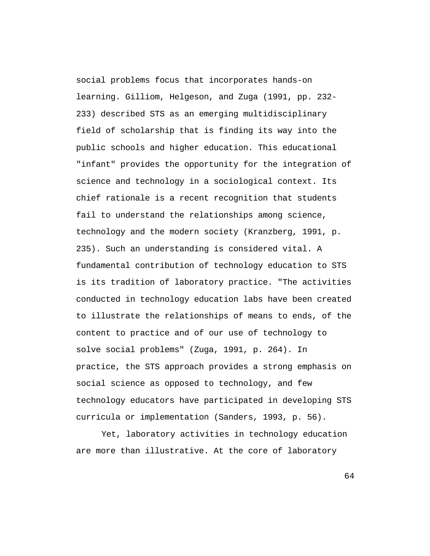social problems focus that incorporates hands-on learning. Gilliom, Helgeson, and Zuga (1991, pp. 232- 233) described STS as an emerging multidisciplinary field of scholarship that is finding its way into the public schools and higher education. This educational "infant" provides the opportunity for the integration of science and technology in a sociological context. Its chief rationale is a recent recognition that students fail to understand the relationships among science, technology and the modern society (Kranzberg, 1991, p. 235). Such an understanding is considered vital. A fundamental contribution of technology education to STS is its tradition of laboratory practice. "The activities conducted in technology education labs have been created to illustrate the relationships of means to ends, of the content to practice and of our use of technology to solve social problems" (Zuga, 1991, p. 264). In practice, the STS approach provides a strong emphasis on social science as opposed to technology, and few technology educators have participated in developing STS curricula or implementation (Sanders, 1993, p. 56).

Yet, laboratory activities in technology education are more than illustrative. At the core of laboratory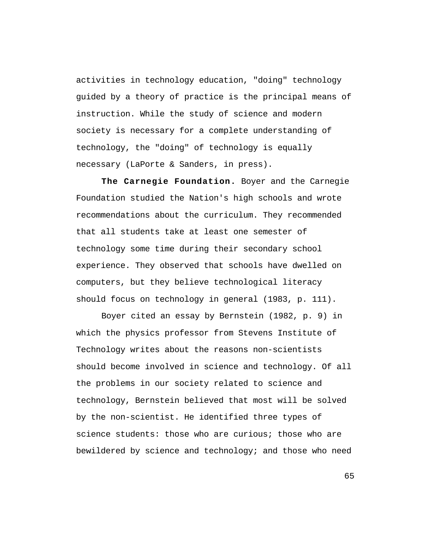activities in technology education, "doing" technology guided by a theory of practice is the principal means of instruction. While the study of science and modern society is necessary for a complete understanding of technology, the "doing" of technology is equally necessary (LaPorte & Sanders, in press).

**The Carnegie Foundation.** Boyer and the Carnegie Foundation studied the Nation's high schools and wrote recommendations about the curriculum. They recommended that all students take at least one semester of technology some time during their secondary school experience. They observed that schools have dwelled on computers, but they believe technological literacy should focus on technology in general (1983, p. 111).

Boyer cited an essay by Bernstein (1982, p. 9) in which the physics professor from Stevens Institute of Technology writes about the reasons non-scientists should become involved in science and technology. Of all the problems in our society related to science and technology, Bernstein believed that most will be solved by the non-scientist. He identified three types of science students: those who are curious; those who are bewildered by science and technology; and those who need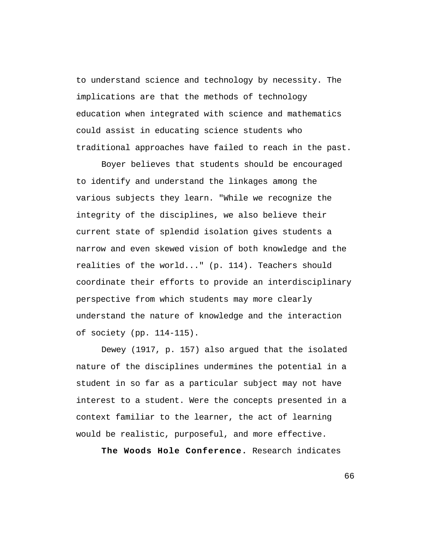to understand science and technology by necessity. The implications are that the methods of technology education when integrated with science and mathematics could assist in educating science students who traditional approaches have failed to reach in the past.

Boyer believes that students should be encouraged to identify and understand the linkages among the various subjects they learn. "While we recognize the integrity of the disciplines, we also believe their current state of splendid isolation gives students a narrow and even skewed vision of both knowledge and the realities of the world..." (p. 114). Teachers should coordinate their efforts to provide an interdisciplinary perspective from which students may more clearly understand the nature of knowledge and the interaction of society (pp. 114-115).

Dewey (1917, p. 157) also argued that the isolated nature of the disciplines undermines the potential in a student in so far as a particular subject may not have interest to a student. Were the concepts presented in a context familiar to the learner, the act of learning would be realistic, purposeful, and more effective.

**The Woods Hole Conference.** Research indicates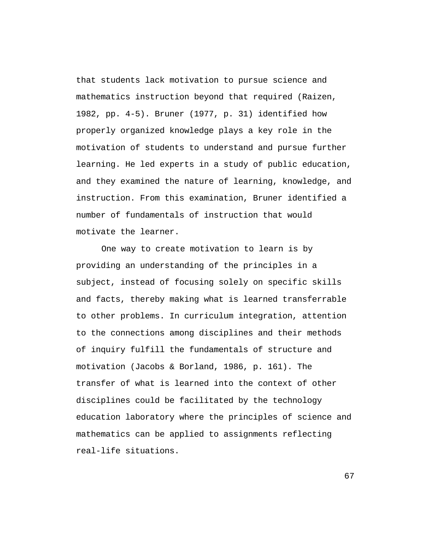that students lack motivation to pursue science and mathematics instruction beyond that required (Raizen, 1982, pp. 4-5). Bruner (1977, p. 31) identified how properly organized knowledge plays a key role in the motivation of students to understand and pursue further learning. He led experts in a study of public education, and they examined the nature of learning, knowledge, and instruction. From this examination, Bruner identified a number of fundamentals of instruction that would motivate the learner.

One way to create motivation to learn is by providing an understanding of the principles in a subject, instead of focusing solely on specific skills and facts, thereby making what is learned transferrable to other problems. In curriculum integration, attention to the connections among disciplines and their methods of inquiry fulfill the fundamentals of structure and motivation (Jacobs & Borland, 1986, p. 161). The transfer of what is learned into the context of other disciplines could be facilitated by the technology education laboratory where the principles of science and mathematics can be applied to assignments reflecting real-life situations.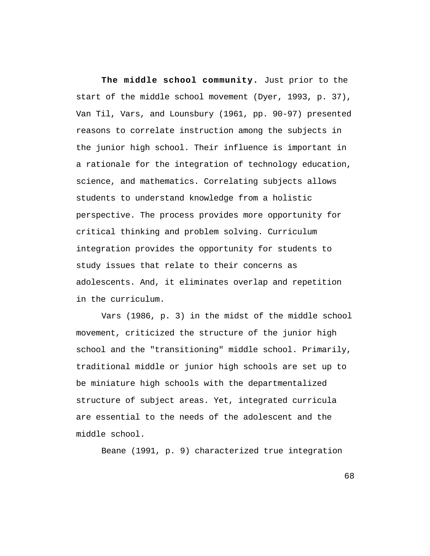**The middle school community.** Just prior to the start of the middle school movement (Dyer, 1993, p. 37), Van Til, Vars, and Lounsbury (1961, pp. 90-97) presented reasons to correlate instruction among the subjects in the junior high school. Their influence is important in a rationale for the integration of technology education, science, and mathematics. Correlating subjects allows students to understand knowledge from a holistic perspective. The process provides more opportunity for critical thinking and problem solving. Curriculum integration provides the opportunity for students to study issues that relate to their concerns as adolescents. And, it eliminates overlap and repetition in the curriculum.

Vars (1986, p. 3) in the midst of the middle school movement, criticized the structure of the junior high school and the "transitioning" middle school. Primarily, traditional middle or junior high schools are set up to be miniature high schools with the departmentalized structure of subject areas. Yet, integrated curricula are essential to the needs of the adolescent and the middle school.

Beane (1991, p. 9) characterized true integration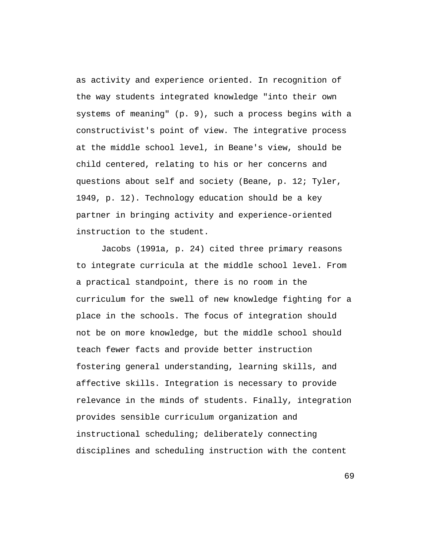as activity and experience oriented. In recognition of the way students integrated knowledge "into their own systems of meaning" (p. 9), such a process begins with a constructivist's point of view. The integrative process at the middle school level, in Beane's view, should be child centered, relating to his or her concerns and questions about self and society (Beane, p. 12; Tyler, 1949, p. 12). Technology education should be a key partner in bringing activity and experience-oriented instruction to the student.

Jacobs (1991a, p. 24) cited three primary reasons to integrate curricula at the middle school level. From a practical standpoint, there is no room in the curriculum for the swell of new knowledge fighting for a place in the schools. The focus of integration should not be on more knowledge, but the middle school should teach fewer facts and provide better instruction fostering general understanding, learning skills, and affective skills. Integration is necessary to provide relevance in the minds of students. Finally, integration provides sensible curriculum organization and instructional scheduling; deliberately connecting disciplines and scheduling instruction with the content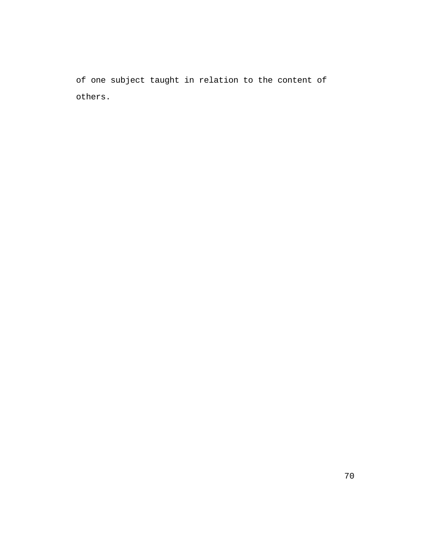of one subject taught in relation to the content of others.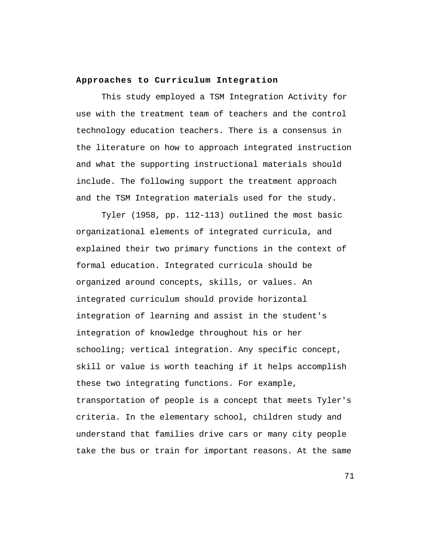## **Approaches to Curriculum Integration**

This study employed a TSM Integration Activity for use with the treatment team of teachers and the control technology education teachers. There is a consensus in the literature on how to approach integrated instruction and what the supporting instructional materials should include. The following support the treatment approach and the TSM Integration materials used for the study.

Tyler (1958, pp. 112-113) outlined the most basic organizational elements of integrated curricula, and explained their two primary functions in the context of formal education. Integrated curricula should be organized around concepts, skills, or values. An integrated curriculum should provide horizontal integration of learning and assist in the student's integration of knowledge throughout his or her schooling; vertical integration. Any specific concept, skill or value is worth teaching if it helps accomplish these two integrating functions. For example, transportation of people is a concept that meets Tyler's criteria. In the elementary school, children study and understand that families drive cars or many city people take the bus or train for important reasons. At the same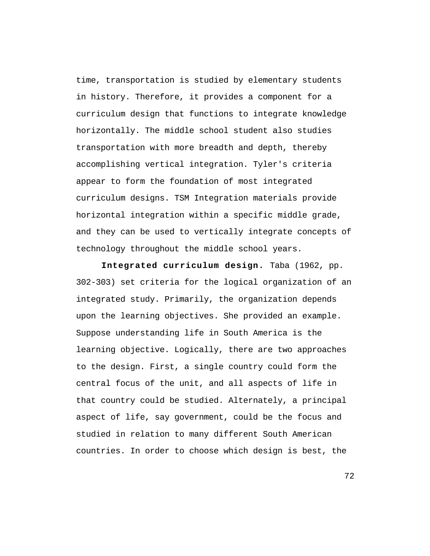time, transportation is studied by elementary students in history. Therefore, it provides a component for a curriculum design that functions to integrate knowledge horizontally. The middle school student also studies transportation with more breadth and depth, thereby accomplishing vertical integration. Tyler's criteria appear to form the foundation of most integrated curriculum designs. TSM Integration materials provide horizontal integration within a specific middle grade, and they can be used to vertically integrate concepts of technology throughout the middle school years.

**Integrated curriculum design.** Taba (1962, pp. 302-303) set criteria for the logical organization of an integrated study. Primarily, the organization depends upon the learning objectives. She provided an example. Suppose understanding life in South America is the learning objective. Logically, there are two approaches to the design. First, a single country could form the central focus of the unit, and all aspects of life in that country could be studied. Alternately, a principal aspect of life, say government, could be the focus and studied in relation to many different South American countries. In order to choose which design is best, the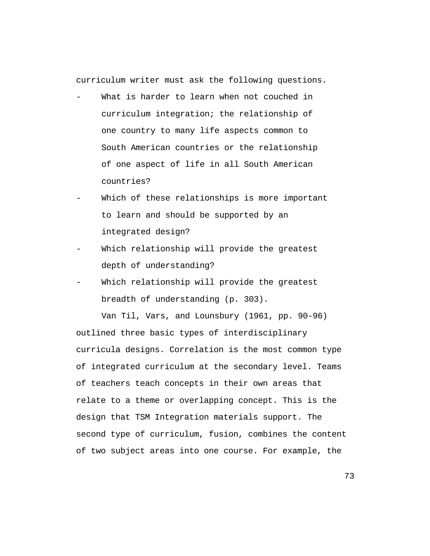curriculum writer must ask the following questions.

- What is harder to learn when not couched in curriculum integration; the relationship of one country to many life aspects common to South American countries or the relationship of one aspect of life in all South American countries?
- Which of these relationships is more important to learn and should be supported by an integrated design?
- Which relationship will provide the greatest depth of understanding?
- Which relationship will provide the greatest breadth of understanding (p. 303).

Van Til, Vars, and Lounsbury (1961, pp. 90-96) outlined three basic types of interdisciplinary curricula designs. Correlation is the most common type of integrated curriculum at the secondary level. Teams of teachers teach concepts in their own areas that relate to a theme or overlapping concept. This is the design that TSM Integration materials support. The second type of curriculum, fusion, combines the content of two subject areas into one course. For example, the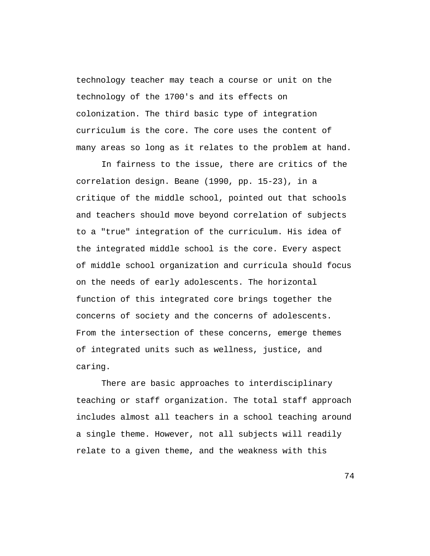technology teacher may teach a course or unit on the technology of the 1700's and its effects on colonization. The third basic type of integration curriculum is the core. The core uses the content of many areas so long as it relates to the problem at hand.

In fairness to the issue, there are critics of the correlation design. Beane (1990, pp. 15-23), in a critique of the middle school, pointed out that schools and teachers should move beyond correlation of subjects to a "true" integration of the curriculum. His idea of the integrated middle school is the core. Every aspect of middle school organization and curricula should focus on the needs of early adolescents. The horizontal function of this integrated core brings together the concerns of society and the concerns of adolescents. From the intersection of these concerns, emerge themes of integrated units such as wellness, justice, and caring.

There are basic approaches to interdisciplinary teaching or staff organization. The total staff approach includes almost all teachers in a school teaching around a single theme. However, not all subjects will readily relate to a given theme, and the weakness with this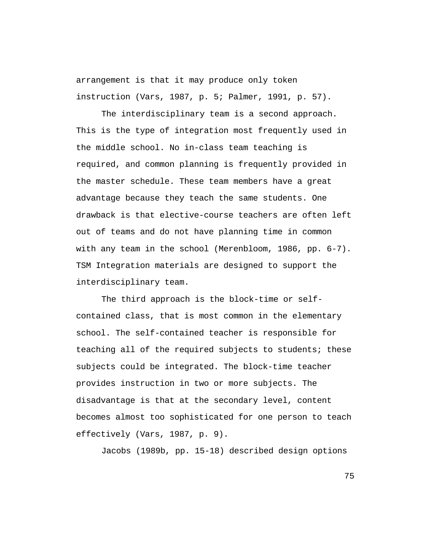arrangement is that it may produce only token instruction (Vars, 1987, p. 5; Palmer, 1991, p. 57).

The interdisciplinary team is a second approach. This is the type of integration most frequently used in the middle school. No in-class team teaching is required, and common planning is frequently provided in the master schedule. These team members have a great advantage because they teach the same students. One drawback is that elective-course teachers are often left out of teams and do not have planning time in common with any team in the school (Merenbloom, 1986, pp. 6-7). TSM Integration materials are designed to support the interdisciplinary team.

The third approach is the block-time or selfcontained class, that is most common in the elementary school. The self-contained teacher is responsible for teaching all of the required subjects to students; these subjects could be integrated. The block-time teacher provides instruction in two or more subjects. The disadvantage is that at the secondary level, content becomes almost too sophisticated for one person to teach effectively (Vars, 1987, p. 9).

Jacobs (1989b, pp. 15-18) described design options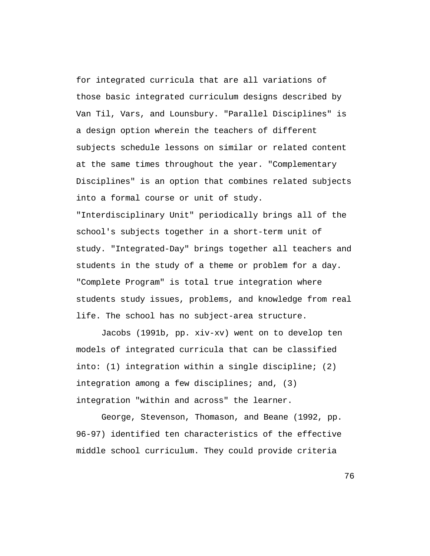for integrated curricula that are all variations of those basic integrated curriculum designs described by Van Til, Vars, and Lounsbury. "Parallel Disciplines" is a design option wherein the teachers of different subjects schedule lessons on similar or related content at the same times throughout the year. "Complementary Disciplines" is an option that combines related subjects into a formal course or unit of study.

"Interdisciplinary Unit" periodically brings all of the school's subjects together in a short-term unit of study. "Integrated-Day" brings together all teachers and students in the study of a theme or problem for a day. "Complete Program" is total true integration where students study issues, problems, and knowledge from real life. The school has no subject-area structure.

Jacobs (1991b, pp. xiv-xv) went on to develop ten models of integrated curricula that can be classified into: (1) integration within a single discipline; (2) integration among a few disciplines; and, (3) integration "within and across" the learner.

George, Stevenson, Thomason, and Beane (1992, pp. 96-97) identified ten characteristics of the effective middle school curriculum. They could provide criteria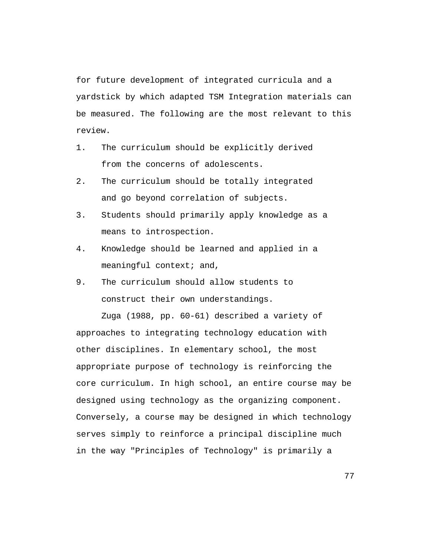for future development of integrated curricula and a yardstick by which adapted TSM Integration materials can be measured. The following are the most relevant to this review.

- 1. The curriculum should be explicitly derived from the concerns of adolescents.
- 2. The curriculum should be totally integrated and go beyond correlation of subjects.
- 3. Students should primarily apply knowledge as a means to introspection.
- 4. Knowledge should be learned and applied in a meaningful context; and,
- 9. The curriculum should allow students to construct their own understandings.

Zuga (1988, pp. 60-61) described a variety of approaches to integrating technology education with other disciplines. In elementary school, the most appropriate purpose of technology is reinforcing the core curriculum. In high school, an entire course may be designed using technology as the organizing component. Conversely, a course may be designed in which technology serves simply to reinforce a principal discipline much in the way "Principles of Technology" is primarily a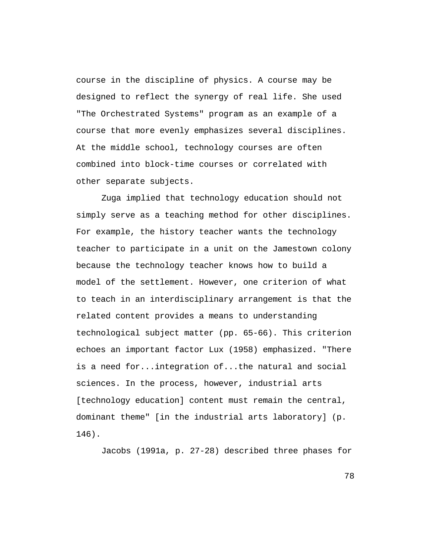course in the discipline of physics. A course may be designed to reflect the synergy of real life. She used "The Orchestrated Systems" program as an example of a course that more evenly emphasizes several disciplines. At the middle school, technology courses are often combined into block-time courses or correlated with other separate subjects.

Zuga implied that technology education should not simply serve as a teaching method for other disciplines. For example, the history teacher wants the technology teacher to participate in a unit on the Jamestown colony because the technology teacher knows how to build a model of the settlement. However, one criterion of what to teach in an interdisciplinary arrangement is that the related content provides a means to understanding technological subject matter (pp. 65-66). This criterion echoes an important factor Lux (1958) emphasized. "There is a need for...integration of...the natural and social sciences. In the process, however, industrial arts [technology education] content must remain the central, dominant theme" [in the industrial arts laboratory] (p. 146).

Jacobs (1991a, p. 27-28) described three phases for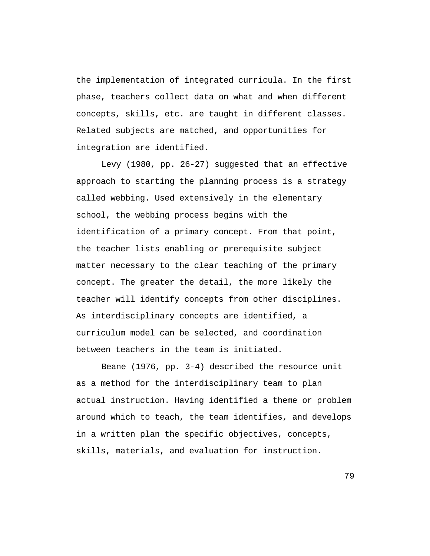the implementation of integrated curricula. In the first phase, teachers collect data on what and when different concepts, skills, etc. are taught in different classes. Related subjects are matched, and opportunities for integration are identified.

Levy (1980, pp. 26-27) suggested that an effective approach to starting the planning process is a strategy called webbing. Used extensively in the elementary school, the webbing process begins with the identification of a primary concept. From that point, the teacher lists enabling or prerequisite subject matter necessary to the clear teaching of the primary concept. The greater the detail, the more likely the teacher will identify concepts from other disciplines. As interdisciplinary concepts are identified, a curriculum model can be selected, and coordination between teachers in the team is initiated.

Beane (1976, pp. 3-4) described the resource unit as a method for the interdisciplinary team to plan actual instruction. Having identified a theme or problem around which to teach, the team identifies, and develops in a written plan the specific objectives, concepts, skills, materials, and evaluation for instruction.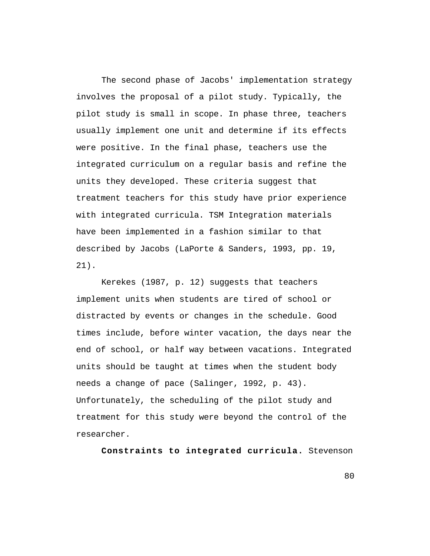The second phase of Jacobs' implementation strategy involves the proposal of a pilot study. Typically, the pilot study is small in scope. In phase three, teachers usually implement one unit and determine if its effects were positive. In the final phase, teachers use the integrated curriculum on a regular basis and refine the units they developed. These criteria suggest that treatment teachers for this study have prior experience with integrated curricula. TSM Integration materials have been implemented in a fashion similar to that described by Jacobs (LaPorte & Sanders, 1993, pp. 19, 21).

Kerekes (1987, p. 12) suggests that teachers implement units when students are tired of school or distracted by events or changes in the schedule. Good times include, before winter vacation, the days near the end of school, or half way between vacations. Integrated units should be taught at times when the student body needs a change of pace (Salinger, 1992, p. 43). Unfortunately, the scheduling of the pilot study and treatment for this study were beyond the control of the researcher.

**Constraints to integrated curricula.** Stevenson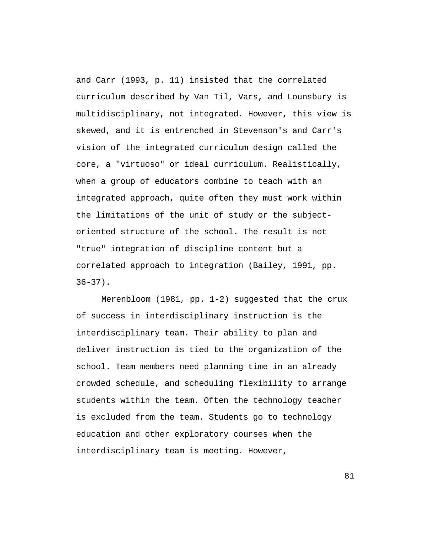and Carr (1993, p. 11) insisted that the correlated curriculum described by Van Til, Vars, and Lounsbury is multidisciplinary, not integrated. However, this view is skewed, and it is entrenched in Stevenson's and Carr's vision of the integrated curriculum design called the core, a "virtuoso" or ideal curriculum. Realistically, when a group of educators combine to teach with an integrated approach, quite often they must work within the limitations of the unit of study or the subjectoriented structure of the school. The result is not "true" integration of discipline content but a correlated approach to integration (Bailey, 1991, pp.  $36-37$ ).

Merenbloom (1981, pp. 1-2) suggested that the crux of success in interdisciplinary instruction is the interdisciplinary team. Their ability to plan and deliver instruction is tied to the organization of the school. Team members need planning time in an already crowded schedule, and scheduling flexibility to arrange students within the team. Often the technology teacher is excluded from the team. Students go to technology education and other exploratory courses when the interdisciplinary team is meeting. However,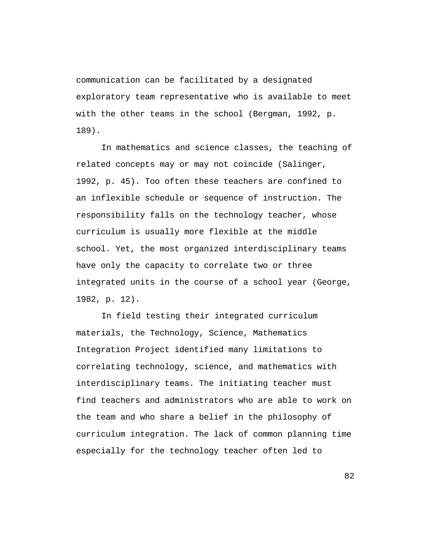communication can be facilitated by a designated exploratory team representative who is available to meet with the other teams in the school (Bergman, 1992, p. 189).

In mathematics and science classes, the teaching of related concepts may or may not coincide (Salinger, 1992, p. 45). Too often these teachers are confined to an inflexible schedule or sequence of instruction. The responsibility falls on the technology teacher, whose curriculum is usually more flexible at the middle school. Yet, the most organized interdisciplinary teams have only the capacity to correlate two or three integrated units in the course of a school year (George, 1982, p. 12).

In field testing their integrated curriculum materials, the Technology, Science, Mathematics Integration Project identified many limitations to correlating technology, science, and mathematics with interdisciplinary teams. The initiating teacher must find teachers and administrators who are able to work on the team and who share a belief in the philosophy of curriculum integration. The lack of common planning time especially for the technology teacher often led to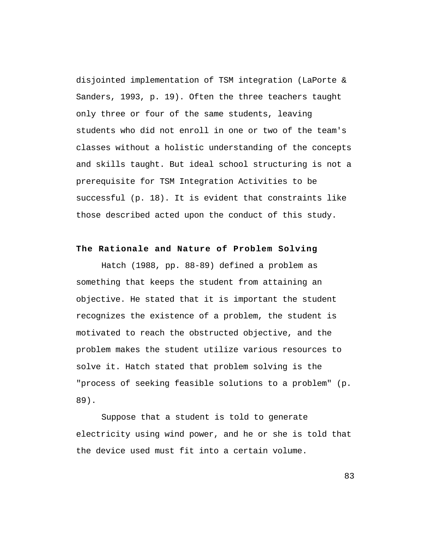disjointed implementation of TSM integration (LaPorte & Sanders, 1993, p. 19). Often the three teachers taught only three or four of the same students, leaving students who did not enroll in one or two of the team's classes without a holistic understanding of the concepts and skills taught. But ideal school structuring is not a prerequisite for TSM Integration Activities to be successful (p. 18). It is evident that constraints like those described acted upon the conduct of this study.

## **The Rationale and Nature of Problem Solving**

Hatch (1988, pp. 88-89) defined a problem as something that keeps the student from attaining an objective. He stated that it is important the student recognizes the existence of a problem, the student is motivated to reach the obstructed objective, and the problem makes the student utilize various resources to solve it. Hatch stated that problem solving is the "process of seeking feasible solutions to a problem" (p. 89).

Suppose that a student is told to generate electricity using wind power, and he or she is told that the device used must fit into a certain volume.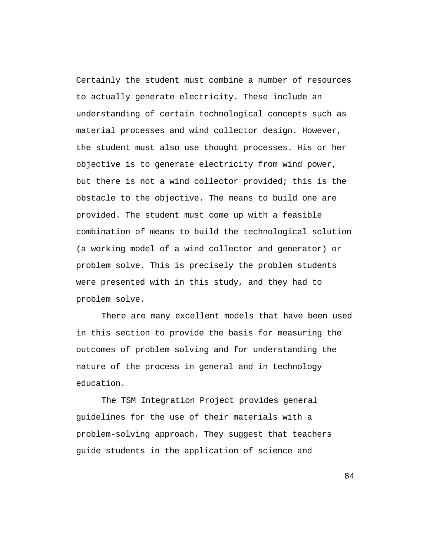Certainly the student must combine a number of resources to actually generate electricity. These include an understanding of certain technological concepts such as material processes and wind collector design. However, the student must also use thought processes. His or her objective is to generate electricity from wind power, but there is not a wind collector provided; this is the obstacle to the objective. The means to build one are provided. The student must come up with a feasible combination of means to build the technological solution (a working model of a wind collector and generator) or problem solve. This is precisely the problem students were presented with in this study, and they had to problem solve.

There are many excellent models that have been used in this section to provide the basis for measuring the outcomes of problem solving and for understanding the nature of the process in general and in technology education.

The TSM Integration Project provides general guidelines for the use of their materials with a problem-solving approach. They suggest that teachers guide students in the application of science and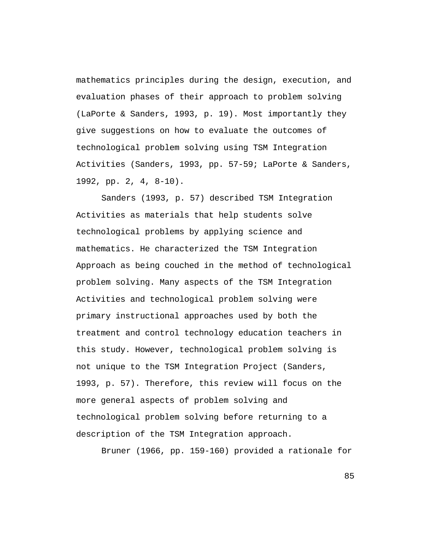mathematics principles during the design, execution, and evaluation phases of their approach to problem solving (LaPorte & Sanders, 1993, p. 19). Most importantly they give suggestions on how to evaluate the outcomes of technological problem solving using TSM Integration Activities (Sanders, 1993, pp. 57-59; LaPorte & Sanders, 1992, pp. 2, 4, 8-10).

Sanders (1993, p. 57) described TSM Integration Activities as materials that help students solve technological problems by applying science and mathematics. He characterized the TSM Integration Approach as being couched in the method of technological problem solving. Many aspects of the TSM Integration Activities and technological problem solving were primary instructional approaches used by both the treatment and control technology education teachers in this study. However, technological problem solving is not unique to the TSM Integration Project (Sanders, 1993, p. 57). Therefore, this review will focus on the more general aspects of problem solving and technological problem solving before returning to a description of the TSM Integration approach.

Bruner (1966, pp. 159-160) provided a rationale for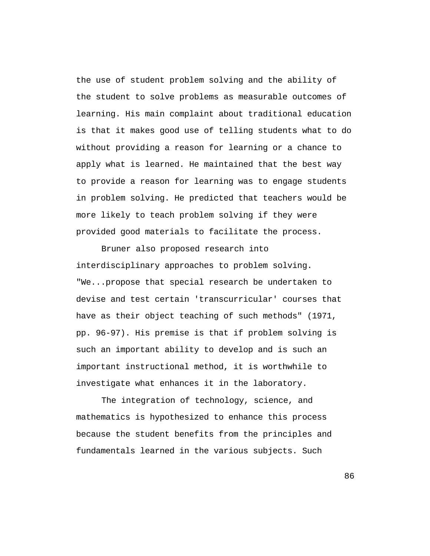the use of student problem solving and the ability of the student to solve problems as measurable outcomes of learning. His main complaint about traditional education is that it makes good use of telling students what to do without providing a reason for learning or a chance to apply what is learned. He maintained that the best way to provide a reason for learning was to engage students in problem solving. He predicted that teachers would be more likely to teach problem solving if they were provided good materials to facilitate the process.

Bruner also proposed research into interdisciplinary approaches to problem solving. "We...propose that special research be undertaken to devise and test certain 'transcurricular' courses that have as their object teaching of such methods" (1971, pp. 96-97). His premise is that if problem solving is such an important ability to develop and is such an important instructional method, it is worthwhile to investigate what enhances it in the laboratory.

The integration of technology, science, and mathematics is hypothesized to enhance this process because the student benefits from the principles and fundamentals learned in the various subjects. Such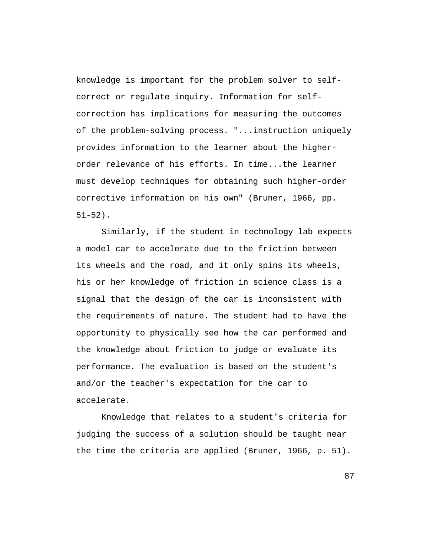knowledge is important for the problem solver to selfcorrect or regulate inquiry. Information for selfcorrection has implications for measuring the outcomes of the problem-solving process. "...instruction uniquely provides information to the learner about the higherorder relevance of his efforts. In time...the learner must develop techniques for obtaining such higher-order corrective information on his own" (Bruner, 1966, pp. 51-52).

Similarly, if the student in technology lab expects a model car to accelerate due to the friction between its wheels and the road, and it only spins its wheels, his or her knowledge of friction in science class is a signal that the design of the car is inconsistent with the requirements of nature. The student had to have the opportunity to physically see how the car performed and the knowledge about friction to judge or evaluate its performance. The evaluation is based on the student's and/or the teacher's expectation for the car to accelerate.

Knowledge that relates to a student's criteria for judging the success of a solution should be taught near the time the criteria are applied (Bruner, 1966, p. 51).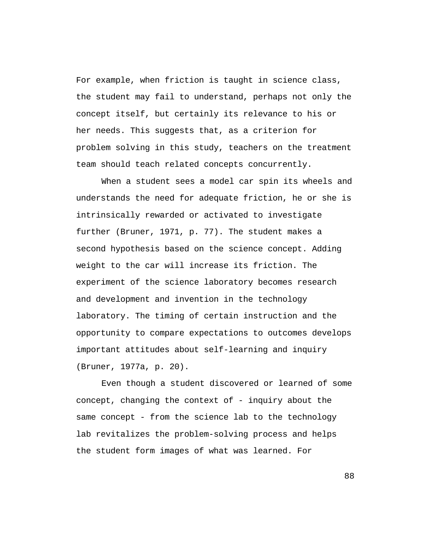For example, when friction is taught in science class, the student may fail to understand, perhaps not only the concept itself, but certainly its relevance to his or her needs. This suggests that, as a criterion for problem solving in this study, teachers on the treatment team should teach related concepts concurrently.

When a student sees a model car spin its wheels and understands the need for adequate friction, he or she is intrinsically rewarded or activated to investigate further (Bruner, 1971, p. 77). The student makes a second hypothesis based on the science concept. Adding weight to the car will increase its friction. The experiment of the science laboratory becomes research and development and invention in the technology laboratory. The timing of certain instruction and the opportunity to compare expectations to outcomes develops important attitudes about self-learning and inquiry (Bruner, 1977a, p. 20).

Even though a student discovered or learned of some concept, changing the context of - inquiry about the same concept - from the science lab to the technology lab revitalizes the problem-solving process and helps the student form images of what was learned. For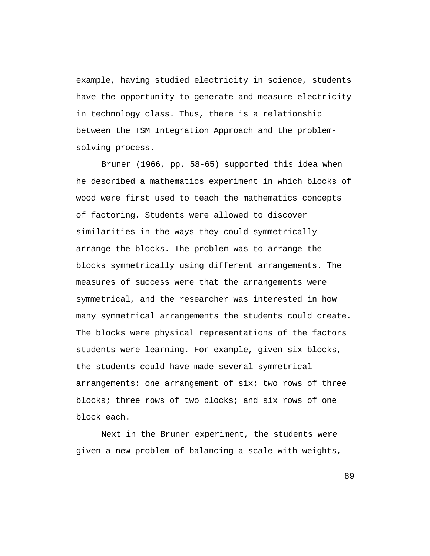example, having studied electricity in science, students have the opportunity to generate and measure electricity in technology class. Thus, there is a relationship between the TSM Integration Approach and the problemsolving process.

Bruner (1966, pp. 58-65) supported this idea when he described a mathematics experiment in which blocks of wood were first used to teach the mathematics concepts of factoring. Students were allowed to discover similarities in the ways they could symmetrically arrange the blocks. The problem was to arrange the blocks symmetrically using different arrangements. The measures of success were that the arrangements were symmetrical, and the researcher was interested in how many symmetrical arrangements the students could create. The blocks were physical representations of the factors students were learning. For example, given six blocks, the students could have made several symmetrical arrangements: one arrangement of six; two rows of three blocks; three rows of two blocks; and six rows of one block each.

Next in the Bruner experiment, the students were given a new problem of balancing a scale with weights,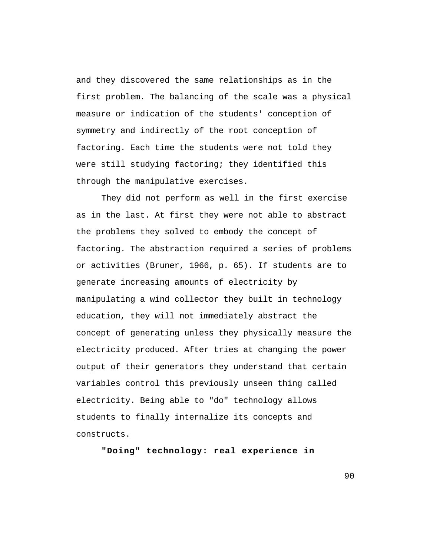and they discovered the same relationships as in the first problem. The balancing of the scale was a physical measure or indication of the students' conception of symmetry and indirectly of the root conception of factoring. Each time the students were not told they were still studying factoring; they identified this through the manipulative exercises.

They did not perform as well in the first exercise as in the last. At first they were not able to abstract the problems they solved to embody the concept of factoring. The abstraction required a series of problems or activities (Bruner, 1966, p. 65). If students are to generate increasing amounts of electricity by manipulating a wind collector they built in technology education, they will not immediately abstract the concept of generating unless they physically measure the electricity produced. After tries at changing the power output of their generators they understand that certain variables control this previously unseen thing called electricity. Being able to "do" technology allows students to finally internalize its concepts and constructs.

**"Doing" technology: real experience in**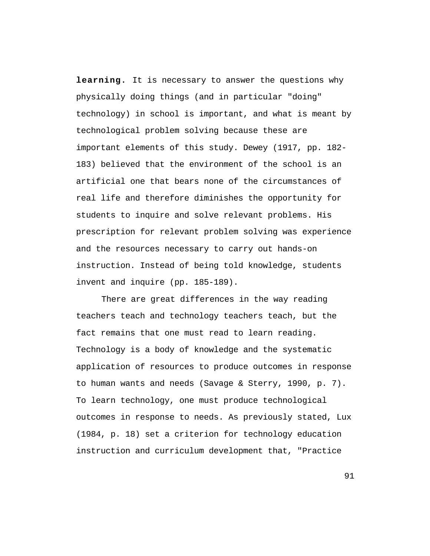**learning.** It is necessary to answer the questions why physically doing things (and in particular "doing" technology) in school is important, and what is meant by technological problem solving because these are important elements of this study. Dewey (1917, pp. 182- 183) believed that the environment of the school is an artificial one that bears none of the circumstances of real life and therefore diminishes the opportunity for students to inquire and solve relevant problems. His prescription for relevant problem solving was experience and the resources necessary to carry out hands-on instruction. Instead of being told knowledge, students invent and inquire (pp. 185-189).

There are great differences in the way reading teachers teach and technology teachers teach, but the fact remains that one must read to learn reading. Technology is a body of knowledge and the systematic application of resources to produce outcomes in response to human wants and needs (Savage & Sterry, 1990, p. 7). To learn technology, one must produce technological outcomes in response to needs. As previously stated, Lux (1984, p. 18) set a criterion for technology education instruction and curriculum development that, "Practice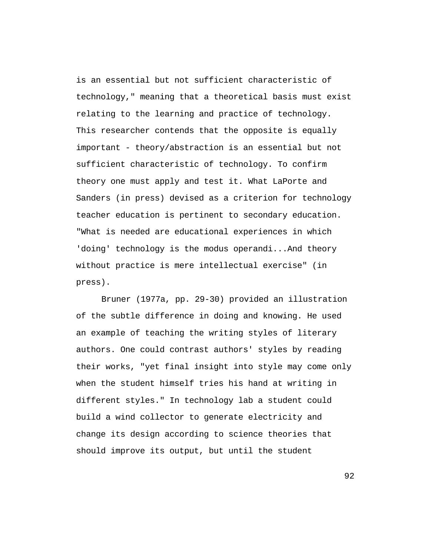is an essential but not sufficient characteristic of technology," meaning that a theoretical basis must exist relating to the learning and practice of technology. This researcher contends that the opposite is equally important - theory/abstraction is an essential but not sufficient characteristic of technology. To confirm theory one must apply and test it. What LaPorte and Sanders (in press) devised as a criterion for technology teacher education is pertinent to secondary education. "What is needed are educational experiences in which 'doing' technology is the modus operandi...And theory without practice is mere intellectual exercise" (in press).

Bruner (1977a, pp. 29-30) provided an illustration of the subtle difference in doing and knowing. He used an example of teaching the writing styles of literary authors. One could contrast authors' styles by reading their works, "yet final insight into style may come only when the student himself tries his hand at writing in different styles." In technology lab a student could build a wind collector to generate electricity and change its design according to science theories that should improve its output, but until the student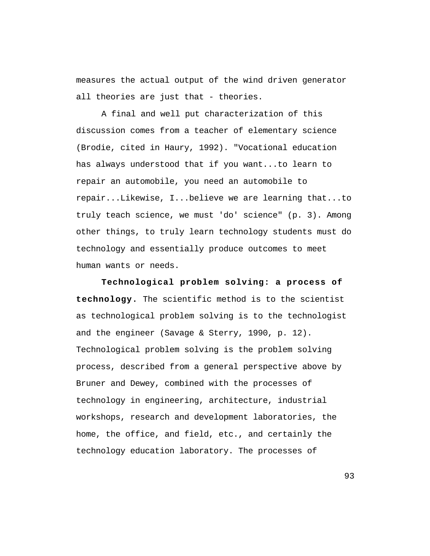measures the actual output of the wind driven generator all theories are just that - theories.

A final and well put characterization of this discussion comes from a teacher of elementary science (Brodie, cited in Haury, 1992). "Vocational education has always understood that if you want...to learn to repair an automobile, you need an automobile to repair...Likewise, I...believe we are learning that...to truly teach science, we must 'do' science" (p. 3). Among other things, to truly learn technology students must do technology and essentially produce outcomes to meet human wants or needs.

**Technological problem solving: a process of technology.** The scientific method is to the scientist as technological problem solving is to the technologist and the engineer (Savage & Sterry, 1990, p. 12). Technological problem solving is the problem solving process, described from a general perspective above by Bruner and Dewey, combined with the processes of technology in engineering, architecture, industrial workshops, research and development laboratories, the home, the office, and field, etc., and certainly the technology education laboratory. The processes of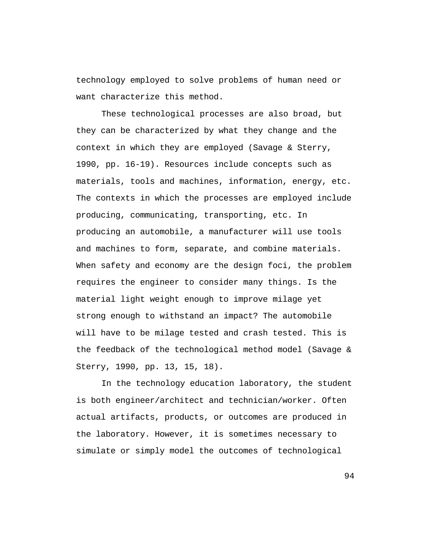technology employed to solve problems of human need or want characterize this method.

These technological processes are also broad, but they can be characterized by what they change and the context in which they are employed (Savage & Sterry, 1990, pp. 16-19). Resources include concepts such as materials, tools and machines, information, energy, etc. The contexts in which the processes are employed include producing, communicating, transporting, etc. In producing an automobile, a manufacturer will use tools and machines to form, separate, and combine materials. When safety and economy are the design foci, the problem requires the engineer to consider many things. Is the material light weight enough to improve milage yet strong enough to withstand an impact? The automobile will have to be milage tested and crash tested. This is the feedback of the technological method model (Savage & Sterry, 1990, pp. 13, 15, 18).

In the technology education laboratory, the student is both engineer/architect and technician/worker. Often actual artifacts, products, or outcomes are produced in the laboratory. However, it is sometimes necessary to simulate or simply model the outcomes of technological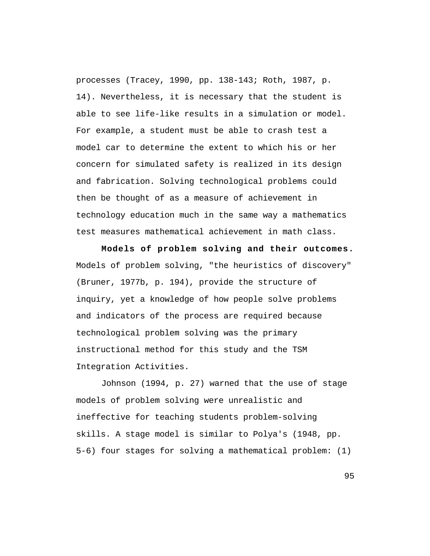processes (Tracey, 1990, pp. 138-143; Roth, 1987, p. 14). Nevertheless, it is necessary that the student is able to see life-like results in a simulation or model. For example, a student must be able to crash test a model car to determine the extent to which his or her concern for simulated safety is realized in its design and fabrication. Solving technological problems could then be thought of as a measure of achievement in technology education much in the same way a mathematics test measures mathematical achievement in math class.

**Models of problem solving and their outcomes.** Models of problem solving, "the heuristics of discovery" (Bruner, 1977b, p. 194), provide the structure of inquiry, yet a knowledge of how people solve problems and indicators of the process are required because technological problem solving was the primary instructional method for this study and the TSM Integration Activities.

Johnson (1994, p. 27) warned that the use of stage models of problem solving were unrealistic and ineffective for teaching students problem-solving skills. A stage model is similar to Polya's (1948, pp. 5-6) four stages for solving a mathematical problem: (1)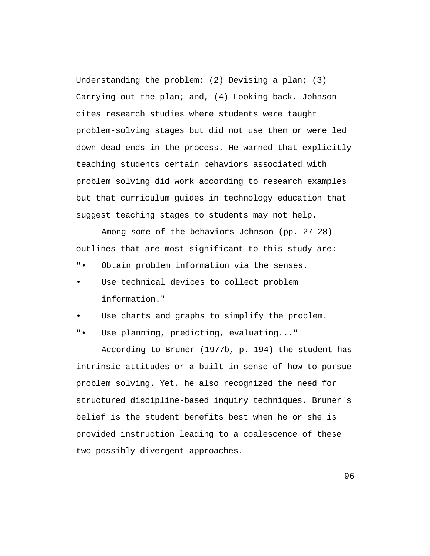Understanding the problem; (2) Devising a plan; (3) Carrying out the plan; and, (4) Looking back. Johnson cites research studies where students were taught problem-solving stages but did not use them or were led down dead ends in the process. He warned that explicitly teaching students certain behaviors associated with problem solving did work according to research examples but that curriculum guides in technology education that suggest teaching stages to students may not help.

Among some of the behaviors Johnson (pp. 27-28) outlines that are most significant to this study are:

- "• Obtain problem information via the senses.
- Use technical devices to collect problem information."
- Use charts and graphs to simplify the problem.
- "• Use planning, predicting, evaluating..."

According to Bruner (1977b, p. 194) the student has intrinsic attitudes or a built-in sense of how to pursue problem solving. Yet, he also recognized the need for structured discipline-based inquiry techniques. Bruner's belief is the student benefits best when he or she is provided instruction leading to a coalescence of these two possibly divergent approaches.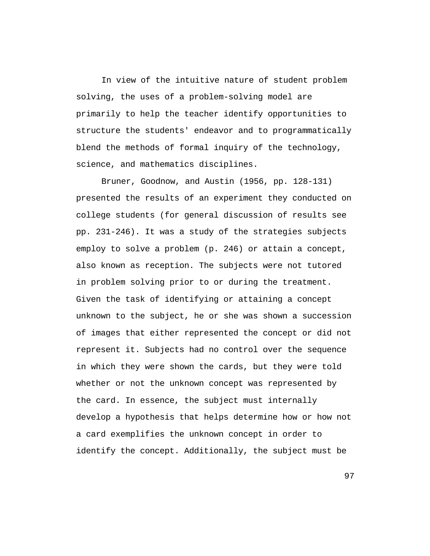In view of the intuitive nature of student problem solving, the uses of a problem-solving model are primarily to help the teacher identify opportunities to structure the students' endeavor and to programmatically blend the methods of formal inquiry of the technology, science, and mathematics disciplines.

Bruner, Goodnow, and Austin (1956, pp. 128-131) presented the results of an experiment they conducted on college students (for general discussion of results see pp. 231-246). It was a study of the strategies subjects employ to solve a problem (p. 246) or attain a concept, also known as reception. The subjects were not tutored in problem solving prior to or during the treatment. Given the task of identifying or attaining a concept unknown to the subject, he or she was shown a succession of images that either represented the concept or did not represent it. Subjects had no control over the sequence in which they were shown the cards, but they were told whether or not the unknown concept was represented by the card. In essence, the subject must internally develop a hypothesis that helps determine how or how not a card exemplifies the unknown concept in order to identify the concept. Additionally, the subject must be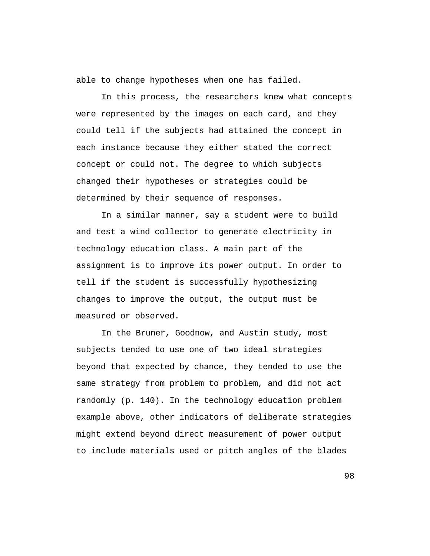able to change hypotheses when one has failed.

In this process, the researchers knew what concepts were represented by the images on each card, and they could tell if the subjects had attained the concept in each instance because they either stated the correct concept or could not. The degree to which subjects changed their hypotheses or strategies could be determined by their sequence of responses.

In a similar manner, say a student were to build and test a wind collector to generate electricity in technology education class. A main part of the assignment is to improve its power output. In order to tell if the student is successfully hypothesizing changes to improve the output, the output must be measured or observed.

In the Bruner, Goodnow, and Austin study, most subjects tended to use one of two ideal strategies beyond that expected by chance, they tended to use the same strategy from problem to problem, and did not act randomly (p. 140). In the technology education problem example above, other indicators of deliberate strategies might extend beyond direct measurement of power output to include materials used or pitch angles of the blades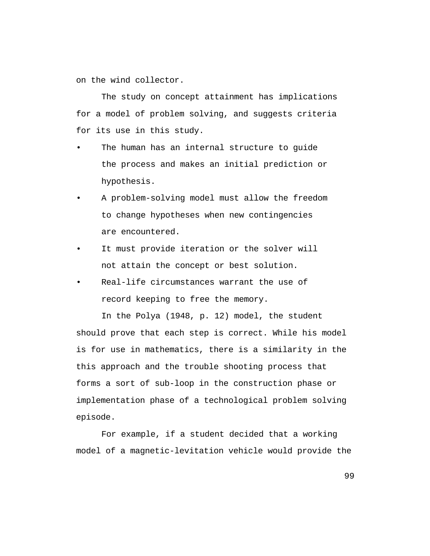on the wind collector.

The study on concept attainment has implications for a model of problem solving, and suggests criteria for its use in this study.

- The human has an internal structure to quide the process and makes an initial prediction or hypothesis.
- A problem-solving model must allow the freedom to change hypotheses when new contingencies are encountered.
- It must provide iteration or the solver will not attain the concept or best solution.
- Real-life circumstances warrant the use of record keeping to free the memory.

In the Polya (1948, p. 12) model, the student should prove that each step is correct. While his model is for use in mathematics, there is a similarity in the this approach and the trouble shooting process that forms a sort of sub-loop in the construction phase or implementation phase of a technological problem solving episode.

For example, if a student decided that a working model of a magnetic-levitation vehicle would provide the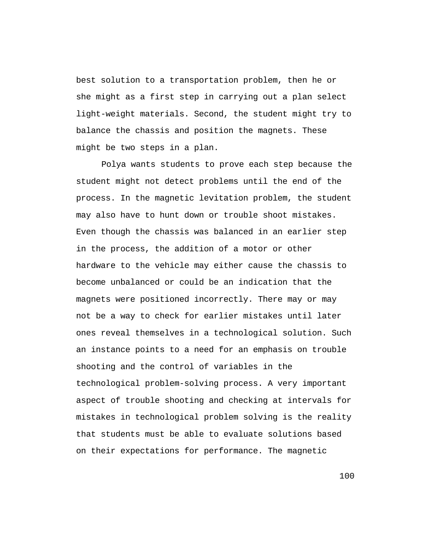best solution to a transportation problem, then he or she might as a first step in carrying out a plan select light-weight materials. Second, the student might try to balance the chassis and position the magnets. These might be two steps in a plan.

Polya wants students to prove each step because the student might not detect problems until the end of the process. In the magnetic levitation problem, the student may also have to hunt down or trouble shoot mistakes. Even though the chassis was balanced in an earlier step in the process, the addition of a motor or other hardware to the vehicle may either cause the chassis to become unbalanced or could be an indication that the magnets were positioned incorrectly. There may or may not be a way to check for earlier mistakes until later ones reveal themselves in a technological solution. Such an instance points to a need for an emphasis on trouble shooting and the control of variables in the technological problem-solving process. A very important aspect of trouble shooting and checking at intervals for mistakes in technological problem solving is the reality that students must be able to evaluate solutions based on their expectations for performance. The magnetic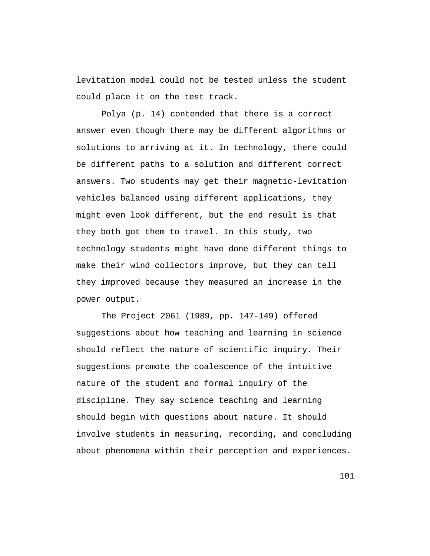levitation model could not be tested unless the student could place it on the test track.

Polya (p. 14) contended that there is a correct answer even though there may be different algorithms or solutions to arriving at it. In technology, there could be different paths to a solution and different correct answers. Two students may get their magnetic-levitation vehicles balanced using different applications, they might even look different, but the end result is that they both got them to travel. In this study, two technology students might have done different things to make their wind collectors improve, but they can tell they improved because they measured an increase in the power output.

The Project 2061 (1989, pp. 147-149) offered suggestions about how teaching and learning in science should reflect the nature of scientific inquiry. Their suggestions promote the coalescence of the intuitive nature of the student and formal inquiry of the discipline. They say science teaching and learning should begin with questions about nature. It should involve students in measuring, recording, and concluding about phenomena within their perception and experiences.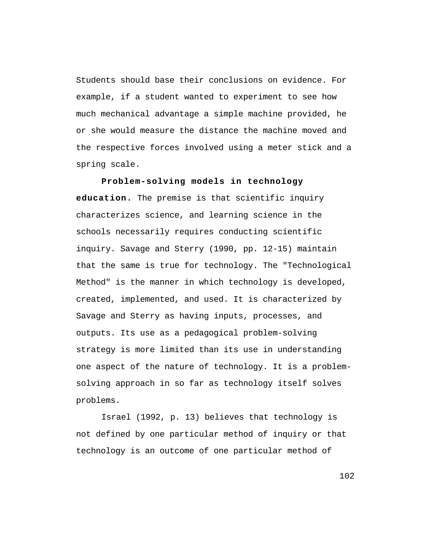Students should base their conclusions on evidence. For example, if a student wanted to experiment to see how much mechanical advantage a simple machine provided, he or she would measure the distance the machine moved and the respective forces involved using a meter stick and a spring scale.

**Problem-solving models in technology education.** The premise is that scientific inquiry characterizes science, and learning science in the schools necessarily requires conducting scientific inquiry. Savage and Sterry (1990, pp. 12-15) maintain that the same is true for technology. The "Technological Method" is the manner in which technology is developed, created, implemented, and used. It is characterized by Savage and Sterry as having inputs, processes, and outputs. Its use as a pedagogical problem-solving strategy is more limited than its use in understanding one aspect of the nature of technology. It is a problemsolving approach in so far as technology itself solves problems.

Israel (1992, p. 13) believes that technology is not defined by one particular method of inquiry or that technology is an outcome of one particular method of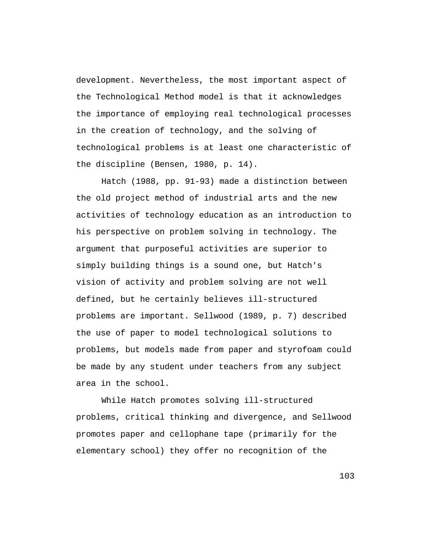development. Nevertheless, the most important aspect of the Technological Method model is that it acknowledges the importance of employing real technological processes in the creation of technology, and the solving of technological problems is at least one characteristic of the discipline (Bensen, 1980, p. 14).

Hatch (1988, pp. 91-93) made a distinction between the old project method of industrial arts and the new activities of technology education as an introduction to his perspective on problem solving in technology. The argument that purposeful activities are superior to simply building things is a sound one, but Hatch's vision of activity and problem solving are not well defined, but he certainly believes ill-structured problems are important. Sellwood (1989, p. 7) described the use of paper to model technological solutions to problems, but models made from paper and styrofoam could be made by any student under teachers from any subject area in the school.

While Hatch promotes solving ill-structured problems, critical thinking and divergence, and Sellwood promotes paper and cellophane tape (primarily for the elementary school) they offer no recognition of the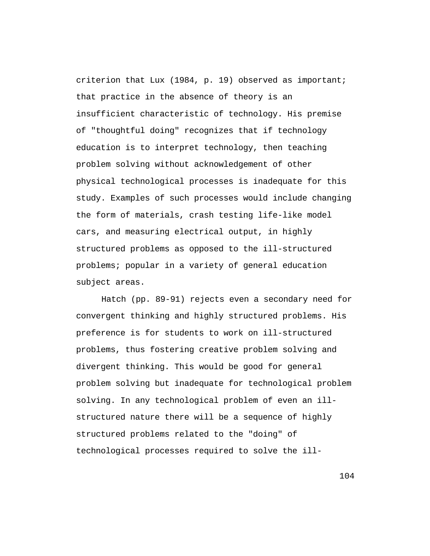criterion that Lux (1984, p. 19) observed as important; that practice in the absence of theory is an insufficient characteristic of technology. His premise of "thoughtful doing" recognizes that if technology education is to interpret technology, then teaching problem solving without acknowledgement of other physical technological processes is inadequate for this study. Examples of such processes would include changing the form of materials, crash testing life-like model cars, and measuring electrical output, in highly structured problems as opposed to the ill-structured problems; popular in a variety of general education subject areas.

Hatch (pp. 89-91) rejects even a secondary need for convergent thinking and highly structured problems. His preference is for students to work on ill-structured problems, thus fostering creative problem solving and divergent thinking. This would be good for general problem solving but inadequate for technological problem solving. In any technological problem of even an illstructured nature there will be a sequence of highly structured problems related to the "doing" of technological processes required to solve the ill-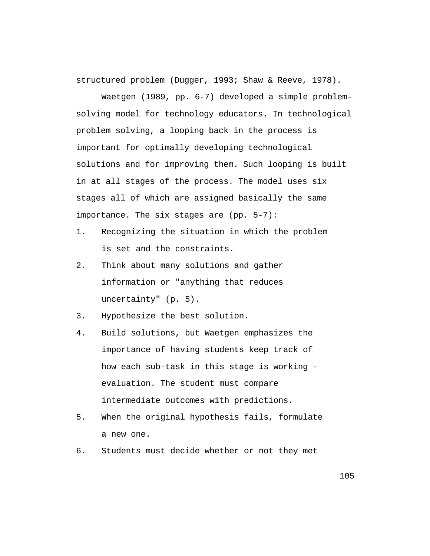structured problem (Dugger, 1993; Shaw & Reeve, 1978).

Waetgen (1989, pp. 6-7) developed a simple problemsolving model for technology educators. In technological problem solving, a looping back in the process is important for optimally developing technological solutions and for improving them. Such looping is built in at all stages of the process. The model uses six stages all of which are assigned basically the same importance. The six stages are (pp. 5-7):

- 1. Recognizing the situation in which the problem is set and the constraints.
- 2. Think about many solutions and gather information or "anything that reduces uncertainty" (p. 5).
- 3. Hypothesize the best solution.
- 4. Build solutions, but Waetgen emphasizes the importance of having students keep track of how each sub-task in this stage is working evaluation. The student must compare intermediate outcomes with predictions.
- 5. When the original hypothesis fails, formulate a new one.
- 6. Students must decide whether or not they met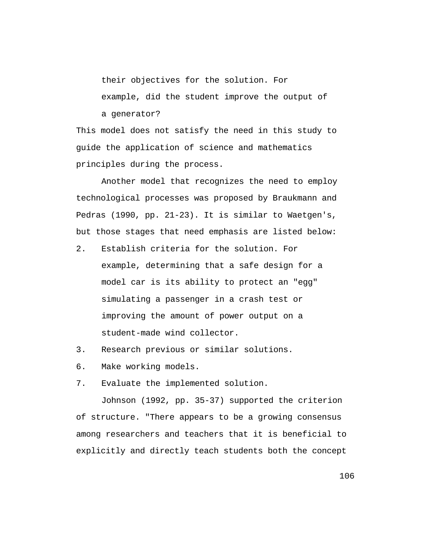their objectives for the solution. For

example, did the student improve the output of a generator?

This model does not satisfy the need in this study to guide the application of science and mathematics principles during the process.

Another model that recognizes the need to employ technological processes was proposed by Braukmann and Pedras (1990, pp. 21-23). It is similar to Waetgen's, but those stages that need emphasis are listed below:

- 2. Establish criteria for the solution. For example, determining that a safe design for a model car is its ability to protect an "egg" simulating a passenger in a crash test or improving the amount of power output on a student-made wind collector.
- 3. Research previous or similar solutions.
- 6. Make working models.
- 7. Evaluate the implemented solution.

Johnson (1992, pp. 35-37) supported the criterion of structure. "There appears to be a growing consensus among researchers and teachers that it is beneficial to explicitly and directly teach students both the concept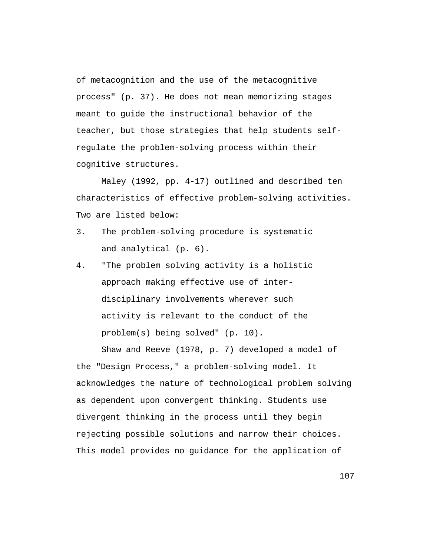of metacognition and the use of the metacognitive process" (p. 37). He does not mean memorizing stages meant to guide the instructional behavior of the teacher, but those strategies that help students selfregulate the problem-solving process within their cognitive structures.

Maley (1992, pp. 4-17) outlined and described ten characteristics of effective problem-solving activities. Two are listed below:

- 3. The problem-solving procedure is systematic and analytical (p. 6).
- 4. "The problem solving activity is a holistic approach making effective use of interdisciplinary involvements wherever such activity is relevant to the conduct of the problem(s) being solved" (p. 10).

Shaw and Reeve (1978, p. 7) developed a model of the "Design Process," a problem-solving model. It acknowledges the nature of technological problem solving as dependent upon convergent thinking. Students use divergent thinking in the process until they begin rejecting possible solutions and narrow their choices. This model provides no guidance for the application of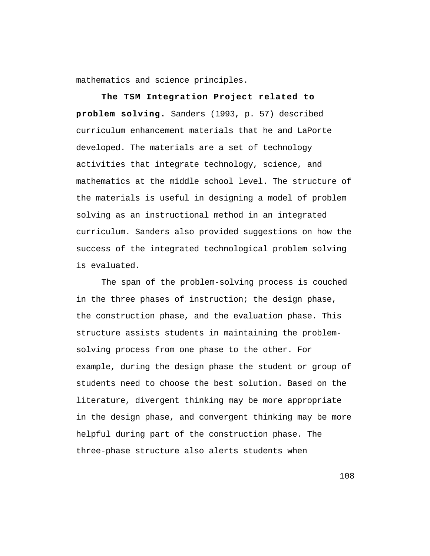mathematics and science principles.

**The TSM Integration Project related to problem solving.** Sanders (1993, p. 57) described curriculum enhancement materials that he and LaPorte developed. The materials are a set of technology activities that integrate technology, science, and mathematics at the middle school level. The structure of the materials is useful in designing a model of problem solving as an instructional method in an integrated curriculum. Sanders also provided suggestions on how the success of the integrated technological problem solving is evaluated.

The span of the problem-solving process is couched in the three phases of instruction; the design phase, the construction phase, and the evaluation phase. This structure assists students in maintaining the problemsolving process from one phase to the other. For example, during the design phase the student or group of students need to choose the best solution. Based on the literature, divergent thinking may be more appropriate in the design phase, and convergent thinking may be more helpful during part of the construction phase. The three-phase structure also alerts students when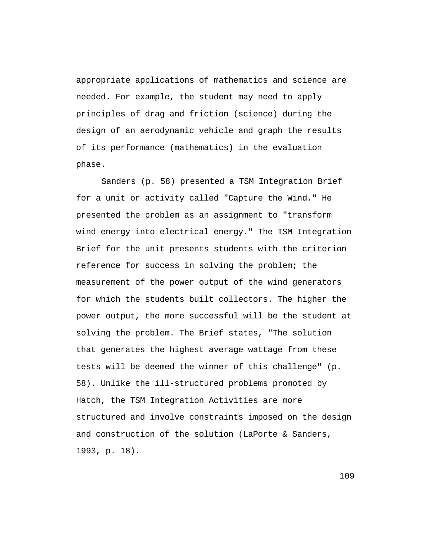appropriate applications of mathematics and science are needed. For example, the student may need to apply principles of drag and friction (science) during the design of an aerodynamic vehicle and graph the results of its performance (mathematics) in the evaluation phase.

Sanders (p. 58) presented a TSM Integration Brief for a unit or activity called "Capture the Wind." He presented the problem as an assignment to "transform wind energy into electrical energy." The TSM Integration Brief for the unit presents students with the criterion reference for success in solving the problem; the measurement of the power output of the wind generators for which the students built collectors. The higher the power output, the more successful will be the student at solving the problem. The Brief states, "The solution that generates the highest average wattage from these tests will be deemed the winner of this challenge" (p. 58). Unlike the ill-structured problems promoted by Hatch, the TSM Integration Activities are more structured and involve constraints imposed on the design and construction of the solution (LaPorte & Sanders, 1993, p. 18).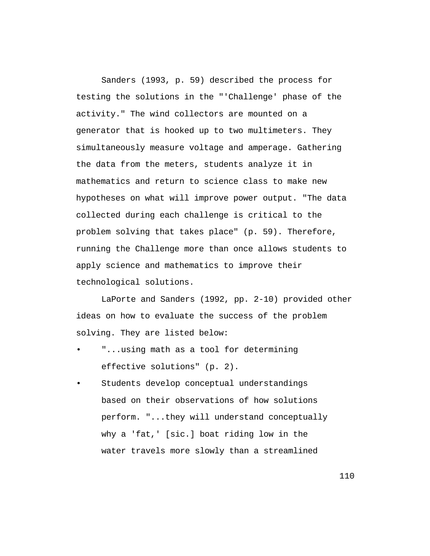Sanders (1993, p. 59) described the process for testing the solutions in the "'Challenge' phase of the activity." The wind collectors are mounted on a generator that is hooked up to two multimeters. They simultaneously measure voltage and amperage. Gathering the data from the meters, students analyze it in mathematics and return to science class to make new hypotheses on what will improve power output. "The data collected during each challenge is critical to the problem solving that takes place" (p. 59). Therefore, running the Challenge more than once allows students to apply science and mathematics to improve their technological solutions.

LaPorte and Sanders (1992, pp. 2-10) provided other ideas on how to evaluate the success of the problem solving. They are listed below:

- "...using math as a tool for determining effective solutions" (p. 2).
- Students develop conceptual understandings based on their observations of how solutions perform. "...they will understand conceptually why a 'fat,' [sic.] boat riding low in the water travels more slowly than a streamlined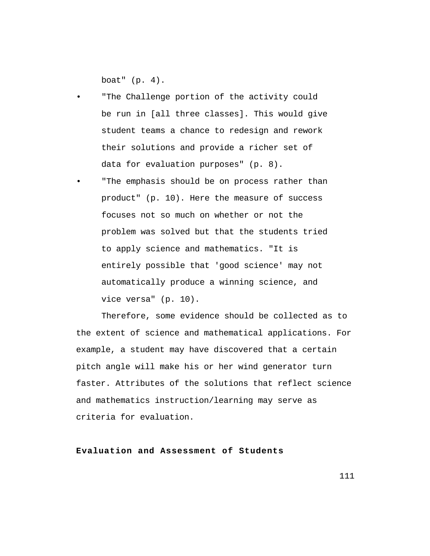boat" (p. 4).

- "The Challenge portion of the activity could be run in [all three classes]. This would give student teams a chance to redesign and rework their solutions and provide a richer set of data for evaluation purposes" (p. 8).
- "The emphasis should be on process rather than product" (p. 10). Here the measure of success focuses not so much on whether or not the problem was solved but that the students tried to apply science and mathematics. "It is entirely possible that 'good science' may not automatically produce a winning science, and vice versa" (p. 10).

Therefore, some evidence should be collected as to the extent of science and mathematical applications. For example, a student may have discovered that a certain pitch angle will make his or her wind generator turn faster. Attributes of the solutions that reflect science and mathematics instruction/learning may serve as criteria for evaluation.

**Evaluation and Assessment of Students**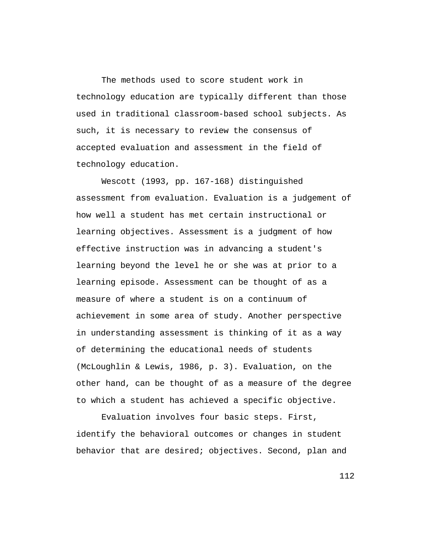The methods used to score student work in technology education are typically different than those used in traditional classroom-based school subjects. As such, it is necessary to review the consensus of accepted evaluation and assessment in the field of technology education.

Wescott (1993, pp. 167-168) distinguished assessment from evaluation. Evaluation is a judgement of how well a student has met certain instructional or learning objectives. Assessment is a judgment of how effective instruction was in advancing a student's learning beyond the level he or she was at prior to a learning episode. Assessment can be thought of as a measure of where a student is on a continuum of achievement in some area of study. Another perspective in understanding assessment is thinking of it as a way of determining the educational needs of students (McLoughlin & Lewis, 1986, p. 3). Evaluation, on the other hand, can be thought of as a measure of the degree to which a student has achieved a specific objective.

Evaluation involves four basic steps. First, identify the behavioral outcomes or changes in student behavior that are desired; objectives. Second, plan and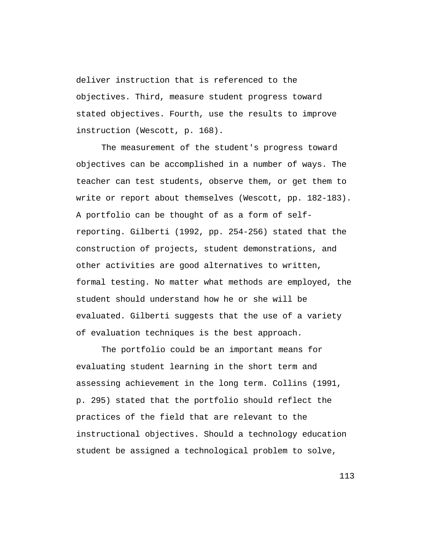deliver instruction that is referenced to the objectives. Third, measure student progress toward stated objectives. Fourth, use the results to improve instruction (Wescott, p. 168).

The measurement of the student's progress toward objectives can be accomplished in a number of ways. The teacher can test students, observe them, or get them to write or report about themselves (Wescott, pp. 182-183). A portfolio can be thought of as a form of selfreporting. Gilberti (1992, pp. 254-256) stated that the construction of projects, student demonstrations, and other activities are good alternatives to written, formal testing. No matter what methods are employed, the student should understand how he or she will be evaluated. Gilberti suggests that the use of a variety of evaluation techniques is the best approach.

The portfolio could be an important means for evaluating student learning in the short term and assessing achievement in the long term. Collins (1991, p. 295) stated that the portfolio should reflect the practices of the field that are relevant to the instructional objectives. Should a technology education student be assigned a technological problem to solve,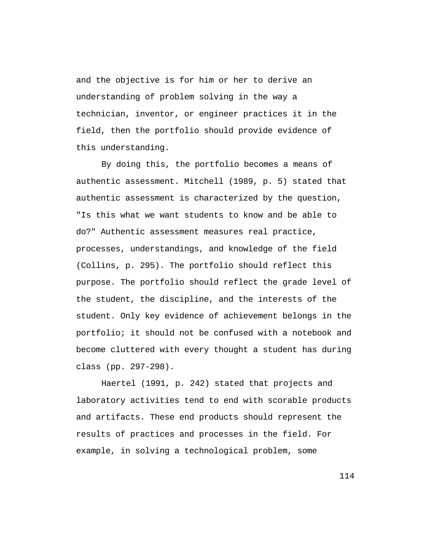and the objective is for him or her to derive an understanding of problem solving in the way a technician, inventor, or engineer practices it in the field, then the portfolio should provide evidence of this understanding.

By doing this, the portfolio becomes a means of authentic assessment. Mitchell (1989, p. 5) stated that authentic assessment is characterized by the question, "Is this what we want students to know and be able to do?" Authentic assessment measures real practice, processes, understandings, and knowledge of the field (Collins, p. 295). The portfolio should reflect this purpose. The portfolio should reflect the grade level of the student, the discipline, and the interests of the student. Only key evidence of achievement belongs in the portfolio; it should not be confused with a notebook and become cluttered with every thought a student has during class (pp. 297-298).

Haertel (1991, p. 242) stated that projects and laboratory activities tend to end with scorable products and artifacts. These end products should represent the results of practices and processes in the field. For example, in solving a technological problem, some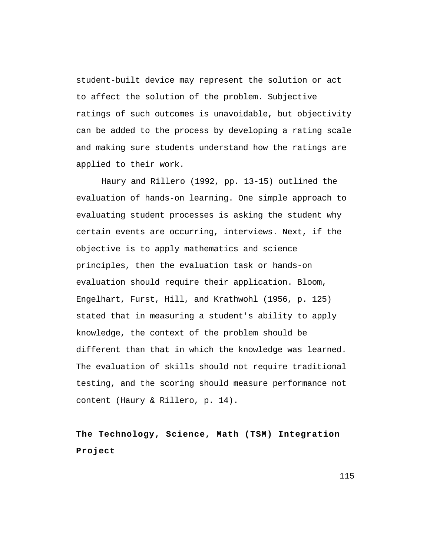student-built device may represent the solution or act to affect the solution of the problem. Subjective ratings of such outcomes is unavoidable, but objectivity can be added to the process by developing a rating scale and making sure students understand how the ratings are applied to their work.

Haury and Rillero (1992, pp. 13-15) outlined the evaluation of hands-on learning. One simple approach to evaluating student processes is asking the student why certain events are occurring, interviews. Next, if the objective is to apply mathematics and science principles, then the evaluation task or hands-on evaluation should require their application. Bloom, Engelhart, Furst, Hill, and Krathwohl (1956, p. 125) stated that in measuring a student's ability to apply knowledge, the context of the problem should be different than that in which the knowledge was learned. The evaluation of skills should not require traditional testing, and the scoring should measure performance not content (Haury & Rillero, p. 14).

**The Technology, Science, Math (TSM) Integration Project**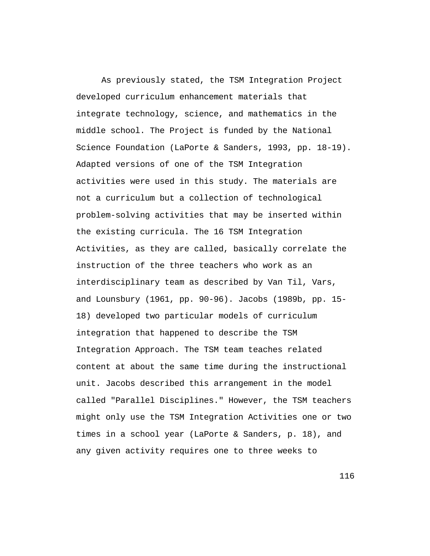As previously stated, the TSM Integration Project developed curriculum enhancement materials that integrate technology, science, and mathematics in the middle school. The Project is funded by the National Science Foundation (LaPorte & Sanders, 1993, pp. 18-19). Adapted versions of one of the TSM Integration activities were used in this study. The materials are not a curriculum but a collection of technological problem-solving activities that may be inserted within the existing curricula. The 16 TSM Integration Activities, as they are called, basically correlate the instruction of the three teachers who work as an interdisciplinary team as described by Van Til, Vars, and Lounsbury (1961, pp. 90-96). Jacobs (1989b, pp. 15- 18) developed two particular models of curriculum integration that happened to describe the TSM Integration Approach. The TSM team teaches related content at about the same time during the instructional unit. Jacobs described this arrangement in the model called "Parallel Disciplines." However, the TSM teachers might only use the TSM Integration Activities one or two times in a school year (LaPorte & Sanders, p. 18), and any given activity requires one to three weeks to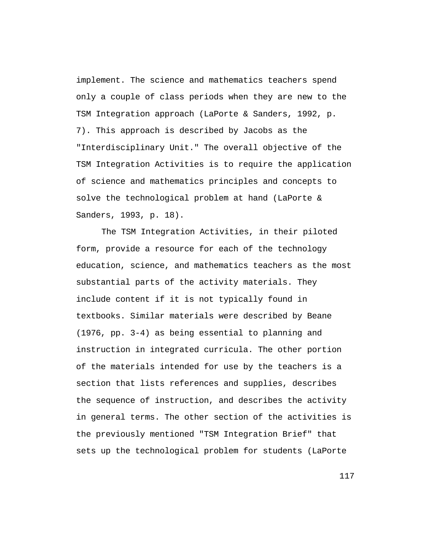implement. The science and mathematics teachers spend only a couple of class periods when they are new to the TSM Integration approach (LaPorte & Sanders, 1992, p. 7). This approach is described by Jacobs as the "Interdisciplinary Unit." The overall objective of the TSM Integration Activities is to require the application of science and mathematics principles and concepts to solve the technological problem at hand (LaPorte & Sanders, 1993, p. 18).

The TSM Integration Activities, in their piloted form, provide a resource for each of the technology education, science, and mathematics teachers as the most substantial parts of the activity materials. They include content if it is not typically found in textbooks. Similar materials were described by Beane (1976, pp. 3-4) as being essential to planning and instruction in integrated curricula. The other portion of the materials intended for use by the teachers is a section that lists references and supplies, describes the sequence of instruction, and describes the activity in general terms. The other section of the activities is the previously mentioned "TSM Integration Brief" that sets up the technological problem for students (LaPorte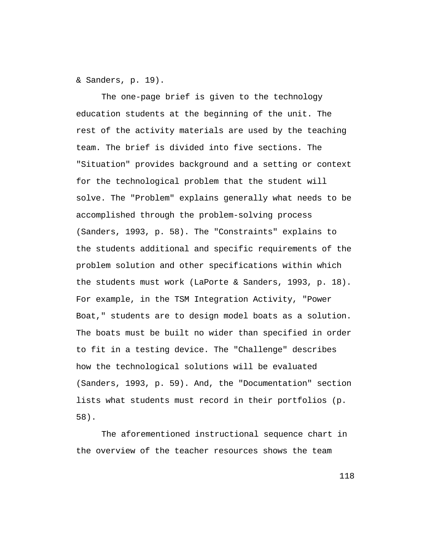& Sanders, p. 19).

The one-page brief is given to the technology education students at the beginning of the unit. The rest of the activity materials are used by the teaching team. The brief is divided into five sections. The "Situation" provides background and a setting or context for the technological problem that the student will solve. The "Problem" explains generally what needs to be accomplished through the problem-solving process (Sanders, 1993, p. 58). The "Constraints" explains to the students additional and specific requirements of the problem solution and other specifications within which the students must work (LaPorte & Sanders, 1993, p. 18). For example, in the TSM Integration Activity, "Power Boat," students are to design model boats as a solution. The boats must be built no wider than specified in order to fit in a testing device. The "Challenge" describes how the technological solutions will be evaluated (Sanders, 1993, p. 59). And, the "Documentation" section lists what students must record in their portfolios (p. 58).

The aforementioned instructional sequence chart in the overview of the teacher resources shows the team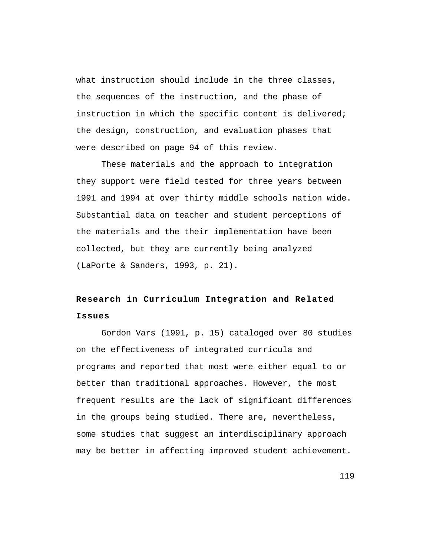what instruction should include in the three classes, the sequences of the instruction, and the phase of instruction in which the specific content is delivered; the design, construction, and evaluation phases that were described on page 94 of this review.

These materials and the approach to integration they support were field tested for three years between 1991 and 1994 at over thirty middle schools nation wide. Substantial data on teacher and student perceptions of the materials and the their implementation have been collected, but they are currently being analyzed (LaPorte & Sanders, 1993, p. 21).

## **Research in Curriculum Integration and Related Issues**

Gordon Vars (1991, p. 15) cataloged over 80 studies on the effectiveness of integrated curricula and programs and reported that most were either equal to or better than traditional approaches. However, the most frequent results are the lack of significant differences in the groups being studied. There are, nevertheless, some studies that suggest an interdisciplinary approach may be better in affecting improved student achievement.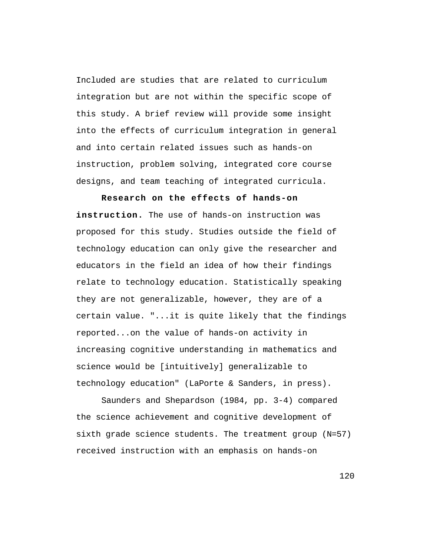Included are studies that are related to curriculum integration but are not within the specific scope of this study. A brief review will provide some insight into the effects of curriculum integration in general and into certain related issues such as hands-on instruction, problem solving, integrated core course designs, and team teaching of integrated curricula.

**Research on the effects of hands-on instruction.** The use of hands-on instruction was proposed for this study. Studies outside the field of technology education can only give the researcher and educators in the field an idea of how their findings relate to technology education. Statistically speaking they are not generalizable, however, they are of a certain value. "...it is quite likely that the findings reported...on the value of hands-on activity in increasing cognitive understanding in mathematics and science would be [intuitively] generalizable to technology education" (LaPorte & Sanders, in press).

Saunders and Shepardson (1984, pp. 3-4) compared the science achievement and cognitive development of sixth grade science students. The treatment group (N=57) received instruction with an emphasis on hands-on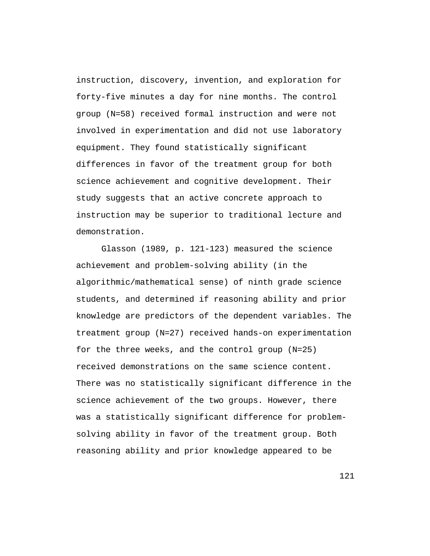instruction, discovery, invention, and exploration for forty-five minutes a day for nine months. The control group (N=58) received formal instruction and were not involved in experimentation and did not use laboratory equipment. They found statistically significant differences in favor of the treatment group for both science achievement and cognitive development. Their study suggests that an active concrete approach to instruction may be superior to traditional lecture and demonstration.

Glasson (1989, p. 121-123) measured the science achievement and problem-solving ability (in the algorithmic/mathematical sense) of ninth grade science students, and determined if reasoning ability and prior knowledge are predictors of the dependent variables. The treatment group (N=27) received hands-on experimentation for the three weeks, and the control group (N=25) received demonstrations on the same science content. There was no statistically significant difference in the science achievement of the two groups. However, there was a statistically significant difference for problemsolving ability in favor of the treatment group. Both reasoning ability and prior knowledge appeared to be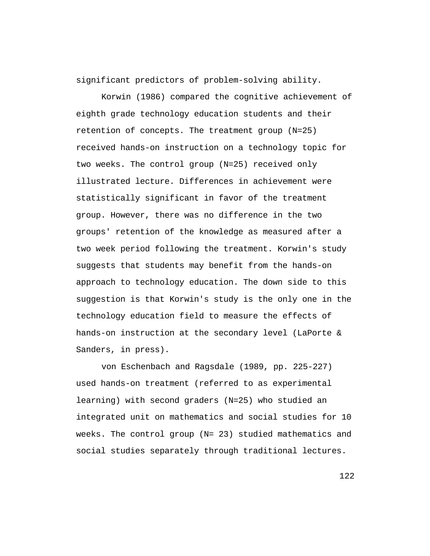significant predictors of problem-solving ability.

Korwin (1986) compared the cognitive achievement of eighth grade technology education students and their retention of concepts. The treatment group (N=25) received hands-on instruction on a technology topic for two weeks. The control group (N=25) received only illustrated lecture. Differences in achievement were statistically significant in favor of the treatment group. However, there was no difference in the two groups' retention of the knowledge as measured after a two week period following the treatment. Korwin's study suggests that students may benefit from the hands-on approach to technology education. The down side to this suggestion is that Korwin's study is the only one in the technology education field to measure the effects of hands-on instruction at the secondary level (LaPorte & Sanders, in press).

von Eschenbach and Ragsdale (1989, pp. 225-227) used hands-on treatment (referred to as experimental learning) with second graders (N=25) who studied an integrated unit on mathematics and social studies for 10 weeks. The control group (N= 23) studied mathematics and social studies separately through traditional lectures.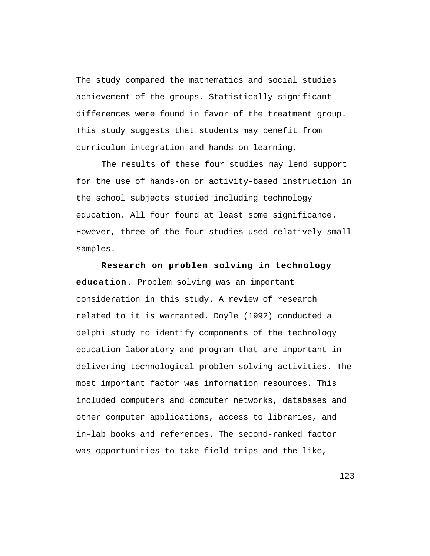The study compared the mathematics and social studies achievement of the groups. Statistically significant differences were found in favor of the treatment group. This study suggests that students may benefit from curriculum integration and hands-on learning.

The results of these four studies may lend support for the use of hands-on or activity-based instruction in the school subjects studied including technology education. All four found at least some significance. However, three of the four studies used relatively small samples.

**Research on problem solving in technology education.** Problem solving was an important consideration in this study. A review of research related to it is warranted. Doyle (1992) conducted a delphi study to identify components of the technology education laboratory and program that are important in delivering technological problem-solving activities. The most important factor was information resources. This included computers and computer networks, databases and other computer applications, access to libraries, and in-lab books and references. The second-ranked factor was opportunities to take field trips and the like,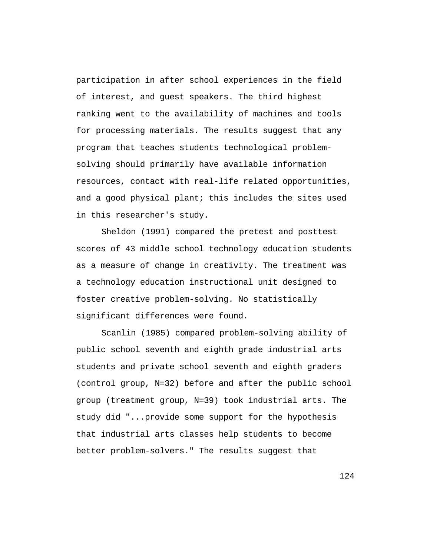participation in after school experiences in the field of interest, and guest speakers. The third highest ranking went to the availability of machines and tools for processing materials. The results suggest that any program that teaches students technological problemsolving should primarily have available information resources, contact with real-life related opportunities, and a good physical plant; this includes the sites used in this researcher's study.

Sheldon (1991) compared the pretest and posttest scores of 43 middle school technology education students as a measure of change in creativity. The treatment was a technology education instructional unit designed to foster creative problem-solving. No statistically significant differences were found.

Scanlin (1985) compared problem-solving ability of public school seventh and eighth grade industrial arts students and private school seventh and eighth graders (control group, N=32) before and after the public school group (treatment group, N=39) took industrial arts. The study did "...provide some support for the hypothesis that industrial arts classes help students to become better problem-solvers." The results suggest that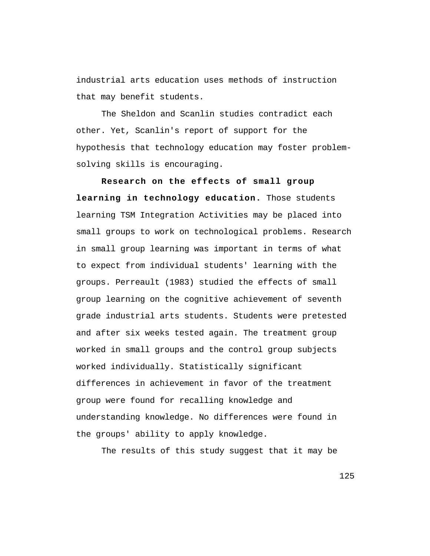industrial arts education uses methods of instruction that may benefit students.

The Sheldon and Scanlin studies contradict each other. Yet, Scanlin's report of support for the hypothesis that technology education may foster problemsolving skills is encouraging.

**Research on the effects of small group learning in technology education.** Those students learning TSM Integration Activities may be placed into small groups to work on technological problems. Research in small group learning was important in terms of what to expect from individual students' learning with the groups. Perreault (1983) studied the effects of small group learning on the cognitive achievement of seventh grade industrial arts students. Students were pretested and after six weeks tested again. The treatment group worked in small groups and the control group subjects worked individually. Statistically significant differences in achievement in favor of the treatment group were found for recalling knowledge and understanding knowledge. No differences were found in the groups' ability to apply knowledge.

The results of this study suggest that it may be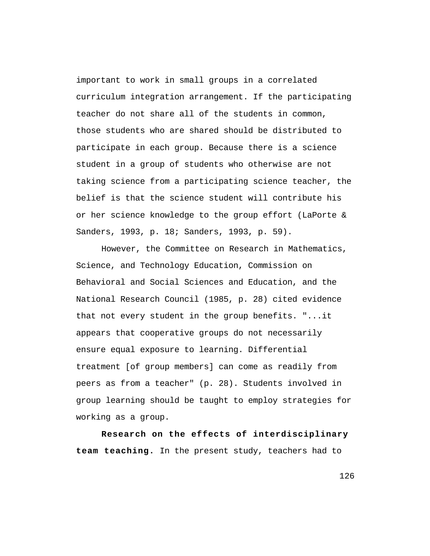important to work in small groups in a correlated curriculum integration arrangement. If the participating teacher do not share all of the students in common, those students who are shared should be distributed to participate in each group. Because there is a science student in a group of students who otherwise are not taking science from a participating science teacher, the belief is that the science student will contribute his or her science knowledge to the group effort (LaPorte & Sanders, 1993, p. 18; Sanders, 1993, p. 59).

However, the Committee on Research in Mathematics, Science, and Technology Education, Commission on Behavioral and Social Sciences and Education, and the National Research Council (1985, p. 28) cited evidence that not every student in the group benefits. "...it appears that cooperative groups do not necessarily ensure equal exposure to learning. Differential treatment [of group members] can come as readily from peers as from a teacher" (p. 28). Students involved in group learning should be taught to employ strategies for working as a group.

**Research on the effects of interdisciplinary team teaching.** In the present study, teachers had to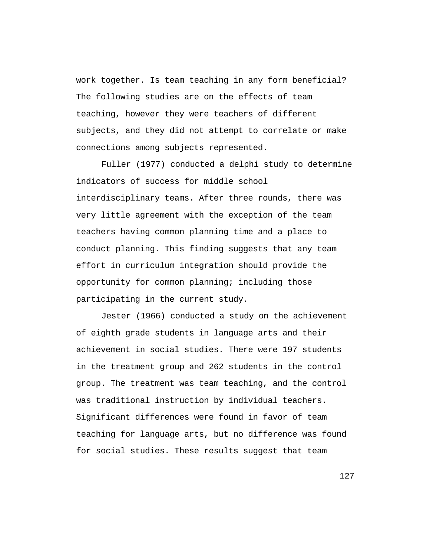work together. Is team teaching in any form beneficial? The following studies are on the effects of team teaching, however they were teachers of different subjects, and they did not attempt to correlate or make connections among subjects represented.

Fuller (1977) conducted a delphi study to determine indicators of success for middle school interdisciplinary teams. After three rounds, there was very little agreement with the exception of the team teachers having common planning time and a place to conduct planning. This finding suggests that any team effort in curriculum integration should provide the opportunity for common planning; including those participating in the current study.

Jester (1966) conducted a study on the achievement of eighth grade students in language arts and their achievement in social studies. There were 197 students in the treatment group and 262 students in the control group. The treatment was team teaching, and the control was traditional instruction by individual teachers. Significant differences were found in favor of team teaching for language arts, but no difference was found for social studies. These results suggest that team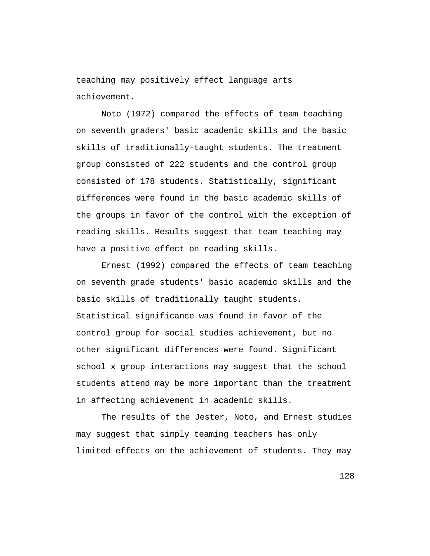teaching may positively effect language arts achievement.

Noto (1972) compared the effects of team teaching on seventh graders' basic academic skills and the basic skills of traditionally-taught students. The treatment group consisted of 222 students and the control group consisted of 178 students. Statistically, significant differences were found in the basic academic skills of the groups in favor of the control with the exception of reading skills. Results suggest that team teaching may have a positive effect on reading skills.

Ernest (1992) compared the effects of team teaching on seventh grade students' basic academic skills and the basic skills of traditionally taught students. Statistical significance was found in favor of the control group for social studies achievement, but no other significant differences were found. Significant school x group interactions may suggest that the school students attend may be more important than the treatment in affecting achievement in academic skills.

The results of the Jester, Noto, and Ernest studies may suggest that simply teaming teachers has only limited effects on the achievement of students. They may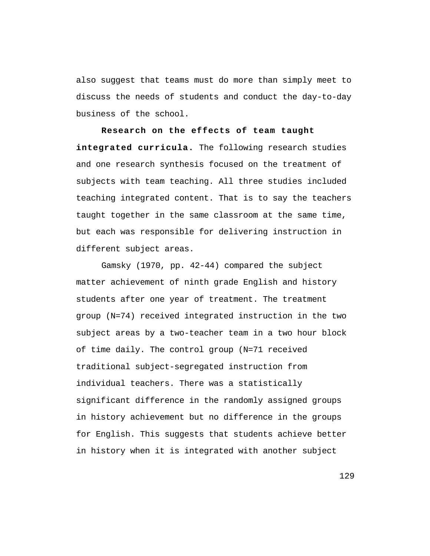also suggest that teams must do more than simply meet to discuss the needs of students and conduct the day-to-day business of the school.

**Research on the effects of team taught integrated curricula.** The following research studies and one research synthesis focused on the treatment of subjects with team teaching. All three studies included teaching integrated content. That is to say the teachers taught together in the same classroom at the same time, but each was responsible for delivering instruction in different subject areas.

Gamsky (1970, pp. 42-44) compared the subject matter achievement of ninth grade English and history students after one year of treatment. The treatment group (N=74) received integrated instruction in the two subject areas by a two-teacher team in a two hour block of time daily. The control group (N=71 received traditional subject-segregated instruction from individual teachers. There was a statistically significant difference in the randomly assigned groups in history achievement but no difference in the groups for English. This suggests that students achieve better in history when it is integrated with another subject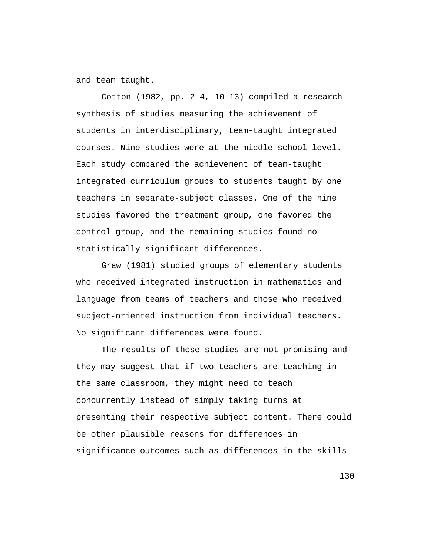and team taught.

Cotton (1982, pp. 2-4, 10-13) compiled a research synthesis of studies measuring the achievement of students in interdisciplinary, team-taught integrated courses. Nine studies were at the middle school level. Each study compared the achievement of team-taught integrated curriculum groups to students taught by one teachers in separate-subject classes. One of the nine studies favored the treatment group, one favored the control group, and the remaining studies found no statistically significant differences.

Graw (1981) studied groups of elementary students who received integrated instruction in mathematics and language from teams of teachers and those who received subject-oriented instruction from individual teachers. No significant differences were found.

The results of these studies are not promising and they may suggest that if two teachers are teaching in the same classroom, they might need to teach concurrently instead of simply taking turns at presenting their respective subject content. There could be other plausible reasons for differences in significance outcomes such as differences in the skills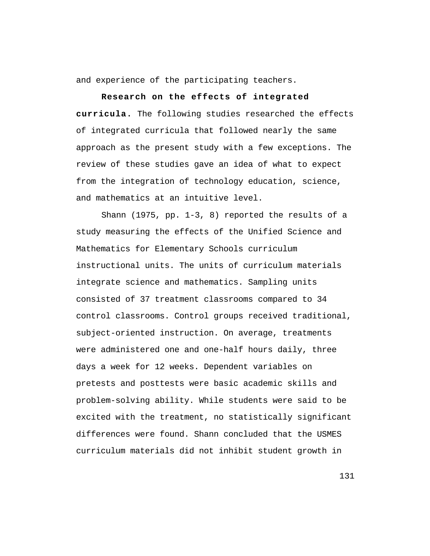and experience of the participating teachers.

**Research on the effects of integrated curricula.** The following studies researched the effects of integrated curricula that followed nearly the same approach as the present study with a few exceptions. The review of these studies gave an idea of what to expect from the integration of technology education, science, and mathematics at an intuitive level.

Shann (1975, pp. 1-3, 8) reported the results of a study measuring the effects of the Unified Science and Mathematics for Elementary Schools curriculum instructional units. The units of curriculum materials integrate science and mathematics. Sampling units consisted of 37 treatment classrooms compared to 34 control classrooms. Control groups received traditional, subject-oriented instruction. On average, treatments were administered one and one-half hours daily, three days a week for 12 weeks. Dependent variables on pretests and posttests were basic academic skills and problem-solving ability. While students were said to be excited with the treatment, no statistically significant differences were found. Shann concluded that the USMES curriculum materials did not inhibit student growth in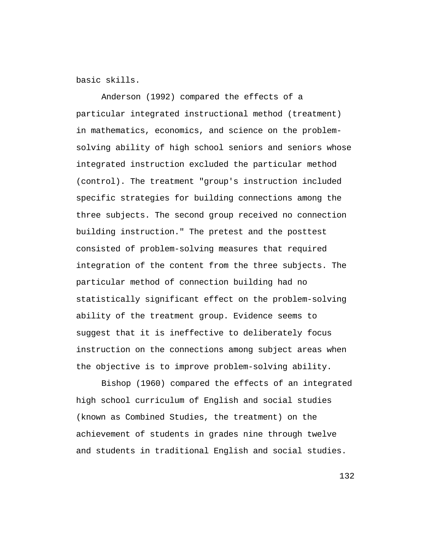basic skills.

Anderson (1992) compared the effects of a particular integrated instructional method (treatment) in mathematics, economics, and science on the problemsolving ability of high school seniors and seniors whose integrated instruction excluded the particular method (control). The treatment "group's instruction included specific strategies for building connections among the three subjects. The second group received no connection building instruction." The pretest and the posttest consisted of problem-solving measures that required integration of the content from the three subjects. The particular method of connection building had no statistically significant effect on the problem-solving ability of the treatment group. Evidence seems to suggest that it is ineffective to deliberately focus instruction on the connections among subject areas when the objective is to improve problem-solving ability.

Bishop (1960) compared the effects of an integrated high school curriculum of English and social studies (known as Combined Studies, the treatment) on the achievement of students in grades nine through twelve and students in traditional English and social studies.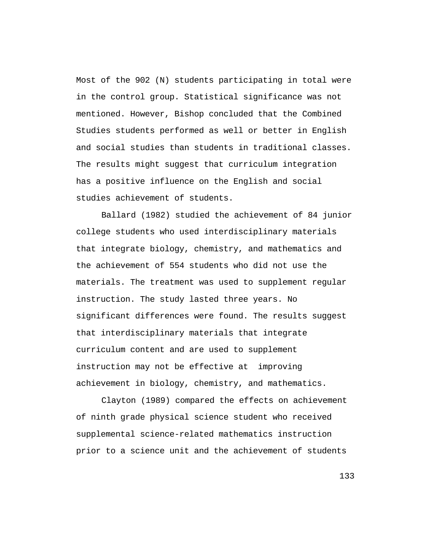Most of the 902 (N) students participating in total were in the control group. Statistical significance was not mentioned. However, Bishop concluded that the Combined Studies students performed as well or better in English and social studies than students in traditional classes. The results might suggest that curriculum integration has a positive influence on the English and social studies achievement of students.

Ballard (1982) studied the achievement of 84 junior college students who used interdisciplinary materials that integrate biology, chemistry, and mathematics and the achievement of 554 students who did not use the materials. The treatment was used to supplement regular instruction. The study lasted three years. No significant differences were found. The results suggest that interdisciplinary materials that integrate curriculum content and are used to supplement instruction may not be effective at improving achievement in biology, chemistry, and mathematics.

Clayton (1989) compared the effects on achievement of ninth grade physical science student who received supplemental science-related mathematics instruction prior to a science unit and the achievement of students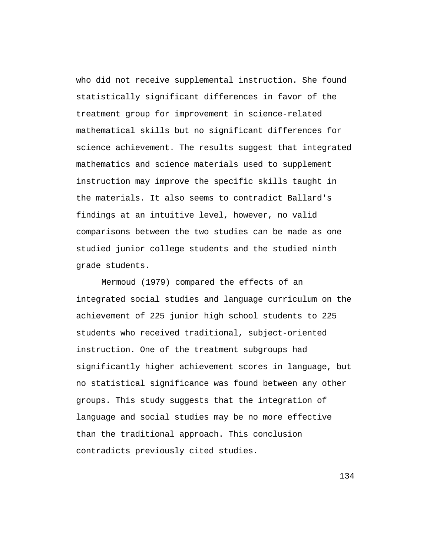who did not receive supplemental instruction. She found statistically significant differences in favor of the treatment group for improvement in science-related mathematical skills but no significant differences for science achievement. The results suggest that integrated mathematics and science materials used to supplement instruction may improve the specific skills taught in the materials. It also seems to contradict Ballard's findings at an intuitive level, however, no valid comparisons between the two studies can be made as one studied junior college students and the studied ninth grade students.

Mermoud (1979) compared the effects of an integrated social studies and language curriculum on the achievement of 225 junior high school students to 225 students who received traditional, subject-oriented instruction. One of the treatment subgroups had significantly higher achievement scores in language, but no statistical significance was found between any other groups. This study suggests that the integration of language and social studies may be no more effective than the traditional approach. This conclusion contradicts previously cited studies.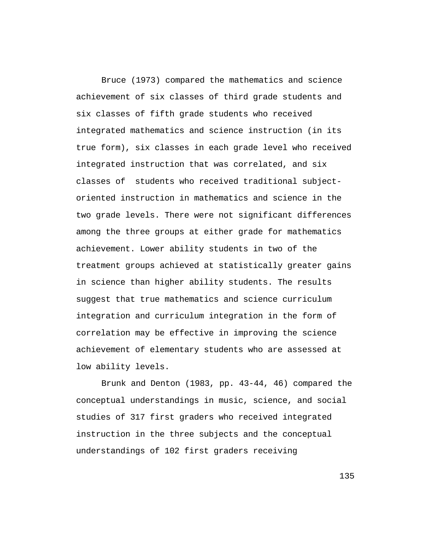Bruce (1973) compared the mathematics and science achievement of six classes of third grade students and six classes of fifth grade students who received integrated mathematics and science instruction (in its true form), six classes in each grade level who received integrated instruction that was correlated, and six classes of students who received traditional subjectoriented instruction in mathematics and science in the two grade levels. There were not significant differences among the three groups at either grade for mathematics achievement. Lower ability students in two of the treatment groups achieved at statistically greater gains in science than higher ability students. The results suggest that true mathematics and science curriculum integration and curriculum integration in the form of correlation may be effective in improving the science achievement of elementary students who are assessed at low ability levels.

Brunk and Denton (1983, pp. 43-44, 46) compared the conceptual understandings in music, science, and social studies of 317 first graders who received integrated instruction in the three subjects and the conceptual understandings of 102 first graders receiving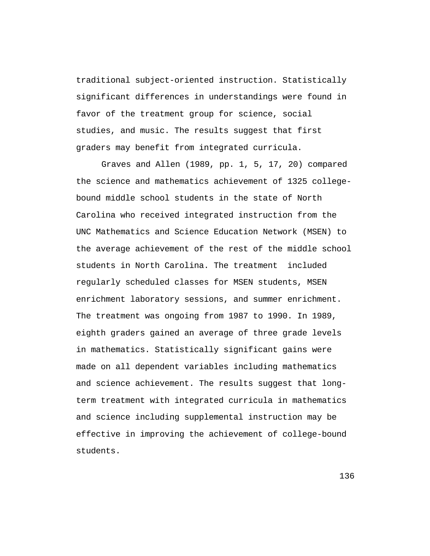traditional subject-oriented instruction. Statistically significant differences in understandings were found in favor of the treatment group for science, social studies, and music. The results suggest that first graders may benefit from integrated curricula.

Graves and Allen (1989, pp. 1, 5, 17, 20) compared the science and mathematics achievement of 1325 collegebound middle school students in the state of North Carolina who received integrated instruction from the UNC Mathematics and Science Education Network (MSEN) to the average achievement of the rest of the middle school students in North Carolina. The treatment included regularly scheduled classes for MSEN students, MSEN enrichment laboratory sessions, and summer enrichment. The treatment was ongoing from 1987 to 1990. In 1989, eighth graders gained an average of three grade levels in mathematics. Statistically significant gains were made on all dependent variables including mathematics and science achievement. The results suggest that longterm treatment with integrated curricula in mathematics and science including supplemental instruction may be effective in improving the achievement of college-bound students.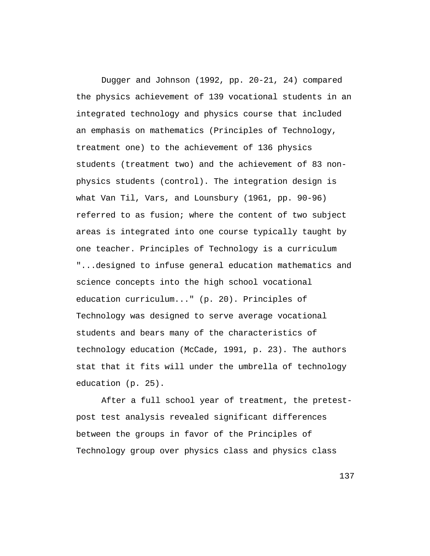Dugger and Johnson (1992, pp. 20-21, 24) compared the physics achievement of 139 vocational students in an integrated technology and physics course that included an emphasis on mathematics (Principles of Technology, treatment one) to the achievement of 136 physics students (treatment two) and the achievement of 83 nonphysics students (control). The integration design is what Van Til, Vars, and Lounsbury (1961, pp. 90-96) referred to as fusion; where the content of two subject areas is integrated into one course typically taught by one teacher. Principles of Technology is a curriculum "...designed to infuse general education mathematics and science concepts into the high school vocational education curriculum..." (p. 20). Principles of Technology was designed to serve average vocational students and bears many of the characteristics of technology education (McCade, 1991, p. 23). The authors stat that it fits will under the umbrella of technology education (p. 25).

After a full school year of treatment, the pretestpost test analysis revealed significant differences between the groups in favor of the Principles of Technology group over physics class and physics class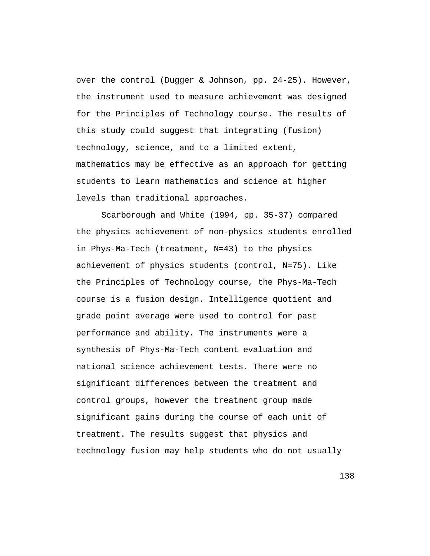over the control (Dugger & Johnson, pp. 24-25). However, the instrument used to measure achievement was designed for the Principles of Technology course. The results of this study could suggest that integrating (fusion) technology, science, and to a limited extent, mathematics may be effective as an approach for getting students to learn mathematics and science at higher levels than traditional approaches.

Scarborough and White (1994, pp. 35-37) compared the physics achievement of non-physics students enrolled in Phys-Ma-Tech (treatment, N=43) to the physics achievement of physics students (control, N=75). Like the Principles of Technology course, the Phys-Ma-Tech course is a fusion design. Intelligence quotient and grade point average were used to control for past performance and ability. The instruments were a synthesis of Phys-Ma-Tech content evaluation and national science achievement tests. There were no significant differences between the treatment and control groups, however the treatment group made significant gains during the course of each unit of treatment. The results suggest that physics and technology fusion may help students who do not usually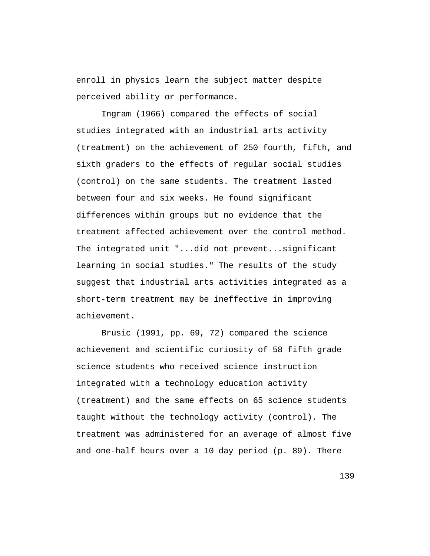enroll in physics learn the subject matter despite perceived ability or performance.

Ingram (1966) compared the effects of social studies integrated with an industrial arts activity (treatment) on the achievement of 250 fourth, fifth, and sixth graders to the effects of regular social studies (control) on the same students. The treatment lasted between four and six weeks. He found significant differences within groups but no evidence that the treatment affected achievement over the control method. The integrated unit "...did not prevent...significant learning in social studies." The results of the study suggest that industrial arts activities integrated as a short-term treatment may be ineffective in improving achievement.

Brusic (1991, pp. 69, 72) compared the science achievement and scientific curiosity of 58 fifth grade science students who received science instruction integrated with a technology education activity (treatment) and the same effects on 65 science students taught without the technology activity (control). The treatment was administered for an average of almost five and one-half hours over a 10 day period (p. 89). There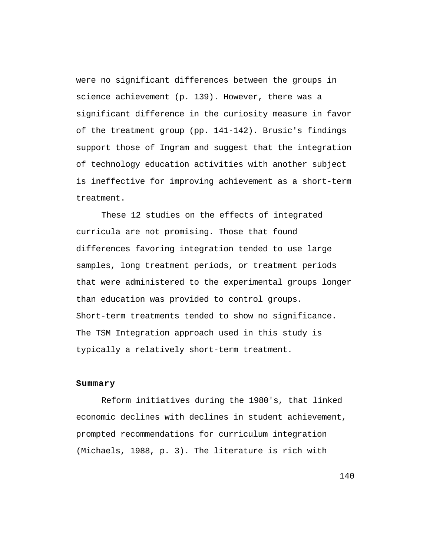were no significant differences between the groups in science achievement (p. 139). However, there was a significant difference in the curiosity measure in favor of the treatment group (pp. 141-142). Brusic's findings support those of Ingram and suggest that the integration of technology education activities with another subject is ineffective for improving achievement as a short-term treatment.

These 12 studies on the effects of integrated curricula are not promising. Those that found differences favoring integration tended to use large samples, long treatment periods, or treatment periods that were administered to the experimental groups longer than education was provided to control groups. Short-term treatments tended to show no significance. The TSM Integration approach used in this study is typically a relatively short-term treatment.

## **Summary**

Reform initiatives during the 1980's, that linked economic declines with declines in student achievement, prompted recommendations for curriculum integration (Michaels, 1988, p. 3). The literature is rich with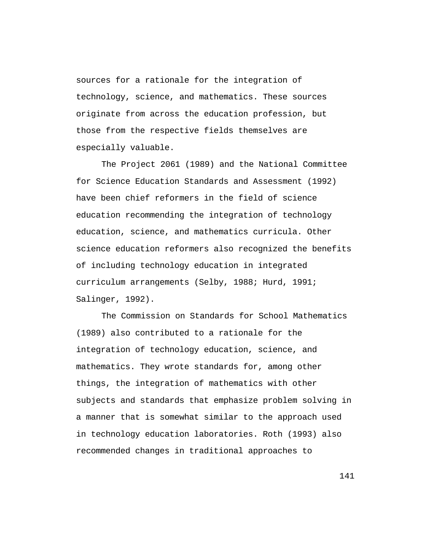sources for a rationale for the integration of technology, science, and mathematics. These sources originate from across the education profession, but those from the respective fields themselves are especially valuable.

The Project 2061 (1989) and the National Committee for Science Education Standards and Assessment (1992) have been chief reformers in the field of science education recommending the integration of technology education, science, and mathematics curricula. Other science education reformers also recognized the benefits of including technology education in integrated curriculum arrangements (Selby, 1988; Hurd, 1991; Salinger, 1992).

The Commission on Standards for School Mathematics (1989) also contributed to a rationale for the integration of technology education, science, and mathematics. They wrote standards for, among other things, the integration of mathematics with other subjects and standards that emphasize problem solving in a manner that is somewhat similar to the approach used in technology education laboratories. Roth (1993) also recommended changes in traditional approaches to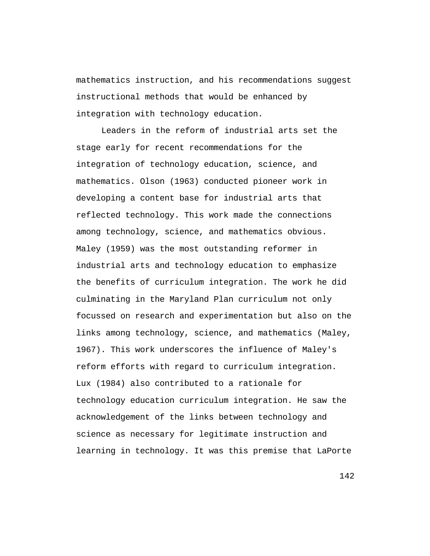mathematics instruction, and his recommendations suggest instructional methods that would be enhanced by integration with technology education.

Leaders in the reform of industrial arts set the stage early for recent recommendations for the integration of technology education, science, and mathematics. Olson (1963) conducted pioneer work in developing a content base for industrial arts that reflected technology. This work made the connections among technology, science, and mathematics obvious. Maley (1959) was the most outstanding reformer in industrial arts and technology education to emphasize the benefits of curriculum integration. The work he did culminating in the Maryland Plan curriculum not only focussed on research and experimentation but also on the links among technology, science, and mathematics (Maley, 1967). This work underscores the influence of Maley's reform efforts with regard to curriculum integration. Lux (1984) also contributed to a rationale for technology education curriculum integration. He saw the acknowledgement of the links between technology and science as necessary for legitimate instruction and learning in technology. It was this premise that LaPorte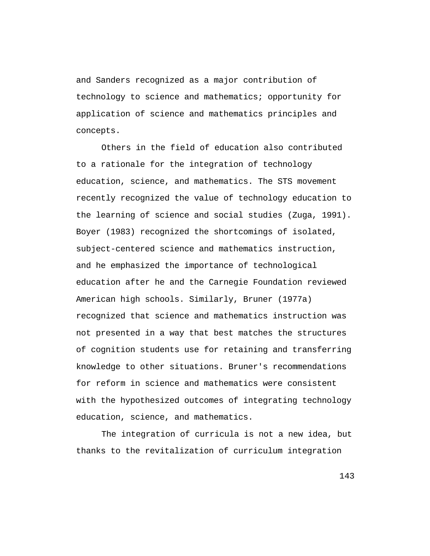and Sanders recognized as a major contribution of technology to science and mathematics; opportunity for application of science and mathematics principles and concepts.

Others in the field of education also contributed to a rationale for the integration of technology education, science, and mathematics. The STS movement recently recognized the value of technology education to the learning of science and social studies (Zuga, 1991). Boyer (1983) recognized the shortcomings of isolated, subject-centered science and mathematics instruction, and he emphasized the importance of technological education after he and the Carnegie Foundation reviewed American high schools. Similarly, Bruner (1977a) recognized that science and mathematics instruction was not presented in a way that best matches the structures of cognition students use for retaining and transferring knowledge to other situations. Bruner's recommendations for reform in science and mathematics were consistent with the hypothesized outcomes of integrating technology education, science, and mathematics.

The integration of curricula is not a new idea, but thanks to the revitalization of curriculum integration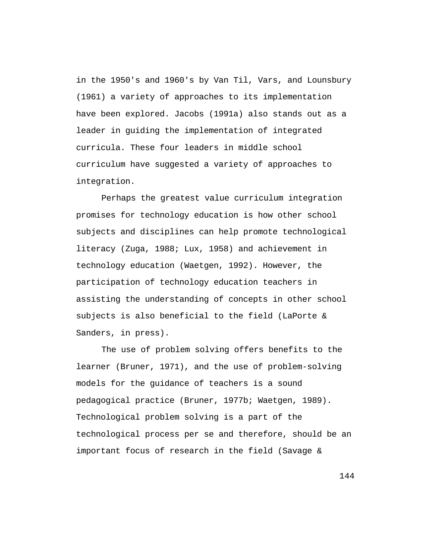in the 1950's and 1960's by Van Til, Vars, and Lounsbury (1961) a variety of approaches to its implementation have been explored. Jacobs (1991a) also stands out as a leader in guiding the implementation of integrated curricula. These four leaders in middle school curriculum have suggested a variety of approaches to integration.

Perhaps the greatest value curriculum integration promises for technology education is how other school subjects and disciplines can help promote technological literacy (Zuga, 1988; Lux, 1958) and achievement in technology education (Waetgen, 1992). However, the participation of technology education teachers in assisting the understanding of concepts in other school subjects is also beneficial to the field (LaPorte & Sanders, in press).

The use of problem solving offers benefits to the learner (Bruner, 1971), and the use of problem-solving models for the guidance of teachers is a sound pedagogical practice (Bruner, 1977b; Waetgen, 1989). Technological problem solving is a part of the technological process per se and therefore, should be an important focus of research in the field (Savage &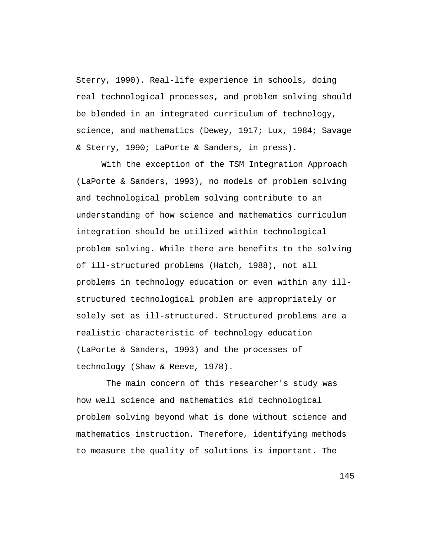Sterry, 1990). Real-life experience in schools, doing real technological processes, and problem solving should be blended in an integrated curriculum of technology, science, and mathematics (Dewey, 1917; Lux, 1984; Savage & Sterry, 1990; LaPorte & Sanders, in press).

With the exception of the TSM Integration Approach (LaPorte & Sanders, 1993), no models of problem solving and technological problem solving contribute to an understanding of how science and mathematics curriculum integration should be utilized within technological problem solving. While there are benefits to the solving of ill-structured problems (Hatch, 1988), not all problems in technology education or even within any illstructured technological problem are appropriately or solely set as ill-structured. Structured problems are a realistic characteristic of technology education (LaPorte & Sanders, 1993) and the processes of technology (Shaw & Reeve, 1978).

 The main concern of this researcher's study was how well science and mathematics aid technological problem solving beyond what is done without science and mathematics instruction. Therefore, identifying methods to measure the quality of solutions is important. The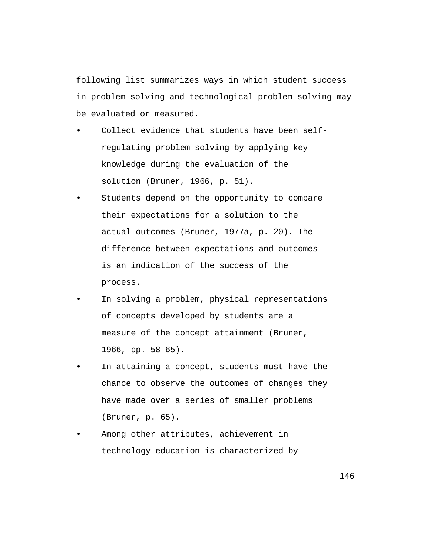following list summarizes ways in which student success in problem solving and technological problem solving may be evaluated or measured.

- Collect evidence that students have been selfregulating problem solving by applying key knowledge during the evaluation of the solution (Bruner, 1966, p. 51).
- Students depend on the opportunity to compare their expectations for a solution to the actual outcomes (Bruner, 1977a, p. 20). The difference between expectations and outcomes is an indication of the success of the process.
- In solving a problem, physical representations of concepts developed by students are a measure of the concept attainment (Bruner, 1966, pp. 58-65).
- In attaining a concept, students must have the chance to observe the outcomes of changes they have made over a series of smaller problems (Bruner, p. 65).
- Among other attributes, achievement in technology education is characterized by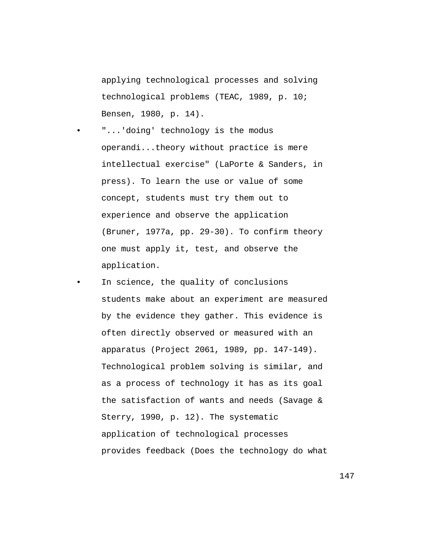applying technological processes and solving technological problems (TEAC, 1989, p. 10; Bensen, 1980, p. 14).

"...'doing' technology is the modus operandi...theory without practice is mere intellectual exercise" (LaPorte & Sanders, in press). To learn the use or value of some concept, students must try them out to experience and observe the application (Bruner, 1977a, pp. 29-30). To confirm theory one must apply it, test, and observe the application.

In science, the quality of conclusions students make about an experiment are measured by the evidence they gather. This evidence is often directly observed or measured with an apparatus (Project 2061, 1989, pp. 147-149). Technological problem solving is similar, and as a process of technology it has as its goal the satisfaction of wants and needs (Savage & Sterry, 1990, p. 12). The systematic application of technological processes provides feedback (Does the technology do what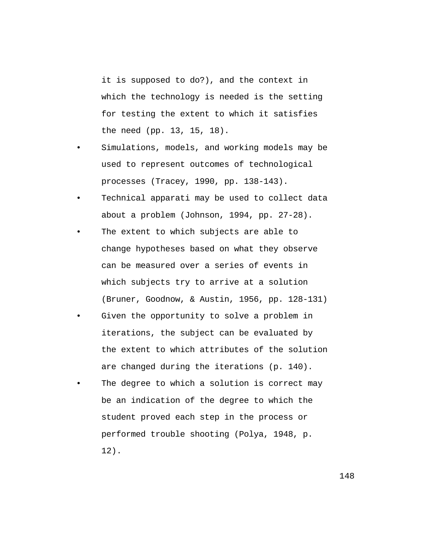it is supposed to do?), and the context in which the technology is needed is the setting for testing the extent to which it satisfies the need (pp. 13, 15, 18).

- Simulations, models, and working models may be used to represent outcomes of technological processes (Tracey, 1990, pp. 138-143).
- Technical apparati may be used to collect data about a problem (Johnson, 1994, pp. 27-28).
- The extent to which subjects are able to change hypotheses based on what they observe can be measured over a series of events in which subjects try to arrive at a solution (Bruner, Goodnow, & Austin, 1956, pp. 128-131)
- Given the opportunity to solve a problem in iterations, the subject can be evaluated by the extent to which attributes of the solution are changed during the iterations (p. 140).
- The degree to which a solution is correct may be an indication of the degree to which the student proved each step in the process or performed trouble shooting (Polya, 1948, p. 12).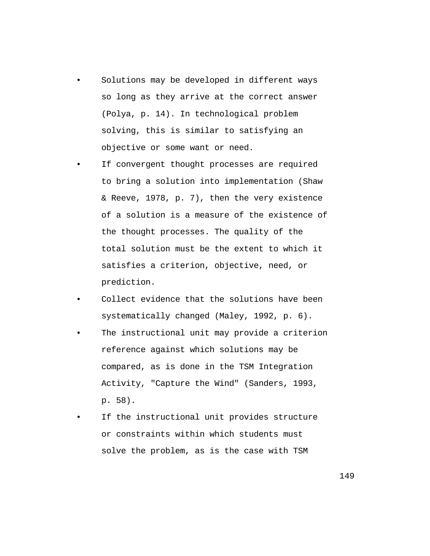- Solutions may be developed in different ways so long as they arrive at the correct answer (Polya, p. 14). In technological problem solving, this is similar to satisfying an objective or some want or need.
- If convergent thought processes are required to bring a solution into implementation (Shaw & Reeve, 1978, p. 7), then the very existence of a solution is a measure of the existence of the thought processes. The quality of the total solution must be the extent to which it satisfies a criterion, objective, need, or prediction.
- Collect evidence that the solutions have been systematically changed (Maley, 1992, p. 6).
- The instructional unit may provide a criterion reference against which solutions may be compared, as is done in the TSM Integration Activity, "Capture the Wind" (Sanders, 1993, p. 58).
- If the instructional unit provides structure or constraints within which students must solve the problem, as is the case with TSM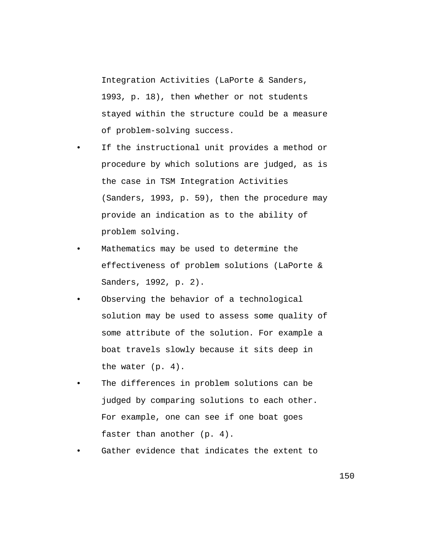Integration Activities (LaPorte & Sanders, 1993, p. 18), then whether or not students stayed within the structure could be a measure of problem-solving success.

- If the instructional unit provides a method or procedure by which solutions are judged, as is the case in TSM Integration Activities (Sanders, 1993, p. 59), then the procedure may provide an indication as to the ability of problem solving.
- Mathematics may be used to determine the effectiveness of problem solutions (LaPorte & Sanders, 1992, p. 2).
- Observing the behavior of a technological solution may be used to assess some quality of some attribute of the solution. For example a boat travels slowly because it sits deep in the water (p. 4).
- The differences in problem solutions can be judged by comparing solutions to each other. For example, one can see if one boat goes faster than another (p. 4).
- Gather evidence that indicates the extent to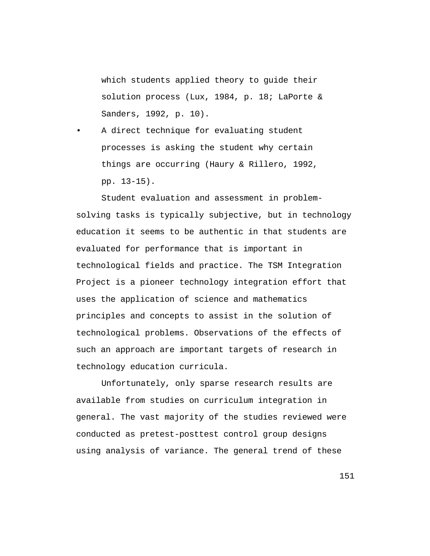which students applied theory to guide their solution process (Lux, 1984, p. 18; LaPorte & Sanders, 1992, p. 10).

A direct technique for evaluating student processes is asking the student why certain things are occurring (Haury & Rillero, 1992, pp. 13-15).

Student evaluation and assessment in problemsolving tasks is typically subjective, but in technology education it seems to be authentic in that students are evaluated for performance that is important in technological fields and practice. The TSM Integration Project is a pioneer technology integration effort that uses the application of science and mathematics principles and concepts to assist in the solution of technological problems. Observations of the effects of such an approach are important targets of research in technology education curricula.

Unfortunately, only sparse research results are available from studies on curriculum integration in general. The vast majority of the studies reviewed were conducted as pretest-posttest control group designs using analysis of variance. The general trend of these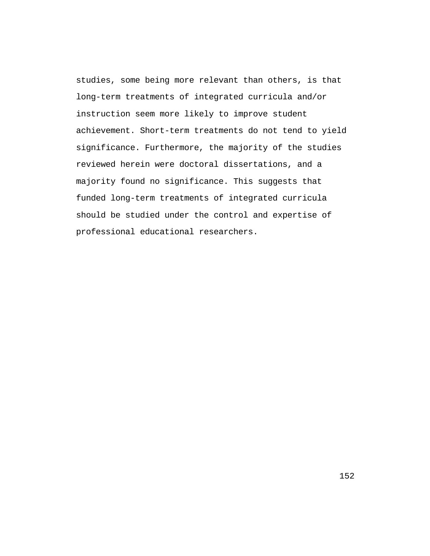studies, some being more relevant than others, is that long-term treatments of integrated curricula and/or instruction seem more likely to improve student achievement. Short-term treatments do not tend to yield significance. Furthermore, the majority of the studies reviewed herein were doctoral dissertations, and a majority found no significance. This suggests that funded long-term treatments of integrated curricula should be studied under the control and expertise of professional educational researchers.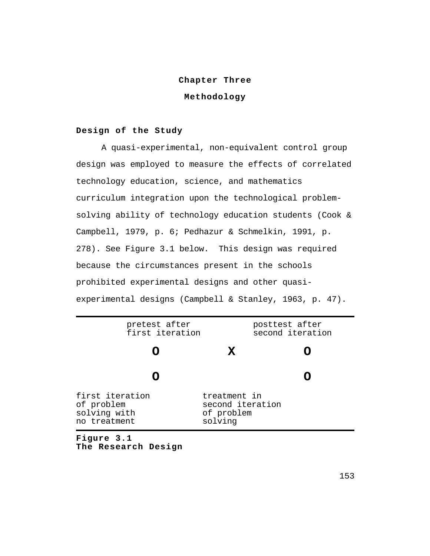## **Chapter Three**

# **Methodology**

## **Design of the Study**

A quasi-experimental, non-equivalent control group design was employed to measure the effects of correlated technology education, science, and mathematics curriculum integration upon the technological problemsolving ability of technology education students (Cook & Campbell, 1979, p. 6; Pedhazur & Schmelkin, 1991, p. 278). See Figure 3.1 below. This design was required because the circumstances present in the schools prohibited experimental designs and other quasiexperimental designs (Campbell & Stanley, 1963, p. 47).

| Figure 3.1                                                    |                                                           |                                    |  |  |
|---------------------------------------------------------------|-----------------------------------------------------------|------------------------------------|--|--|
| first iteration<br>of problem<br>solving with<br>no treatment | treatment in<br>second iteration<br>of problem<br>solving |                                    |  |  |
|                                                               |                                                           |                                    |  |  |
|                                                               | X                                                         |                                    |  |  |
| pretest after<br>first iteration                              |                                                           | posttest after<br>second iteration |  |  |

**The Research Design**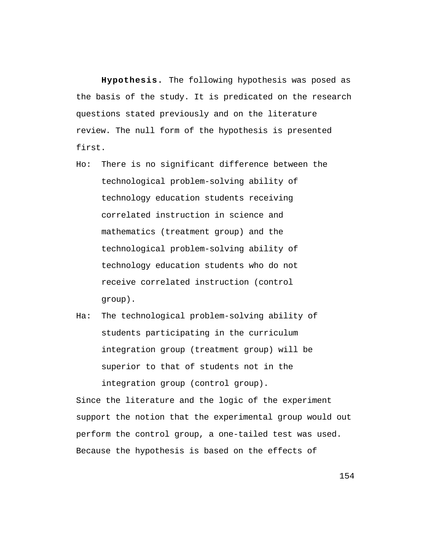**Hypothesis.** The following hypothesis was posed as the basis of the study. It is predicated on the research questions stated previously and on the literature review. The null form of the hypothesis is presented first.

- Ho: There is no significant difference between the technological problem-solving ability of technology education students receiving correlated instruction in science and mathematics (treatment group) and the technological problem-solving ability of technology education students who do not receive correlated instruction (control group).
- Ha: The technological problem-solving ability of students participating in the curriculum integration group (treatment group) will be superior to that of students not in the integration group (control group).

Since the literature and the logic of the experiment support the notion that the experimental group would out perform the control group, a one-tailed test was used. Because the hypothesis is based on the effects of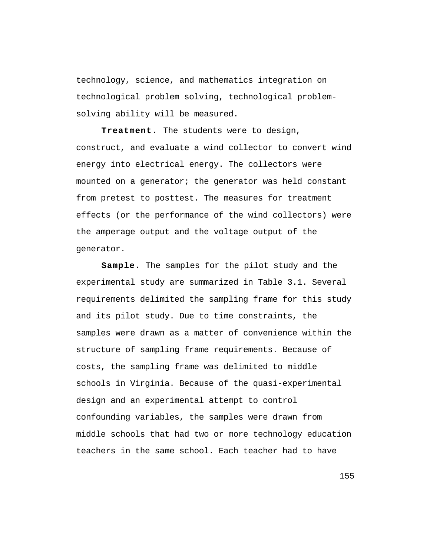technology, science, and mathematics integration on technological problem solving, technological problemsolving ability will be measured.

**Treatment.** The students were to design, construct, and evaluate a wind collector to convert wind energy into electrical energy. The collectors were mounted on a generator; the generator was held constant from pretest to posttest. The measures for treatment effects (or the performance of the wind collectors) were the amperage output and the voltage output of the generator.

**Sample.** The samples for the pilot study and the experimental study are summarized in Table 3.1. Several requirements delimited the sampling frame for this study and its pilot study. Due to time constraints, the samples were drawn as a matter of convenience within the structure of sampling frame requirements. Because of costs, the sampling frame was delimited to middle schools in Virginia. Because of the quasi-experimental design and an experimental attempt to control confounding variables, the samples were drawn from middle schools that had two or more technology education teachers in the same school. Each teacher had to have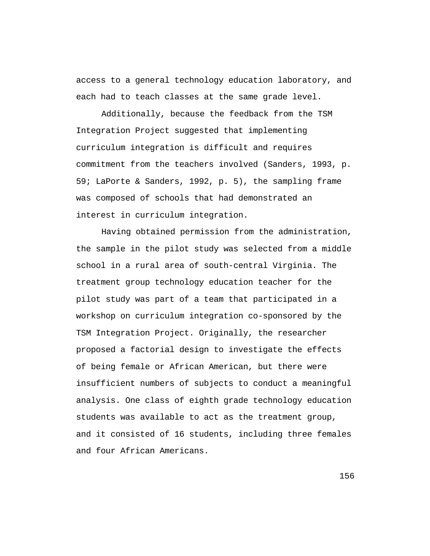access to a general technology education laboratory, and each had to teach classes at the same grade level.

Additionally, because the feedback from the TSM Integration Project suggested that implementing curriculum integration is difficult and requires commitment from the teachers involved (Sanders, 1993, p. 59; LaPorte & Sanders, 1992, p. 5), the sampling frame was composed of schools that had demonstrated an interest in curriculum integration.

Having obtained permission from the administration, the sample in the pilot study was selected from a middle school in a rural area of south-central Virginia. The treatment group technology education teacher for the pilot study was part of a team that participated in a workshop on curriculum integration co-sponsored by the TSM Integration Project. Originally, the researcher proposed a factorial design to investigate the effects of being female or African American, but there were insufficient numbers of subjects to conduct a meaningful analysis. One class of eighth grade technology education students was available to act as the treatment group, and it consisted of 16 students, including three females and four African Americans.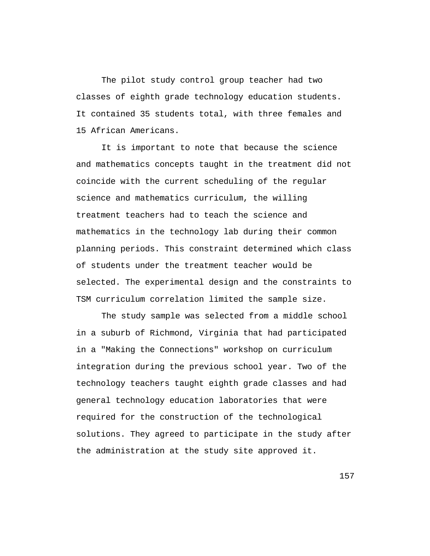The pilot study control group teacher had two classes of eighth grade technology education students. It contained 35 students total, with three females and 15 African Americans.

It is important to note that because the science and mathematics concepts taught in the treatment did not coincide with the current scheduling of the regular science and mathematics curriculum, the willing treatment teachers had to teach the science and mathematics in the technology lab during their common planning periods. This constraint determined which class of students under the treatment teacher would be selected. The experimental design and the constraints to TSM curriculum correlation limited the sample size.

The study sample was selected from a middle school in a suburb of Richmond, Virginia that had participated in a "Making the Connections" workshop on curriculum integration during the previous school year. Two of the technology teachers taught eighth grade classes and had general technology education laboratories that were required for the construction of the technological solutions. They agreed to participate in the study after the administration at the study site approved it.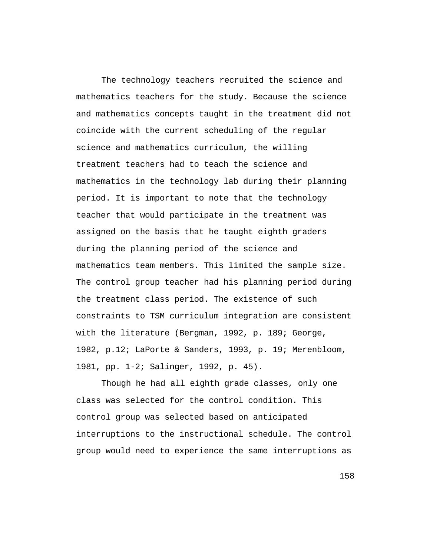The technology teachers recruited the science and mathematics teachers for the study. Because the science and mathematics concepts taught in the treatment did not coincide with the current scheduling of the regular science and mathematics curriculum, the willing treatment teachers had to teach the science and mathematics in the technology lab during their planning period. It is important to note that the technology teacher that would participate in the treatment was assigned on the basis that he taught eighth graders during the planning period of the science and mathematics team members. This limited the sample size. The control group teacher had his planning period during the treatment class period. The existence of such constraints to TSM curriculum integration are consistent with the literature (Bergman, 1992, p. 189; George, 1982, p.12; LaPorte & Sanders, 1993, p. 19; Merenbloom, 1981, pp. 1-2; Salinger, 1992, p. 45).

Though he had all eighth grade classes, only one class was selected for the control condition. This control group was selected based on anticipated interruptions to the instructional schedule. The control group would need to experience the same interruptions as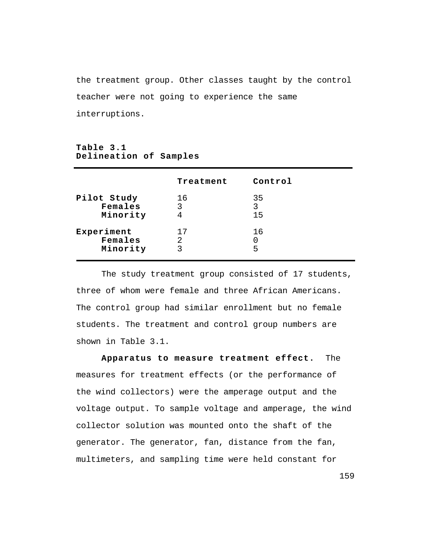the treatment group. Other classes taught by the control teacher were not going to experience the same interruptions.

## **Table 3.1 Delineation of Samples**

|                                    | Treatment    | Control       |  |
|------------------------------------|--------------|---------------|--|
| Pilot Study<br>Females<br>Minority | 16<br>3<br>4 | 35<br>3<br>15 |  |
| Experiment<br>Females<br>Minority  | 17<br>2<br>3 | 16<br>5       |  |

The study treatment group consisted of 17 students, three of whom were female and three African Americans. The control group had similar enrollment but no female students. The treatment and control group numbers are shown in Table 3.1.

**Apparatus to measure treatment effect.** The measures for treatment effects (or the performance of the wind collectors) were the amperage output and the voltage output. To sample voltage and amperage, the wind collector solution was mounted onto the shaft of the generator. The generator, fan, distance from the fan, multimeters, and sampling time were held constant for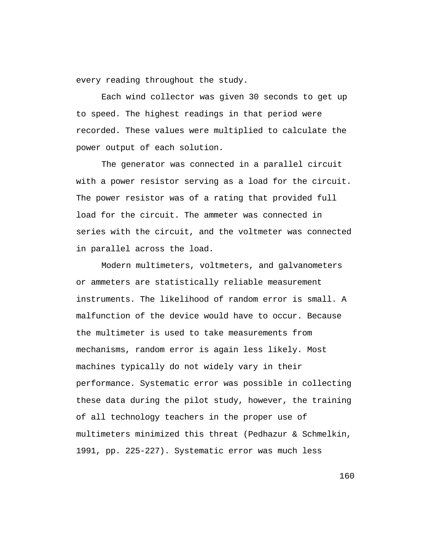every reading throughout the study.

Each wind collector was given 30 seconds to get up to speed. The highest readings in that period were recorded. These values were multiplied to calculate the power output of each solution.

The generator was connected in a parallel circuit with a power resistor serving as a load for the circuit. The power resistor was of a rating that provided full load for the circuit. The ammeter was connected in series with the circuit, and the voltmeter was connected in parallel across the load.

Modern multimeters, voltmeters, and galvanometers or ammeters are statistically reliable measurement instruments. The likelihood of random error is small. A malfunction of the device would have to occur. Because the multimeter is used to take measurements from mechanisms, random error is again less likely. Most machines typically do not widely vary in their performance. Systematic error was possible in collecting these data during the pilot study, however, the training of all technology teachers in the proper use of multimeters minimized this threat (Pedhazur & Schmelkin, 1991, pp. 225-227). Systematic error was much less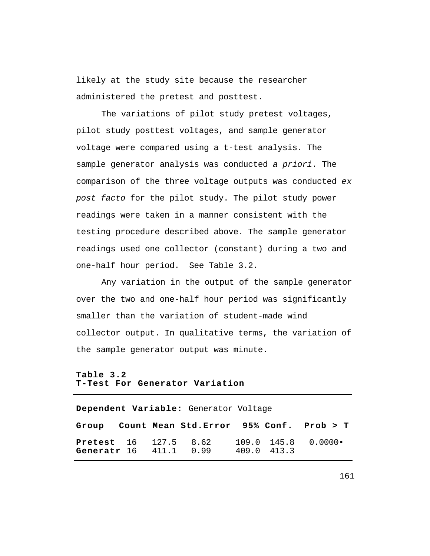likely at the study site because the researcher administered the pretest and posttest.

The variations of pilot study pretest voltages, pilot study posttest voltages, and sample generator voltage were compared using a t-test analysis. The sample generator analysis was conducted a priori. The comparison of the three voltage outputs was conducted ex post facto for the pilot study. The pilot study power readings were taken in a manner consistent with the testing procedure described above. The sample generator readings used one collector (constant) during a two and one-half hour period. See Table 3.2.

Any variation in the output of the sample generator over the two and one-half hour period was significantly smaller than the variation of student-made wind collector output. In qualitative terms, the variation of the sample generator output was minute.

# **Table 3.2 T-Test For Generator Variation**

**Dependent Variable:** Generator Voltage **Group Count Mean Std.Error 95% Conf. Prob > T Pretest** 16 127.5 8.62 109.0 145.8 0.0000• **Generatr** 16 411.1 0.99 409.0 413.3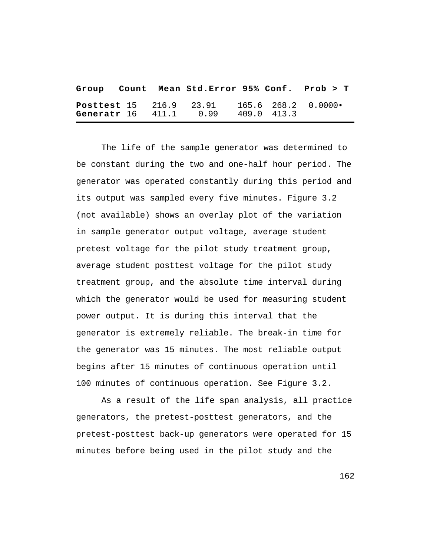|  | Group Count Mean Std. Error 95% Conf. Prob > T                                           |  |  |
|--|------------------------------------------------------------------------------------------|--|--|
|  | <b>Posttest</b> 15 216.9 23.91 165.6 268.2 0.0000.<br>Generatr 16 411.1 0.99 409.0 413.3 |  |  |

The life of the sample generator was determined to be constant during the two and one-half hour period. The generator was operated constantly during this period and its output was sampled every five minutes. Figure 3.2 (not available) shows an overlay plot of the variation in sample generator output voltage, average student pretest voltage for the pilot study treatment group, average student posttest voltage for the pilot study treatment group, and the absolute time interval during which the generator would be used for measuring student power output. It is during this interval that the generator is extremely reliable. The break-in time for the generator was 15 minutes. The most reliable output begins after 15 minutes of continuous operation until 100 minutes of continuous operation. See Figure 3.2.

As a result of the life span analysis, all practice generators, the pretest-posttest generators, and the pretest-posttest back-up generators were operated for 15 minutes before being used in the pilot study and the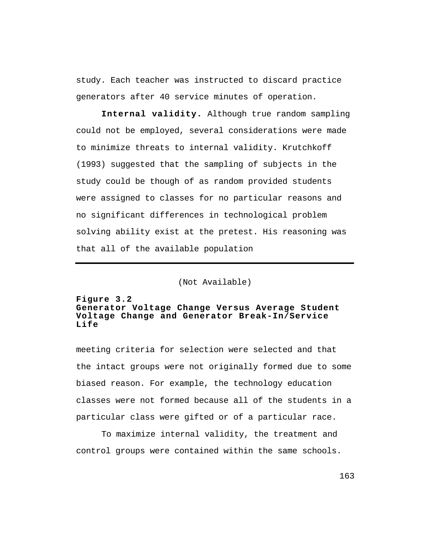study. Each teacher was instructed to discard practice generators after 40 service minutes of operation.

**Internal validity.** Although true random sampling could not be employed, several considerations were made to minimize threats to internal validity. Krutchkoff (1993) suggested that the sampling of subjects in the study could be though of as random provided students were assigned to classes for no particular reasons and no significant differences in technological problem solving ability exist at the pretest. His reasoning was that all of the available population

(Not Available)

## **Figure 3.2 Generator Voltage Change Versus Average Student Voltage Change and Generator Break-In/Service Life**

meeting criteria for selection were selected and that the intact groups were not originally formed due to some biased reason. For example, the technology education classes were not formed because all of the students in a particular class were gifted or of a particular race.

To maximize internal validity, the treatment and control groups were contained within the same schools.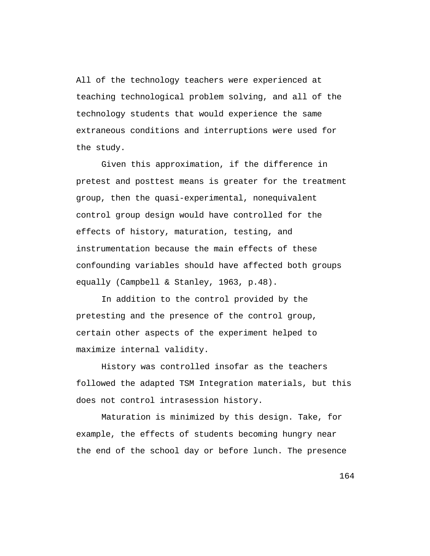All of the technology teachers were experienced at teaching technological problem solving, and all of the technology students that would experience the same extraneous conditions and interruptions were used for the study.

Given this approximation, if the difference in pretest and posttest means is greater for the treatment group, then the quasi-experimental, nonequivalent control group design would have controlled for the effects of history, maturation, testing, and instrumentation because the main effects of these confounding variables should have affected both groups equally (Campbell & Stanley, 1963, p.48).

In addition to the control provided by the pretesting and the presence of the control group, certain other aspects of the experiment helped to maximize internal validity.

History was controlled insofar as the teachers followed the adapted TSM Integration materials, but this does not control intrasession history.

Maturation is minimized by this design. Take, for example, the effects of students becoming hungry near the end of the school day or before lunch. The presence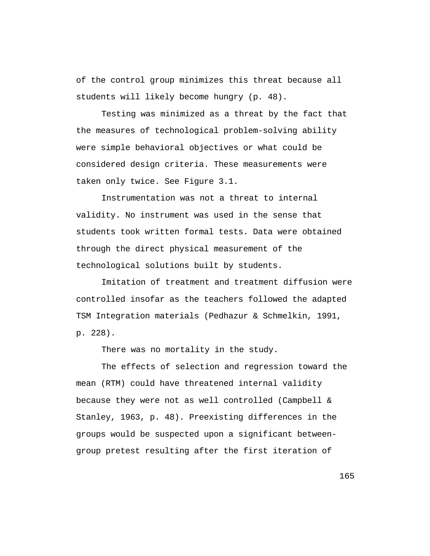of the control group minimizes this threat because all students will likely become hungry (p. 48).

Testing was minimized as a threat by the fact that the measures of technological problem-solving ability were simple behavioral objectives or what could be considered design criteria. These measurements were taken only twice. See Figure 3.1.

Instrumentation was not a threat to internal validity. No instrument was used in the sense that students took written formal tests. Data were obtained through the direct physical measurement of the technological solutions built by students.

Imitation of treatment and treatment diffusion were controlled insofar as the teachers followed the adapted TSM Integration materials (Pedhazur & Schmelkin, 1991, p. 228).

There was no mortality in the study.

The effects of selection and regression toward the mean (RTM) could have threatened internal validity because they were not as well controlled (Campbell & Stanley, 1963, p. 48). Preexisting differences in the groups would be suspected upon a significant betweengroup pretest resulting after the first iteration of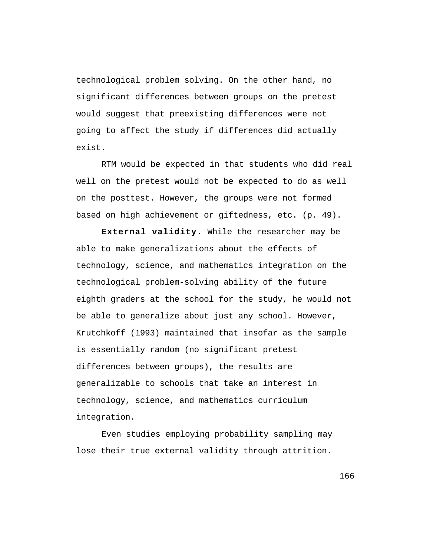technological problem solving. On the other hand, no significant differences between groups on the pretest would suggest that preexisting differences were not going to affect the study if differences did actually exist.

RTM would be expected in that students who did real well on the pretest would not be expected to do as well on the posttest. However, the groups were not formed based on high achievement or giftedness, etc. (p. 49).

**External validity.** While the researcher may be able to make generalizations about the effects of technology, science, and mathematics integration on the technological problem-solving ability of the future eighth graders at the school for the study, he would not be able to generalize about just any school. However, Krutchkoff (1993) maintained that insofar as the sample is essentially random (no significant pretest differences between groups), the results are generalizable to schools that take an interest in technology, science, and mathematics curriculum integration.

Even studies employing probability sampling may lose their true external validity through attrition.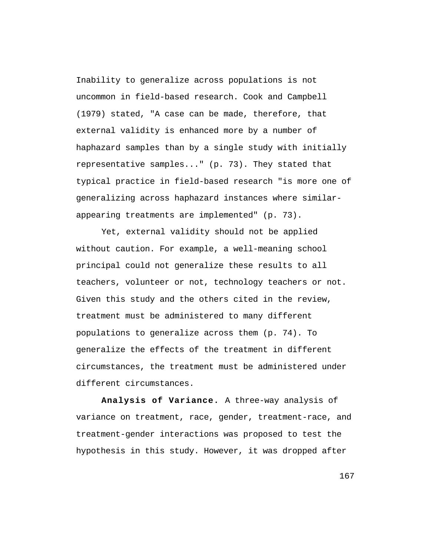Inability to generalize across populations is not uncommon in field-based research. Cook and Campbell (1979) stated, "A case can be made, therefore, that external validity is enhanced more by a number of haphazard samples than by a single study with initially representative samples..." (p. 73). They stated that typical practice in field-based research "is more one of generalizing across haphazard instances where similarappearing treatments are implemented" (p. 73).

Yet, external validity should not be applied without caution. For example, a well-meaning school principal could not generalize these results to all teachers, volunteer or not, technology teachers or not. Given this study and the others cited in the review, treatment must be administered to many different populations to generalize across them (p. 74). To generalize the effects of the treatment in different circumstances, the treatment must be administered under different circumstances.

**Analysis of Variance.** A three-way analysis of variance on treatment, race, gender, treatment-race, and treatment-gender interactions was proposed to test the hypothesis in this study. However, it was dropped after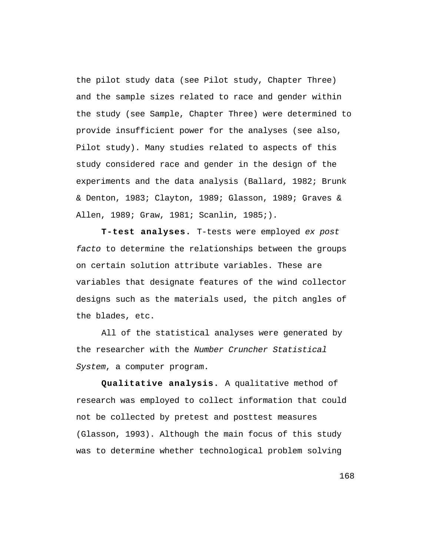the pilot study data (see Pilot study, Chapter Three) and the sample sizes related to race and gender within the study (see Sample, Chapter Three) were determined to provide insufficient power for the analyses (see also, Pilot study). Many studies related to aspects of this study considered race and gender in the design of the experiments and the data analysis (Ballard, 1982; Brunk & Denton, 1983; Clayton, 1989; Glasson, 1989; Graves & Allen, 1989; Graw, 1981; Scanlin, 1985;).

**T-test analyses.** T-tests were employed ex post facto to determine the relationships between the groups on certain solution attribute variables. These are variables that designate features of the wind collector designs such as the materials used, the pitch angles of the blades, etc.

All of the statistical analyses were generated by the researcher with the Number Cruncher Statistical System, a computer program.

**Qualitative analysis.** A qualitative method of research was employed to collect information that could not be collected by pretest and posttest measures (Glasson, 1993). Although the main focus of this study was to determine whether technological problem solving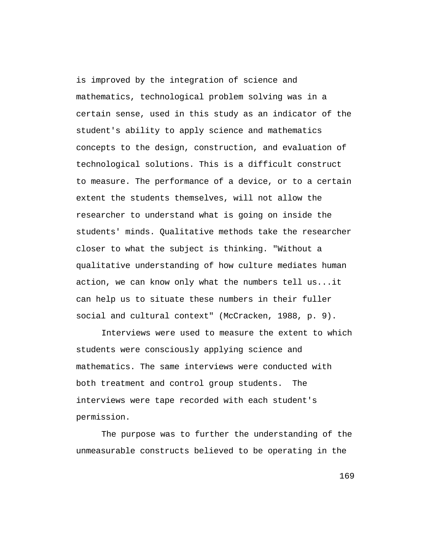is improved by the integration of science and mathematics, technological problem solving was in a certain sense, used in this study as an indicator of the student's ability to apply science and mathematics concepts to the design, construction, and evaluation of technological solutions. This is a difficult construct to measure. The performance of a device, or to a certain extent the students themselves, will not allow the researcher to understand what is going on inside the students' minds. Qualitative methods take the researcher closer to what the subject is thinking. "Without a qualitative understanding of how culture mediates human action, we can know only what the numbers tell us...it can help us to situate these numbers in their fuller social and cultural context" (McCracken, 1988, p. 9).

Interviews were used to measure the extent to which students were consciously applying science and mathematics. The same interviews were conducted with both treatment and control group students. The interviews were tape recorded with each student's permission.

The purpose was to further the understanding of the unmeasurable constructs believed to be operating in the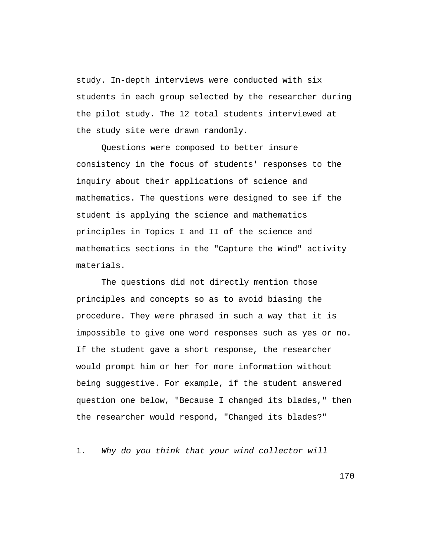study. In-depth interviews were conducted with six students in each group selected by the researcher during the pilot study. The 12 total students interviewed at the study site were drawn randomly.

Questions were composed to better insure consistency in the focus of students' responses to the inquiry about their applications of science and mathematics. The questions were designed to see if the student is applying the science and mathematics principles in Topics I and II of the science and mathematics sections in the "Capture the Wind" activity materials.

The questions did not directly mention those principles and concepts so as to avoid biasing the procedure. They were phrased in such a way that it is impossible to give one word responses such as yes or no. If the student gave a short response, the researcher would prompt him or her for more information without being suggestive. For example, if the student answered question one below, "Because I changed its blades," then the researcher would respond, "Changed its blades?"

1. Why do you think that your wind collector will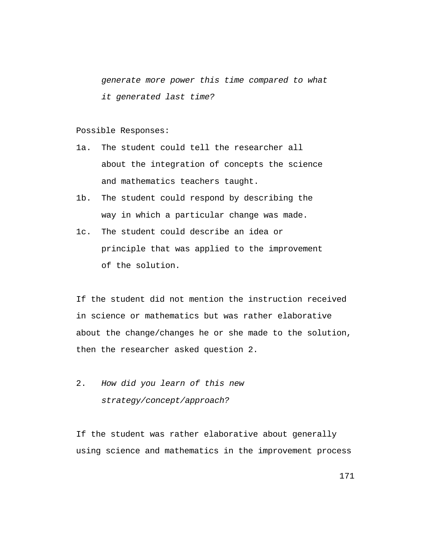generate more power this time compared to what it generated last time?

#### Possible Responses:

- 1a. The student could tell the researcher all about the integration of concepts the science and mathematics teachers taught.
- 1b. The student could respond by describing the way in which a particular change was made.
- 1c. The student could describe an idea or principle that was applied to the improvement of the solution.

If the student did not mention the instruction received in science or mathematics but was rather elaborative about the change/changes he or she made to the solution, then the researcher asked question 2.

2. How did you learn of this new strategy/concept/approach?

If the student was rather elaborative about generally using science and mathematics in the improvement process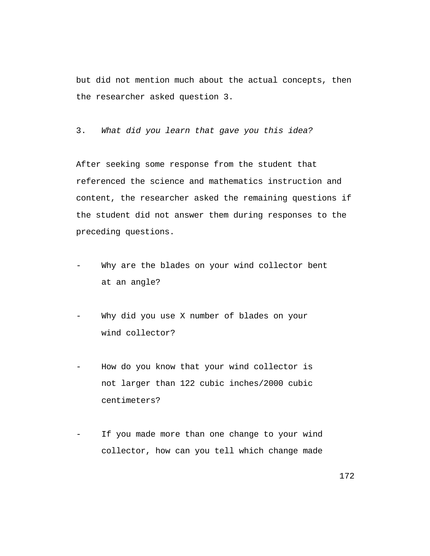but did not mention much about the actual concepts, then the researcher asked question 3.

3. What did you learn that gave you this idea?

After seeking some response from the student that referenced the science and mathematics instruction and content, the researcher asked the remaining questions if the student did not answer them during responses to the preceding questions.

- Why are the blades on your wind collector bent at an angle?
- Why did you use X number of blades on your wind collector?
- How do you know that your wind collector is not larger than 122 cubic inches/2000 cubic centimeters?
- If you made more than one change to your wind collector, how can you tell which change made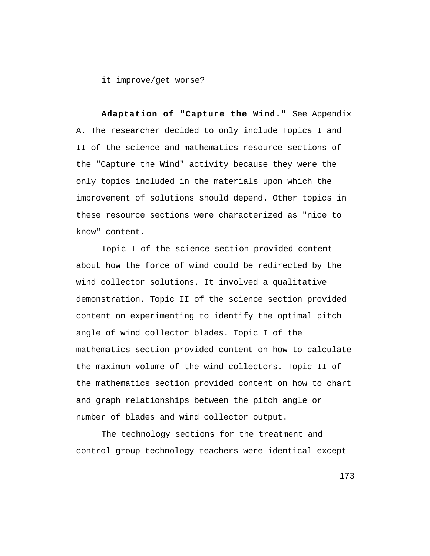it improve/get worse?

**Adaptation of "Capture the Wind."** See Appendix A. The researcher decided to only include Topics I and II of the science and mathematics resource sections of the "Capture the Wind" activity because they were the only topics included in the materials upon which the improvement of solutions should depend. Other topics in these resource sections were characterized as "nice to know" content.

Topic I of the science section provided content about how the force of wind could be redirected by the wind collector solutions. It involved a qualitative demonstration. Topic II of the science section provided content on experimenting to identify the optimal pitch angle of wind collector blades. Topic I of the mathematics section provided content on how to calculate the maximum volume of the wind collectors. Topic II of the mathematics section provided content on how to chart and graph relationships between the pitch angle or number of blades and wind collector output.

The technology sections for the treatment and control group technology teachers were identical except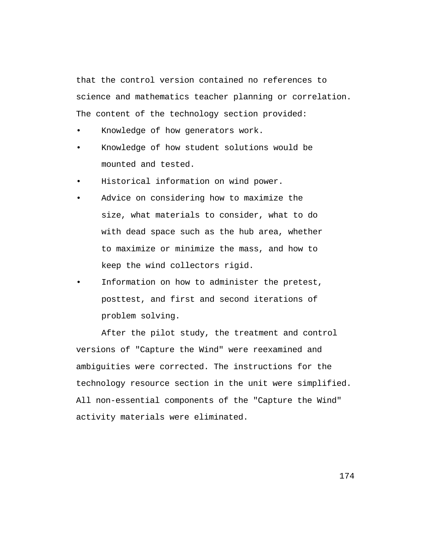that the control version contained no references to science and mathematics teacher planning or correlation. The content of the technology section provided:

- Knowledge of how generators work.
- Knowledge of how student solutions would be mounted and tested.
- Historical information on wind power.
- Advice on considering how to maximize the size, what materials to consider, what to do with dead space such as the hub area, whether to maximize or minimize the mass, and how to keep the wind collectors rigid.
- Information on how to administer the pretest, posttest, and first and second iterations of problem solving.

After the pilot study, the treatment and control versions of "Capture the Wind" were reexamined and ambiguities were corrected. The instructions for the technology resource section in the unit were simplified. All non-essential components of the "Capture the Wind" activity materials were eliminated.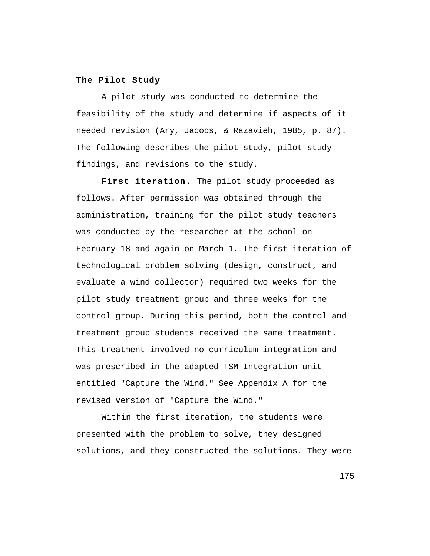## **The Pilot Study**

A pilot study was conducted to determine the feasibility of the study and determine if aspects of it needed revision (Ary, Jacobs, & Razavieh, 1985, p. 87). The following describes the pilot study, pilot study findings, and revisions to the study.

First iteration. The pilot study proceeded as follows. After permission was obtained through the administration, training for the pilot study teachers was conducted by the researcher at the school on February 18 and again on March 1. The first iteration of technological problem solving (design, construct, and evaluate a wind collector) required two weeks for the pilot study treatment group and three weeks for the control group. During this period, both the control and treatment group students received the same treatment. This treatment involved no curriculum integration and was prescribed in the adapted TSM Integration unit entitled "Capture the Wind." See Appendix A for the revised version of "Capture the Wind."

Within the first iteration, the students were presented with the problem to solve, they designed solutions, and they constructed the solutions. They were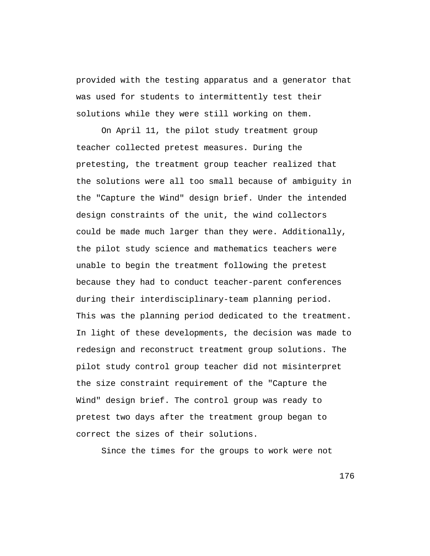provided with the testing apparatus and a generator that was used for students to intermittently test their solutions while they were still working on them.

On April 11, the pilot study treatment group teacher collected pretest measures. During the pretesting, the treatment group teacher realized that the solutions were all too small because of ambiguity in the "Capture the Wind" design brief. Under the intended design constraints of the unit, the wind collectors could be made much larger than they were. Additionally, the pilot study science and mathematics teachers were unable to begin the treatment following the pretest because they had to conduct teacher-parent conferences during their interdisciplinary-team planning period. This was the planning period dedicated to the treatment. In light of these developments, the decision was made to redesign and reconstruct treatment group solutions. The pilot study control group teacher did not misinterpret the size constraint requirement of the "Capture the Wind" design brief. The control group was ready to pretest two days after the treatment group began to correct the sizes of their solutions.

Since the times for the groups to work were not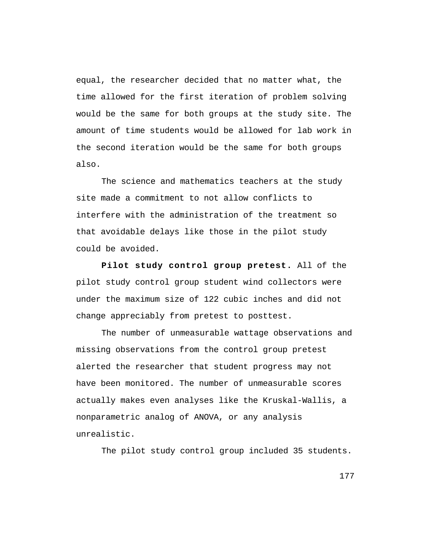equal, the researcher decided that no matter what, the time allowed for the first iteration of problem solving would be the same for both groups at the study site. The amount of time students would be allowed for lab work in the second iteration would be the same for both groups also.

The science and mathematics teachers at the study site made a commitment to not allow conflicts to interfere with the administration of the treatment so that avoidable delays like those in the pilot study could be avoided.

**Pilot study control group pretest.** All of the pilot study control group student wind collectors were under the maximum size of 122 cubic inches and did not change appreciably from pretest to posttest.

The number of unmeasurable wattage observations and missing observations from the control group pretest alerted the researcher that student progress may not have been monitored. The number of unmeasurable scores actually makes even analyses like the Kruskal-Wallis, a nonparametric analog of ANOVA, or any analysis unrealistic.

The pilot study control group included 35 students.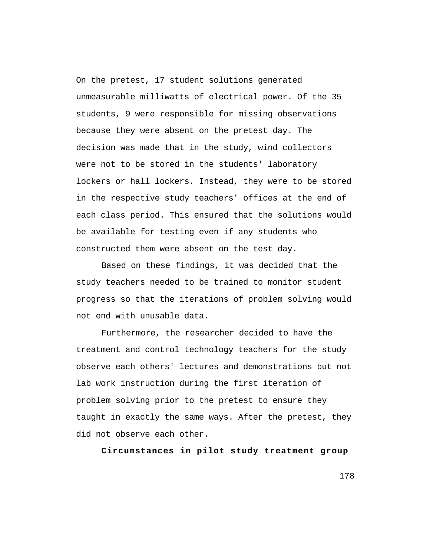On the pretest, 17 student solutions generated unmeasurable milliwatts of electrical power. Of the 35 students, 9 were responsible for missing observations because they were absent on the pretest day. The decision was made that in the study, wind collectors were not to be stored in the students' laboratory lockers or hall lockers. Instead, they were to be stored in the respective study teachers' offices at the end of each class period. This ensured that the solutions would be available for testing even if any students who constructed them were absent on the test day.

Based on these findings, it was decided that the study teachers needed to be trained to monitor student progress so that the iterations of problem solving would not end with unusable data.

Furthermore, the researcher decided to have the treatment and control technology teachers for the study observe each others' lectures and demonstrations but not lab work instruction during the first iteration of problem solving prior to the pretest to ensure they taught in exactly the same ways. After the pretest, they did not observe each other.

**Circumstances in pilot study treatment group**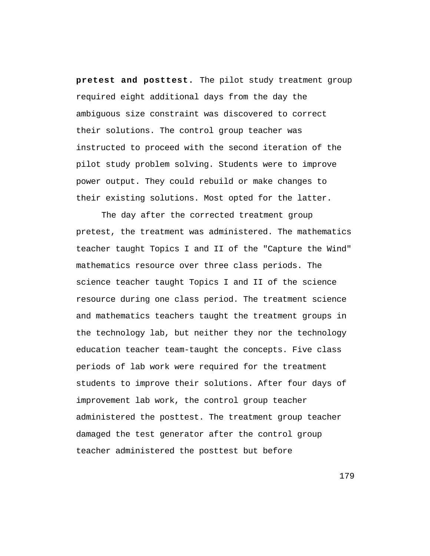**pretest and posttest.** The pilot study treatment group required eight additional days from the day the ambiguous size constraint was discovered to correct their solutions. The control group teacher was instructed to proceed with the second iteration of the pilot study problem solving. Students were to improve power output. They could rebuild or make changes to their existing solutions. Most opted for the latter.

The day after the corrected treatment group pretest, the treatment was administered. The mathematics teacher taught Topics I and II of the "Capture the Wind" mathematics resource over three class periods. The science teacher taught Topics I and II of the science resource during one class period. The treatment science and mathematics teachers taught the treatment groups in the technology lab, but neither they nor the technology education teacher team-taught the concepts. Five class periods of lab work were required for the treatment students to improve their solutions. After four days of improvement lab work, the control group teacher administered the posttest. The treatment group teacher damaged the test generator after the control group teacher administered the posttest but before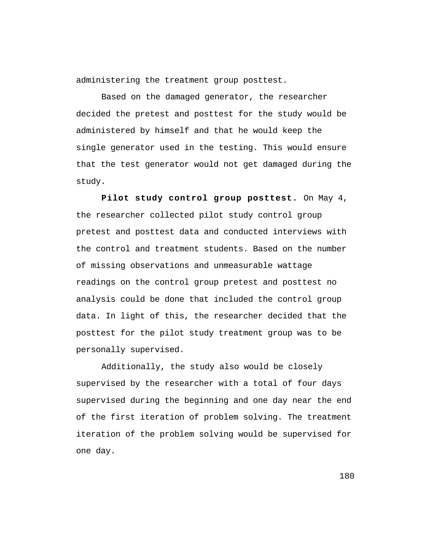administering the treatment group posttest.

Based on the damaged generator, the researcher decided the pretest and posttest for the study would be administered by himself and that he would keep the single generator used in the testing. This would ensure that the test generator would not get damaged during the study.

**Pilot study control group posttest.** On May 4, the researcher collected pilot study control group pretest and posttest data and conducted interviews with the control and treatment students. Based on the number of missing observations and unmeasurable wattage readings on the control group pretest and posttest no analysis could be done that included the control group data. In light of this, the researcher decided that the posttest for the pilot study treatment group was to be personally supervised.

Additionally, the study also would be closely supervised by the researcher with a total of four days supervised during the beginning and one day near the end of the first iteration of problem solving. The treatment iteration of the problem solving would be supervised for one day.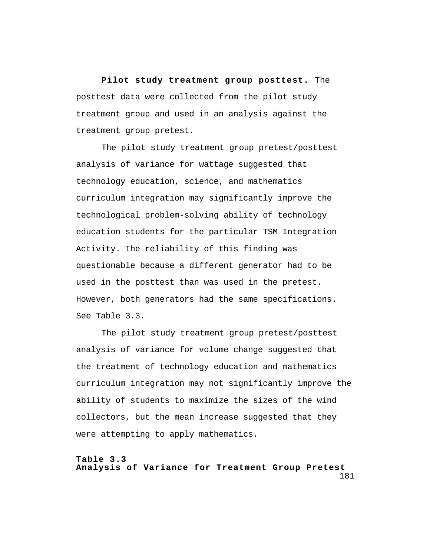**Pilot study treatment group posttest.** The posttest data were collected from the pilot study treatment group and used in an analysis against the treatment group pretest.

The pilot study treatment group pretest/posttest analysis of variance for wattage suggested that technology education, science, and mathematics curriculum integration may significantly improve the technological problem-solving ability of technology education students for the particular TSM Integration Activity. The reliability of this finding was questionable because a different generator had to be used in the posttest than was used in the pretest. However, both generators had the same specifications. See Table 3.3.

The pilot study treatment group pretest/posttest analysis of variance for volume change suggested that the treatment of technology education and mathematics curriculum integration may not significantly improve the ability of students to maximize the sizes of the wind collectors, but the mean increase suggested that they were attempting to apply mathematics.

181 **Table 3.3 Analysis of Variance for Treatment Group Pretest**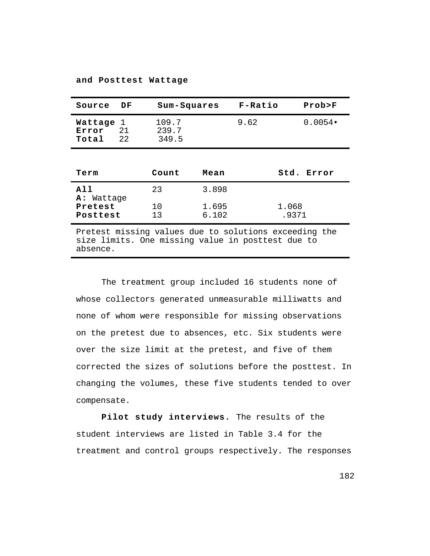| Source                                                                                                     | DF              | Sum-Squares             |                | F-Ratio        | Prob > F         |
|------------------------------------------------------------------------------------------------------------|-----------------|-------------------------|----------------|----------------|------------------|
| Wattage<br>Error<br>Total                                                                                  | 1<br>21<br>2.2. | 109.7<br>239.7<br>349.5 |                | 9.62           | $0.0054 \bullet$ |
|                                                                                                            |                 |                         |                |                |                  |
| Term                                                                                                       |                 | Count                   | Mean           |                | Std. Error       |
| A11<br><b>A:</b> Wattage                                                                                   |                 | 23                      | 3.898          |                |                  |
| Pretest<br>Posttest                                                                                        |                 | 10<br>13                | 1.695<br>6.102 | 1.068<br>.9371 |                  |
| Pretest missing values due to solutions exceeding the<br>size limits. One missing value in posttest due to |                 |                         |                |                |                  |

**and Posttest Wattage**

absence.

The treatment group included 16 students none of whose collectors generated unmeasurable milliwatts and none of whom were responsible for missing observations on the pretest due to absences, etc. Six students were over the size limit at the pretest, and five of them corrected the sizes of solutions before the posttest. In changing the volumes, these five students tended to over compensate.

**Pilot study interviews.** The results of the student interviews are listed in Table 3.4 for the treatment and control groups respectively. The responses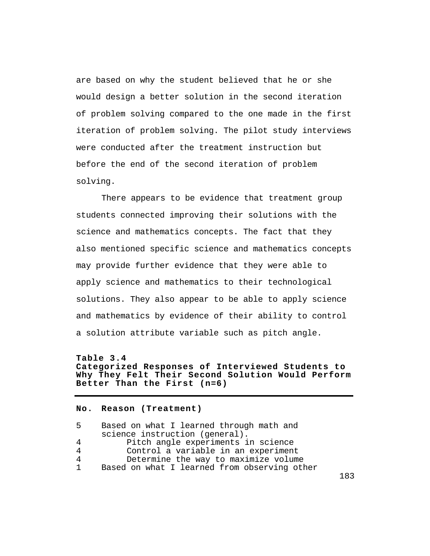are based on why the student believed that he or she would design a better solution in the second iteration of problem solving compared to the one made in the first iteration of problem solving. The pilot study interviews were conducted after the treatment instruction but before the end of the second iteration of problem solving.

There appears to be evidence that treatment group students connected improving their solutions with the science and mathematics concepts. The fact that they also mentioned specific science and mathematics concepts may provide further evidence that they were able to apply science and mathematics to their technological solutions. They also appear to be able to apply science and mathematics by evidence of their ability to control a solution attribute variable such as pitch angle.

**Table 3.4 Categorized Responses of Interviewed Students to Why They Felt Their Second Solution Would Perform Better Than the First (n=6)**

## **No. Reason (Treatment)**

5 Based on what I learned through math and science instruction (general). 4 Pitch angle experiments in science<br>4 Control a variable in an experiment 4 Control a variable in an experiment<br>4 Determine the way to maximize volum 4 Determine the way to maximize volume<br>1 Based on what I learned from observing otl Based on what I learned from observing other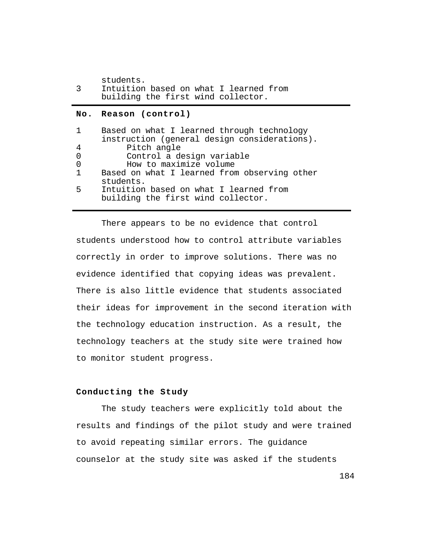| ્ર | Intuition based on what I learned from<br>building the first wind collector. |
|----|------------------------------------------------------------------------------|
|    |                                                                              |
|    | No. Reason (control)                                                         |

| $\mathbf{1}$   | Based on what I learned through technology   |
|----------------|----------------------------------------------|
|                | instruction (general design considerations). |
| $\overline{4}$ | Pitch angle                                  |
| 0              | Control a design variable                    |
| 0              | How to maximize volume                       |
| $\mathbf{1}$   | Based on what I learned from observing other |
|                | students.                                    |
| . 5            | Intuition based on what I learned from       |
|                | building the first wind collector.           |

There appears to be no evidence that control students understood how to control attribute variables correctly in order to improve solutions. There was no evidence identified that copying ideas was prevalent. There is also little evidence that students associated their ideas for improvement in the second iteration with the technology education instruction. As a result, the technology teachers at the study site were trained how to monitor student progress.

# **Conducting the Study**

The study teachers were explicitly told about the results and findings of the pilot study and were trained to avoid repeating similar errors. The guidance counselor at the study site was asked if the students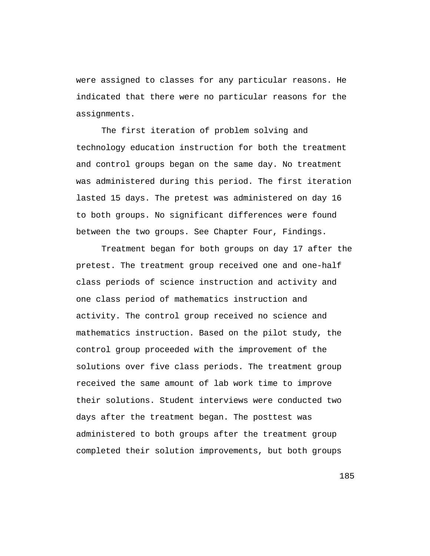were assigned to classes for any particular reasons. He indicated that there were no particular reasons for the assignments.

The first iteration of problem solving and technology education instruction for both the treatment and control groups began on the same day. No treatment was administered during this period. The first iteration lasted 15 days. The pretest was administered on day 16 to both groups. No significant differences were found between the two groups. See Chapter Four, Findings.

Treatment began for both groups on day 17 after the pretest. The treatment group received one and one-half class periods of science instruction and activity and one class period of mathematics instruction and activity. The control group received no science and mathematics instruction. Based on the pilot study, the control group proceeded with the improvement of the solutions over five class periods. The treatment group received the same amount of lab work time to improve their solutions. Student interviews were conducted two days after the treatment began. The posttest was administered to both groups after the treatment group completed their solution improvements, but both groups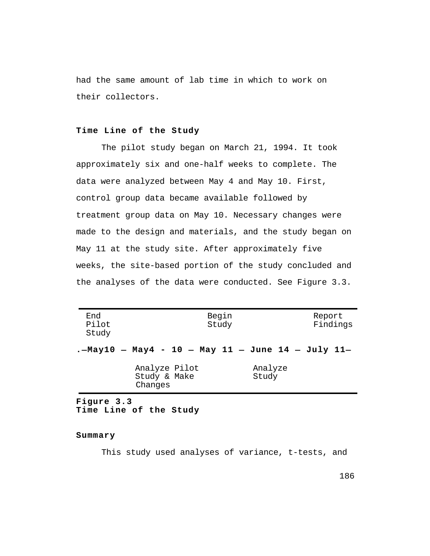had the same amount of lab time in which to work on their collectors.

## **Time Line of the Study**

The pilot study began on March 21, 1994. It took approximately six and one-half weeks to complete. The data were analyzed between May 4 and May 10. First, control group data became available followed by treatment group data on May 10. Necessary changes were made to the design and materials, and the study began on May 11 at the study site. After approximately five weeks, the site-based portion of the study concluded and the analyses of the data were conducted. See Figure 3.3.

| End<br>Pilot<br>Study |                                                   | Begin<br>Study   | Report<br>Findings |
|-----------------------|---------------------------------------------------|------------------|--------------------|
|                       | .-May10 - May4 - 10 - May 11 - June 14 - July 11- |                  |                    |
|                       | Analyze Pilot<br>Study & Make<br>Changes          | Analyze<br>Study |                    |

**Figure 3.3 Time Line of the Study**

### **Summary**

This study used analyses of variance, t-tests, and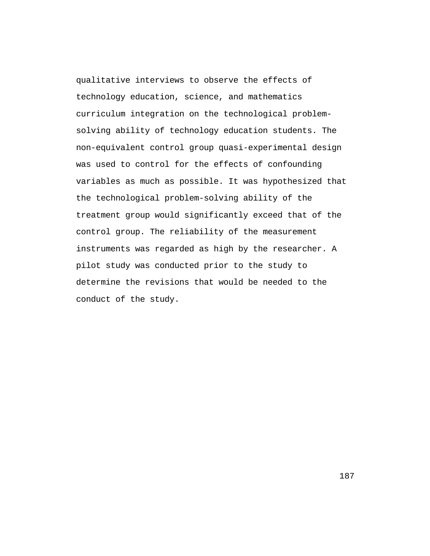qualitative interviews to observe the effects of technology education, science, and mathematics curriculum integration on the technological problemsolving ability of technology education students. The non-equivalent control group quasi-experimental design was used to control for the effects of confounding variables as much as possible. It was hypothesized that the technological problem-solving ability of the treatment group would significantly exceed that of the control group. The reliability of the measurement instruments was regarded as high by the researcher. A pilot study was conducted prior to the study to determine the revisions that would be needed to the conduct of the study.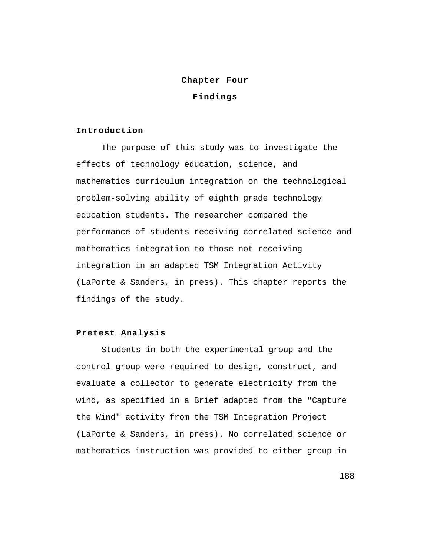### **Chapter Four**

**Findings**

#### **Introduction**

The purpose of this study was to investigate the effects of technology education, science, and mathematics curriculum integration on the technological problem-solving ability of eighth grade technology education students. The researcher compared the performance of students receiving correlated science and mathematics integration to those not receiving integration in an adapted TSM Integration Activity (LaPorte & Sanders, in press). This chapter reports the findings of the study.

# **Pretest Analysis**

Students in both the experimental group and the control group were required to design, construct, and evaluate a collector to generate electricity from the wind, as specified in a Brief adapted from the "Capture the Wind" activity from the TSM Integration Project (LaPorte & Sanders, in press). No correlated science or mathematics instruction was provided to either group in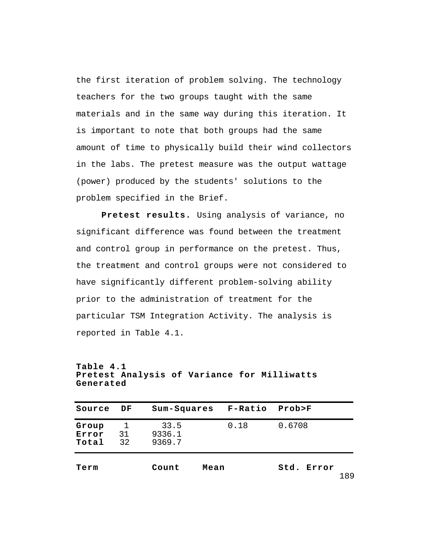the first iteration of problem solving. The technology teachers for the two groups taught with the same materials and in the same way during this iteration. It is important to note that both groups had the same amount of time to physically build their wind collectors in the labs. The pretest measure was the output wattage (power) produced by the students' solutions to the problem specified in the Brief.

**Pretest results.** Using analysis of variance, no significant difference was found between the treatment and control group in performance on the pretest. Thus, the treatment and control groups were not considered to have significantly different problem-solving ability prior to the administration of treatment for the particular TSM Integration Activity. The analysis is reported in Table 4.1.

| Source                  | DF            | Sum-Squares              | $F-Ratio$ | Prob>F        |     |
|-------------------------|---------------|--------------------------|-----------|---------------|-----|
| Group<br>Error<br>Total | 1<br>31<br>32 | 33.5<br>9336.1<br>9369.7 | 0.18      | 0.6708        |     |
| Term                    |               | Count<br>Mean            |           | std.<br>Error | 189 |

**Table 4.1 Pretest Analysis of Variance for Milliwatts Generated**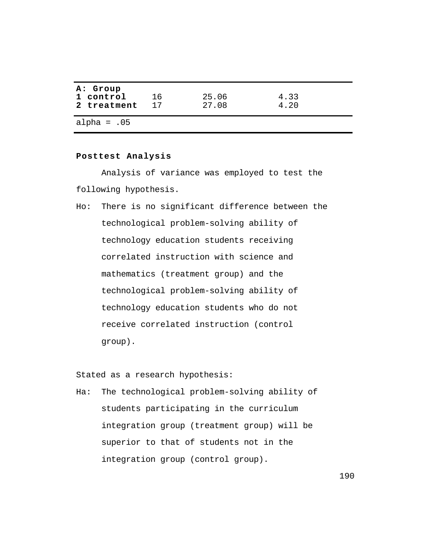| A: Group<br>1 control<br>2 treatment | 16<br>17 | 25.06<br>27.08 | 4.33<br>4.20 |
|--------------------------------------|----------|----------------|--------------|
| alpha = $.05$                        |          |                |              |

### **Posttest Analysis**

Analysis of variance was employed to test the following hypothesis.

Ho: There is no significant difference between the technological problem-solving ability of technology education students receiving correlated instruction with science and mathematics (treatment group) and the technological problem-solving ability of technology education students who do not receive correlated instruction (control group).

Stated as a research hypothesis:

Ha: The technological problem-solving ability of students participating in the curriculum integration group (treatment group) will be superior to that of students not in the integration group (control group).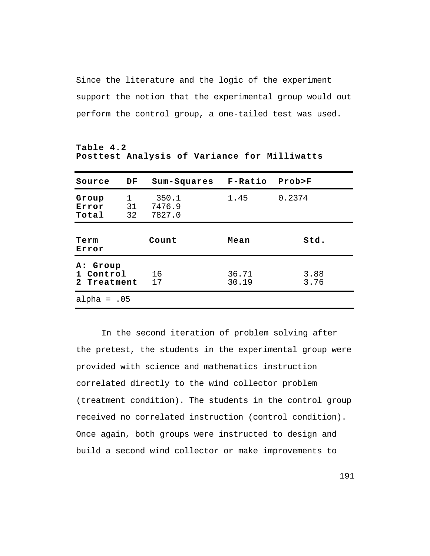Since the literature and the logic of the experiment support the notion that the experimental group would out perform the control group, a one-tailed test was used.

| Source                               | DF            | Sum-Squares               | $F-Ratio$      | Prob>F       |
|--------------------------------------|---------------|---------------------------|----------------|--------------|
| Group<br>Error<br>Total              | 1<br>31<br>32 | 350.1<br>7476.9<br>7827.0 | 1.45           | 0.2374       |
| Term<br>Error                        |               | Count                     | Mean           | std.         |
| A: Group<br>1 Control<br>2 Treatment |               | 16<br>17                  | 36.71<br>30.19 | 3.88<br>3.76 |
| alpha = $.05$                        |               |                           |                |              |

**Table 4.2 Posttest Analysis of Variance for Milliwatts**

In the second iteration of problem solving after the pretest, the students in the experimental group were provided with science and mathematics instruction correlated directly to the wind collector problem (treatment condition). The students in the control group received no correlated instruction (control condition). Once again, both groups were instructed to design and build a second wind collector or make improvements to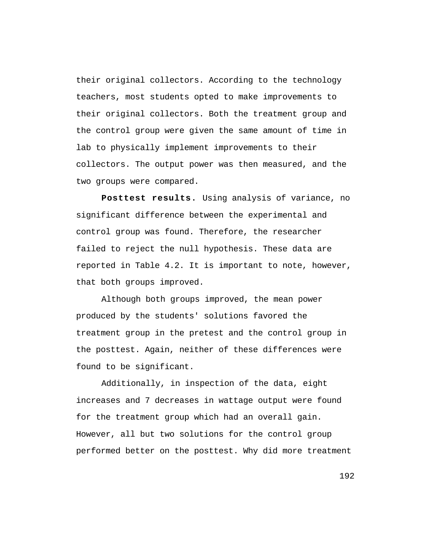their original collectors. According to the technology teachers, most students opted to make improvements to their original collectors. Both the treatment group and the control group were given the same amount of time in lab to physically implement improvements to their collectors. The output power was then measured, and the two groups were compared.

**Posttest results.** Using analysis of variance, no significant difference between the experimental and control group was found. Therefore, the researcher failed to reject the null hypothesis. These data are reported in Table 4.2. It is important to note, however, that both groups improved.

Although both groups improved, the mean power produced by the students' solutions favored the treatment group in the pretest and the control group in the posttest. Again, neither of these differences were found to be significant.

Additionally, in inspection of the data, eight increases and 7 decreases in wattage output were found for the treatment group which had an overall gain. However, all but two solutions for the control group performed better on the posttest. Why did more treatment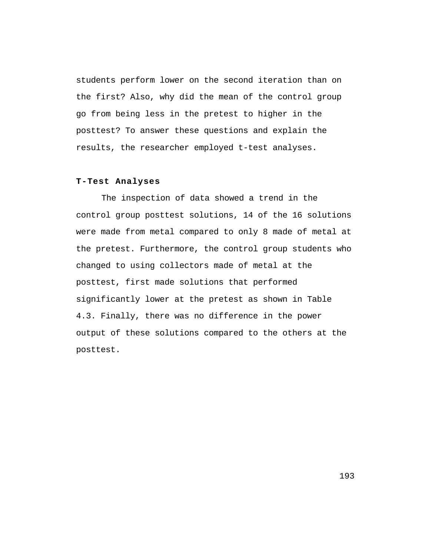students perform lower on the second iteration than on the first? Also, why did the mean of the control group go from being less in the pretest to higher in the posttest? To answer these questions and explain the results, the researcher employed t-test analyses.

# **T-Test Analyses**

The inspection of data showed a trend in the control group posttest solutions, 14 of the 16 solutions were made from metal compared to only 8 made of metal at the pretest. Furthermore, the control group students who changed to using collectors made of metal at the posttest, first made solutions that performed significantly lower at the pretest as shown in Table 4.3. Finally, there was no difference in the power output of these solutions compared to the others at the posttest.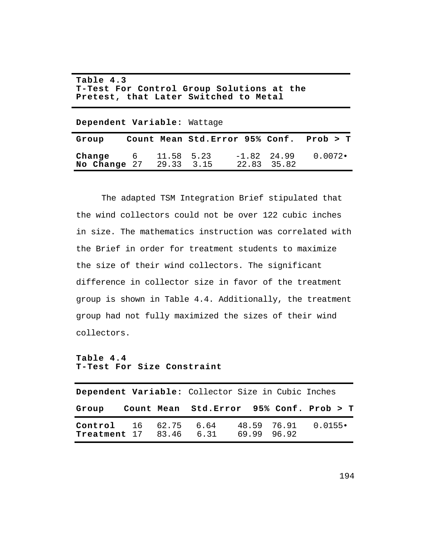| Table 4.3                                 |  |  |  |  |
|-------------------------------------------|--|--|--|--|
| T-Test For Control Group Solutions at the |  |  |  |  |
| Pretest, that Later Switched to Metal     |  |  |  |  |

**Dependent Variable:** Wattage

| Group                                                   |  | Count Mean Std.Error 95% Conf. Prob > T |                              |        |
|---------------------------------------------------------|--|-----------------------------------------|------------------------------|--------|
| <b>Change</b> $6$ 11.58 5.23<br>No Change 27 29.33 3.15 |  |                                         | $-1.82$ 24.99<br>22.83 35.82 | 0.0072 |

The adapted TSM Integration Brief stipulated that the wind collectors could not be over 122 cubic inches in size. The mathematics instruction was correlated with the Brief in order for treatment students to maximize the size of their wind collectors. The significant difference in collector size in favor of the treatment group is shown in Table 4.4. Additionally, the treatment group had not fully maximized the sizes of their wind collectors.

## **Table 4.4 T-Test For Size Constraint**

|                                                                |  | Dependent Variable: Collector Size in Cubic Inches |             |                         |
|----------------------------------------------------------------|--|----------------------------------------------------|-------------|-------------------------|
|                                                                |  | Group Count Mean Std. Error 95% Conf. Prob > T     |             |                         |
| <b>Control</b> 16 62.75 6.64<br><b>Treatment</b> 17 83.46 6.31 |  |                                                    | 69.99 96.92 | $48.59$ $76.91$ 0.0155. |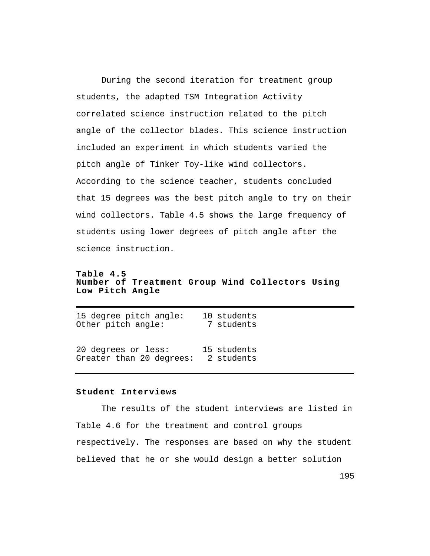During the second iteration for treatment group students, the adapted TSM Integration Activity correlated science instruction related to the pitch angle of the collector blades. This science instruction included an experiment in which students varied the pitch angle of Tinker Toy-like wind collectors. According to the science teacher, students concluded that 15 degrees was the best pitch angle to try on their wind collectors. Table 4.5 shows the large frequency of students using lower degrees of pitch angle after the science instruction.

**Table 4.5 Number of Treatment Group Wind Collectors Using Low Pitch Angle**

| 15 degree pitch angle:   | 10 students |
|--------------------------|-------------|
| Other pitch angle:       | 7 students  |
| 20 degrees or less:      | 15 students |
| Greater than 20 degrees: | 2 students  |

## **Student Interviews**

The results of the student interviews are listed in Table 4.6 for the treatment and control groups respectively. The responses are based on why the student believed that he or she would design a better solution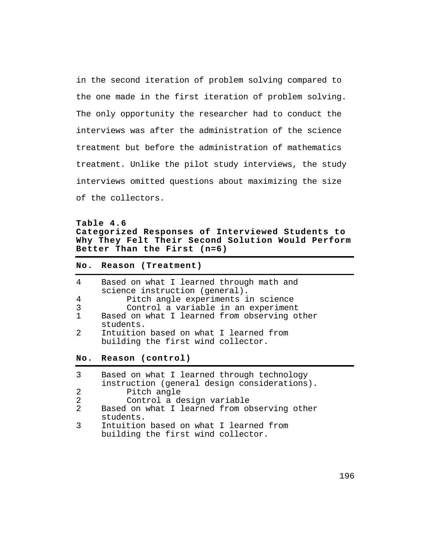in the second iteration of problem solving compared to the one made in the first iteration of problem solving. The only opportunity the researcher had to conduct the interviews was after the administration of the science treatment but before the administration of mathematics treatment. Unlike the pilot study interviews, the study interviews omitted questions about maximizing the size of the collectors.

# **Table 4.6 Categorized Responses of Interviewed Students to Why They Felt Their Second Solution Would Perform Better Than the First (n=6)**

### **No. Reason (Treatment)**

| 4            | Based on what I learned through math and     |
|--------------|----------------------------------------------|
|              | science instruction (general).               |
| 4            | Pitch angle experiments in science           |
| 3            | Control a variable in an experiment          |
| $\mathbf{1}$ | Based on what I learned from observing other |
|              | students.                                    |
| 2            | Intuition based on what I learned from       |
|              | building the first wind collector.           |

**No. Reason (control)**

| 3              | Based on what I learned through technology   |
|----------------|----------------------------------------------|
|                | instruction (general design considerations). |
| 2              | Pitch angle                                  |
| 2              | Control a design variable                    |
| $\overline{2}$ | Based on what I learned from observing other |
|                | students.                                    |
| 3              | Intuition based on what I learned from       |
|                | building the first wind collector.           |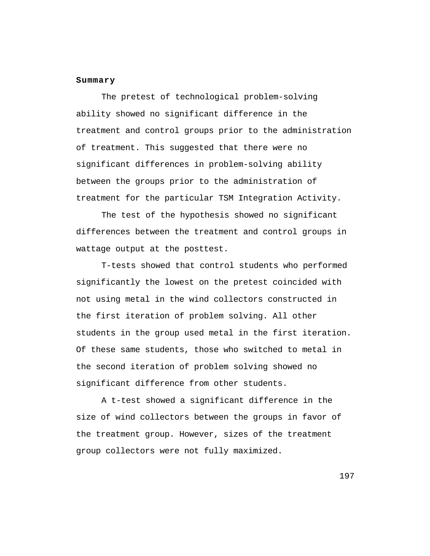### **Summary**

The pretest of technological problem-solving ability showed no significant difference in the treatment and control groups prior to the administration of treatment. This suggested that there were no significant differences in problem-solving ability between the groups prior to the administration of treatment for the particular TSM Integration Activity.

The test of the hypothesis showed no significant differences between the treatment and control groups in wattage output at the posttest.

T-tests showed that control students who performed significantly the lowest on the pretest coincided with not using metal in the wind collectors constructed in the first iteration of problem solving. All other students in the group used metal in the first iteration. Of these same students, those who switched to metal in the second iteration of problem solving showed no significant difference from other students.

A t-test showed a significant difference in the size of wind collectors between the groups in favor of the treatment group. However, sizes of the treatment group collectors were not fully maximized.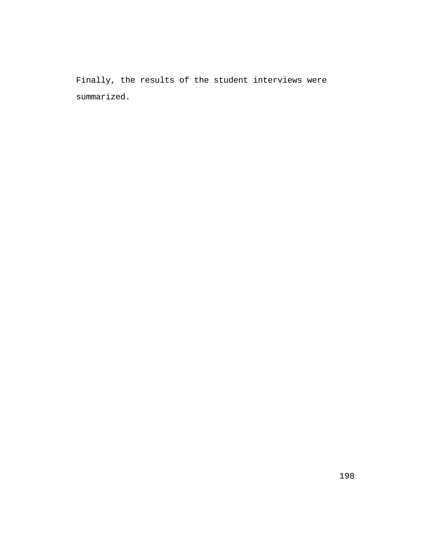Finally, the results of the student interviews were summarized.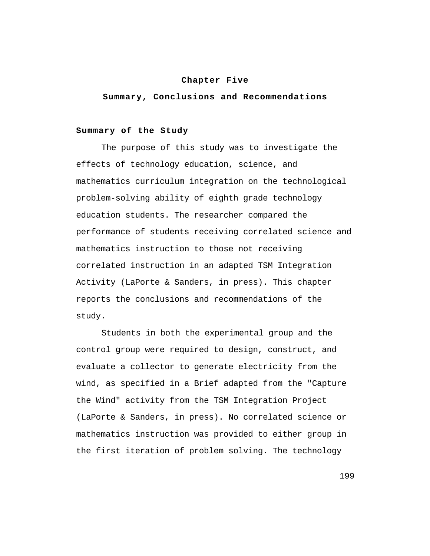#### **Chapter Five**

**Summary, Conclusions and Recommendations**

## **Summary of the Study**

The purpose of this study was to investigate the effects of technology education, science, and mathematics curriculum integration on the technological problem-solving ability of eighth grade technology education students. The researcher compared the performance of students receiving correlated science and mathematics instruction to those not receiving correlated instruction in an adapted TSM Integration Activity (LaPorte & Sanders, in press). This chapter reports the conclusions and recommendations of the study.

Students in both the experimental group and the control group were required to design, construct, and evaluate a collector to generate electricity from the wind, as specified in a Brief adapted from the "Capture the Wind" activity from the TSM Integration Project (LaPorte & Sanders, in press). No correlated science or mathematics instruction was provided to either group in the first iteration of problem solving. The technology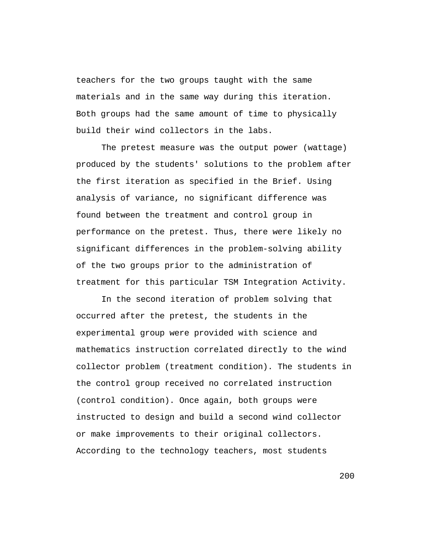teachers for the two groups taught with the same materials and in the same way during this iteration. Both groups had the same amount of time to physically build their wind collectors in the labs.

The pretest measure was the output power (wattage) produced by the students' solutions to the problem after the first iteration as specified in the Brief. Using analysis of variance, no significant difference was found between the treatment and control group in performance on the pretest. Thus, there were likely no significant differences in the problem-solving ability of the two groups prior to the administration of treatment for this particular TSM Integration Activity.

In the second iteration of problem solving that occurred after the pretest, the students in the experimental group were provided with science and mathematics instruction correlated directly to the wind collector problem (treatment condition). The students in the control group received no correlated instruction (control condition). Once again, both groups were instructed to design and build a second wind collector or make improvements to their original collectors. According to the technology teachers, most students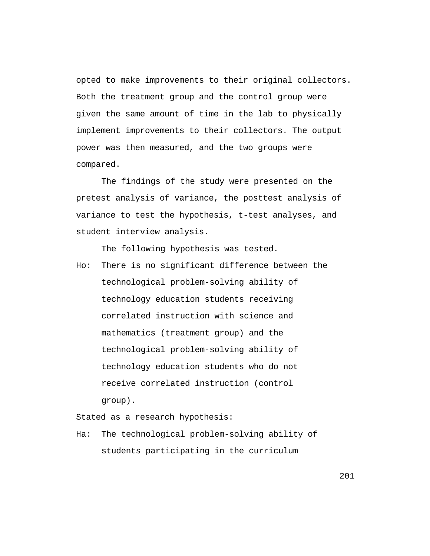opted to make improvements to their original collectors. Both the treatment group and the control group were given the same amount of time in the lab to physically implement improvements to their collectors. The output power was then measured, and the two groups were compared.

The findings of the study were presented on the pretest analysis of variance, the posttest analysis of variance to test the hypothesis, t-test analyses, and student interview analysis.

The following hypothesis was tested.

Ho: There is no significant difference between the technological problem-solving ability of technology education students receiving correlated instruction with science and mathematics (treatment group) and the technological problem-solving ability of technology education students who do not receive correlated instruction (control group).

Stated as a research hypothesis:

Ha: The technological problem-solving ability of students participating in the curriculum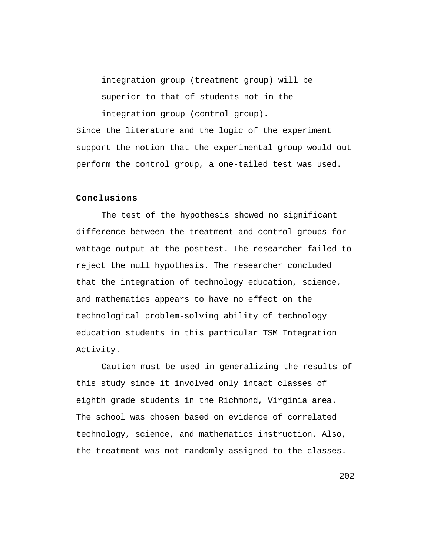integration group (treatment group) will be superior to that of students not in the

integration group (control group).

Since the literature and the logic of the experiment support the notion that the experimental group would out perform the control group, a one-tailed test was used.

## **Conclusions**

The test of the hypothesis showed no significant difference between the treatment and control groups for wattage output at the posttest. The researcher failed to reject the null hypothesis. The researcher concluded that the integration of technology education, science, and mathematics appears to have no effect on the technological problem-solving ability of technology education students in this particular TSM Integration Activity.

Caution must be used in generalizing the results of this study since it involved only intact classes of eighth grade students in the Richmond, Virginia area. The school was chosen based on evidence of correlated technology, science, and mathematics instruction. Also, the treatment was not randomly assigned to the classes.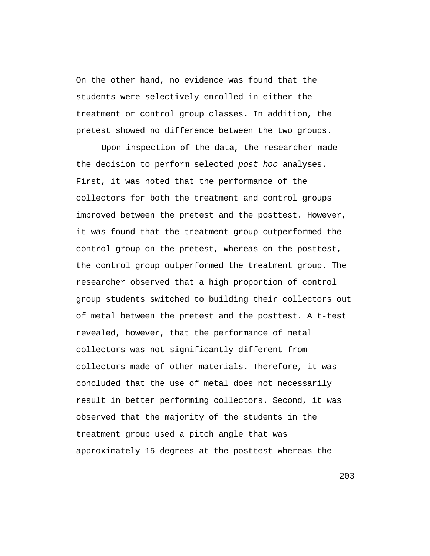On the other hand, no evidence was found that the students were selectively enrolled in either the treatment or control group classes. In addition, the pretest showed no difference between the two groups.

Upon inspection of the data, the researcher made the decision to perform selected post hoc analyses. First, it was noted that the performance of the collectors for both the treatment and control groups improved between the pretest and the posttest. However, it was found that the treatment group outperformed the control group on the pretest, whereas on the posttest, the control group outperformed the treatment group. The researcher observed that a high proportion of control group students switched to building their collectors out of metal between the pretest and the posttest. A t-test revealed, however, that the performance of metal collectors was not significantly different from collectors made of other materials. Therefore, it was concluded that the use of metal does not necessarily result in better performing collectors. Second, it was observed that the majority of the students in the treatment group used a pitch angle that was approximately 15 degrees at the posttest whereas the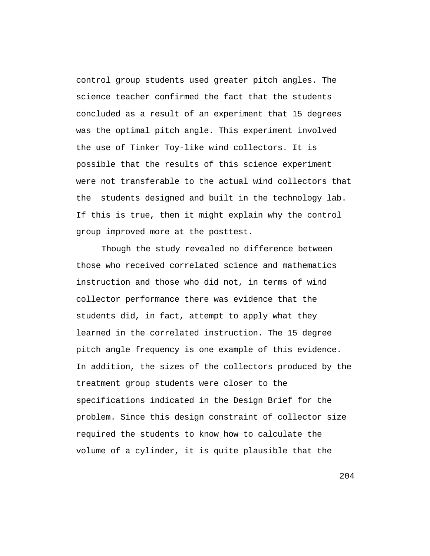control group students used greater pitch angles. The science teacher confirmed the fact that the students concluded as a result of an experiment that 15 degrees was the optimal pitch angle. This experiment involved the use of Tinker Toy-like wind collectors. It is possible that the results of this science experiment were not transferable to the actual wind collectors that the students designed and built in the technology lab. If this is true, then it might explain why the control group improved more at the posttest.

Though the study revealed no difference between those who received correlated science and mathematics instruction and those who did not, in terms of wind collector performance there was evidence that the students did, in fact, attempt to apply what they learned in the correlated instruction. The 15 degree pitch angle frequency is one example of this evidence. In addition, the sizes of the collectors produced by the treatment group students were closer to the specifications indicated in the Design Brief for the problem. Since this design constraint of collector size required the students to know how to calculate the volume of a cylinder, it is quite plausible that the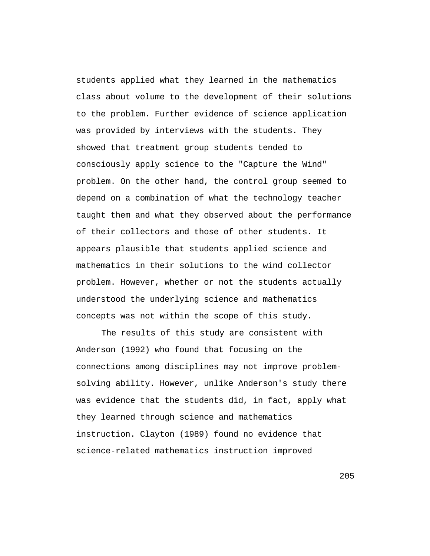students applied what they learned in the mathematics class about volume to the development of their solutions to the problem. Further evidence of science application was provided by interviews with the students. They showed that treatment group students tended to consciously apply science to the "Capture the Wind" problem. On the other hand, the control group seemed to depend on a combination of what the technology teacher taught them and what they observed about the performance of their collectors and those of other students. It appears plausible that students applied science and mathematics in their solutions to the wind collector problem. However, whether or not the students actually understood the underlying science and mathematics concepts was not within the scope of this study.

The results of this study are consistent with Anderson (1992) who found that focusing on the connections among disciplines may not improve problemsolving ability. However, unlike Anderson's study there was evidence that the students did, in fact, apply what they learned through science and mathematics instruction. Clayton (1989) found no evidence that science-related mathematics instruction improved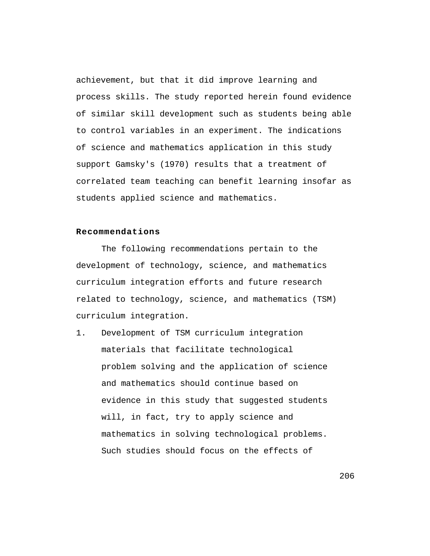achievement, but that it did improve learning and process skills. The study reported herein found evidence of similar skill development such as students being able to control variables in an experiment. The indications of science and mathematics application in this study support Gamsky's (1970) results that a treatment of correlated team teaching can benefit learning insofar as students applied science and mathematics.

# **Recommendations**

The following recommendations pertain to the development of technology, science, and mathematics curriculum integration efforts and future research related to technology, science, and mathematics (TSM) curriculum integration.

1. Development of TSM curriculum integration materials that facilitate technological problem solving and the application of science and mathematics should continue based on evidence in this study that suggested students will, in fact, try to apply science and mathematics in solving technological problems. Such studies should focus on the effects of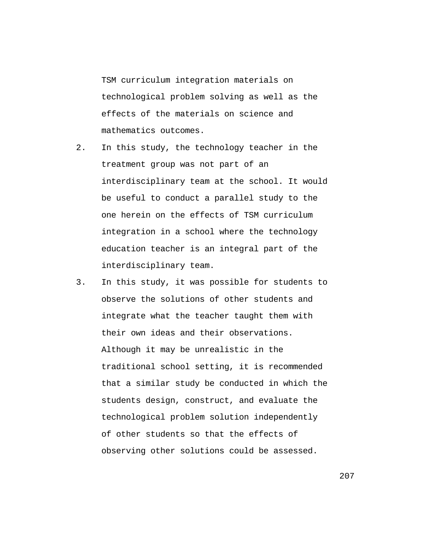TSM curriculum integration materials on technological problem solving as well as the effects of the materials on science and mathematics outcomes.

- 2. In this study, the technology teacher in the treatment group was not part of an interdisciplinary team at the school. It would be useful to conduct a parallel study to the one herein on the effects of TSM curriculum integration in a school where the technology education teacher is an integral part of the interdisciplinary team.
- 3. In this study, it was possible for students to observe the solutions of other students and integrate what the teacher taught them with their own ideas and their observations. Although it may be unrealistic in the traditional school setting, it is recommended that a similar study be conducted in which the students design, construct, and evaluate the technological problem solution independently of other students so that the effects of observing other solutions could be assessed.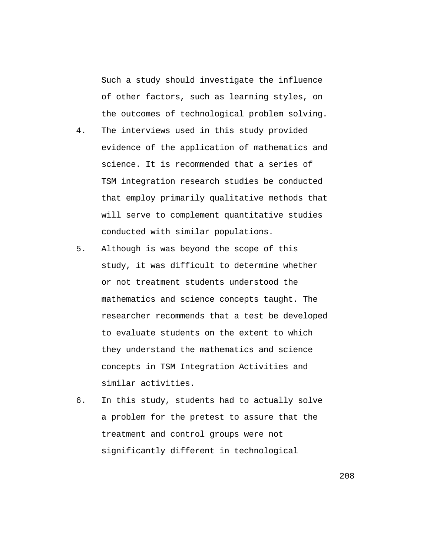Such a study should investigate the influence of other factors, such as learning styles, on the outcomes of technological problem solving.

- 4. The interviews used in this study provided evidence of the application of mathematics and science. It is recommended that a series of TSM integration research studies be conducted that employ primarily qualitative methods that will serve to complement quantitative studies conducted with similar populations.
- 5. Although is was beyond the scope of this study, it was difficult to determine whether or not treatment students understood the mathematics and science concepts taught. The researcher recommends that a test be developed to evaluate students on the extent to which they understand the mathematics and science concepts in TSM Integration Activities and similar activities.
- 6. In this study, students had to actually solve a problem for the pretest to assure that the treatment and control groups were not significantly different in technological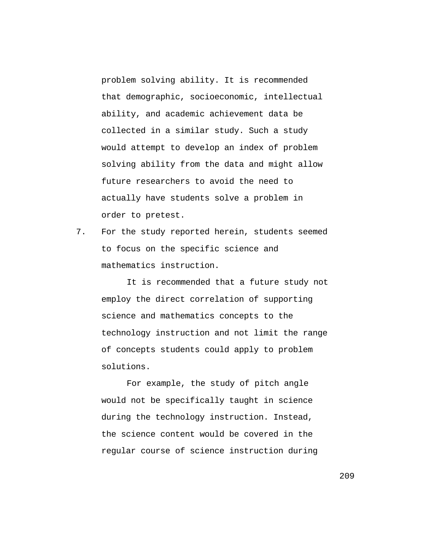problem solving ability. It is recommended that demographic, socioeconomic, intellectual ability, and academic achievement data be collected in a similar study. Such a study would attempt to develop an index of problem solving ability from the data and might allow future researchers to avoid the need to actually have students solve a problem in order to pretest.

7. For the study reported herein, students seemed to focus on the specific science and mathematics instruction.

It is recommended that a future study not employ the direct correlation of supporting science and mathematics concepts to the technology instruction and not limit the range of concepts students could apply to problem solutions.

For example, the study of pitch angle would not be specifically taught in science during the technology instruction. Instead, the science content would be covered in the regular course of science instruction during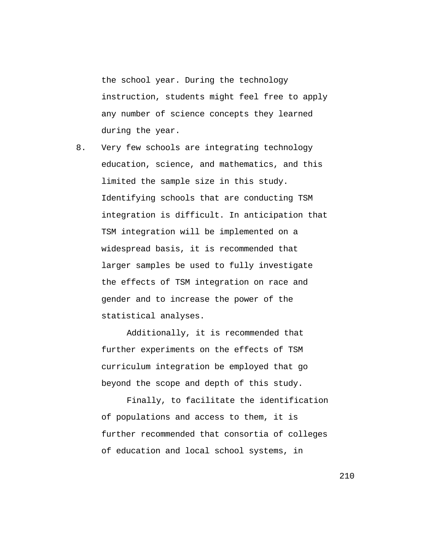the school year. During the technology instruction, students might feel free to apply any number of science concepts they learned during the year.

8. Very few schools are integrating technology education, science, and mathematics, and this limited the sample size in this study. Identifying schools that are conducting TSM integration is difficult. In anticipation that TSM integration will be implemented on a widespread basis, it is recommended that larger samples be used to fully investigate the effects of TSM integration on race and gender and to increase the power of the statistical analyses.

Additionally, it is recommended that further experiments on the effects of TSM curriculum integration be employed that go beyond the scope and depth of this study.

Finally, to facilitate the identification of populations and access to them, it is further recommended that consortia of colleges of education and local school systems, in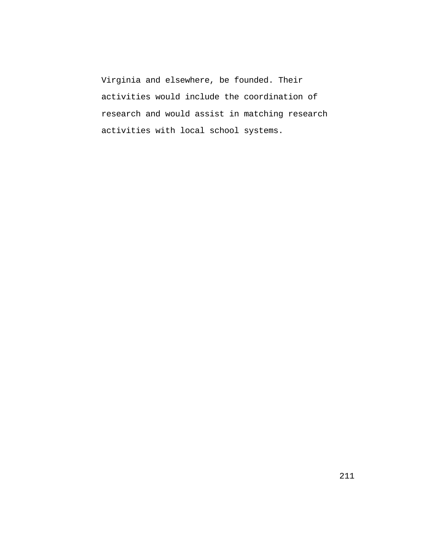Virginia and elsewhere, be founded. Their activities would include the coordination of research and would assist in matching research activities with local school systems.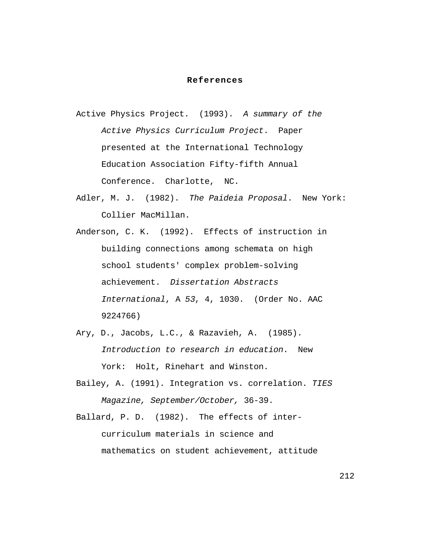### **References**

- Active Physics Project. (1993). A summary of the Active Physics Curriculum Project. Paper presented at the International Technology Education Association Fifty-fifth Annual Conference. Charlotte, NC.
- Adler, M. J. (1982). The Paideia Proposal. New York: Collier MacMillan.
- Anderson, C. K. (1992). Effects of instruction in building connections among schemata on high school students' complex problem-solving achievement. Dissertation Abstracts International, A 53, 4, 1030. (Order No. AAC 9224766)
- Ary, D., Jacobs, L.C., & Razavieh, A. (1985). Introduction to research in education. New York: Holt, Rinehart and Winston.
- Bailey, A. (1991). Integration vs. correlation. TIES Magazine, September/October, 36-39.
- Ballard, P. D. (1982). The effects of intercurriculum materials in science and mathematics on student achievement, attitude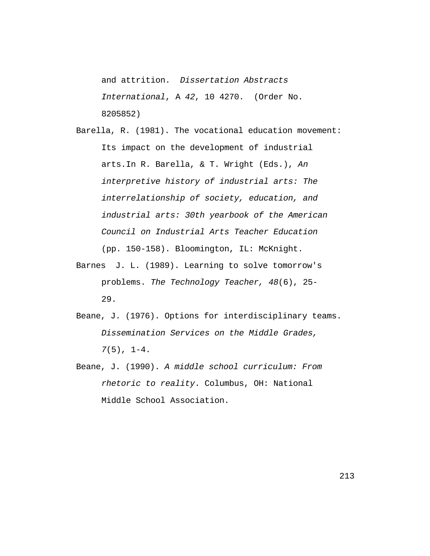and attrition. Dissertation Abstracts International, A 42, 10 4270. (Order No. 8205852)

- Barella, R. (1981). The vocational education movement: Its impact on the development of industrial arts.In R. Barella, & T. Wright (Eds.), An interpretive history of industrial arts: The interrelationship of society, education, and industrial arts: 30th yearbook of the American Council on Industrial Arts Teacher Education (pp. 150-158). Bloomington, IL: McKnight.
- Barnes J. L. (1989). Learning to solve tomorrow's problems. The Technology Teacher, 48(6), 25- 29.
- Beane, J. (1976). Options for interdisciplinary teams. Dissemination Services on the Middle Grades,  $7(5)$ ,  $1-4$ .
- Beane, J. (1990). A middle school curriculum: From rhetoric to reality. Columbus, OH: National Middle School Association.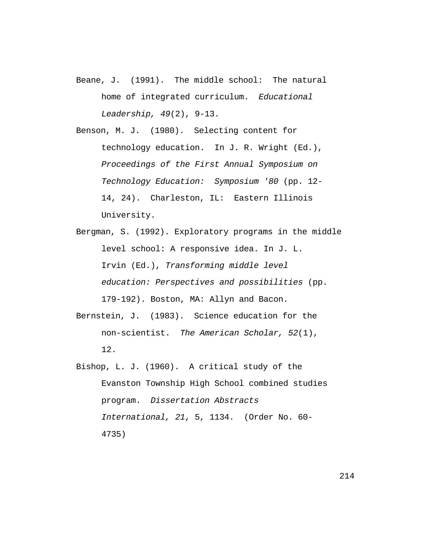- Beane, J. (1991). The middle school: The natural home of integrated curriculum. Educational Leadership, 49(2), 9-13.
- Benson, M. J. (1980). Selecting content for technology education. In J. R. Wright (Ed.), Proceedings of the First Annual Symposium on Technology Education: Symposium '80 (pp. 12- 14, 24). Charleston, IL: Eastern Illinois University.
- Bergman, S. (1992). Exploratory programs in the middle level school: A responsive idea. In J. L. Irvin (Ed.), Transforming middle level education: Perspectives and possibilities (pp. 179-192). Boston, MA: Allyn and Bacon.
- Bernstein, J. (1983). Science education for the non-scientist. The American Scholar, 52(1), 12.
- Bishop, L. J. (1960). A critical study of the Evanston Township High School combined studies program. Dissertation Abstracts International, 21, 5, 1134. (Order No. 60- 4735)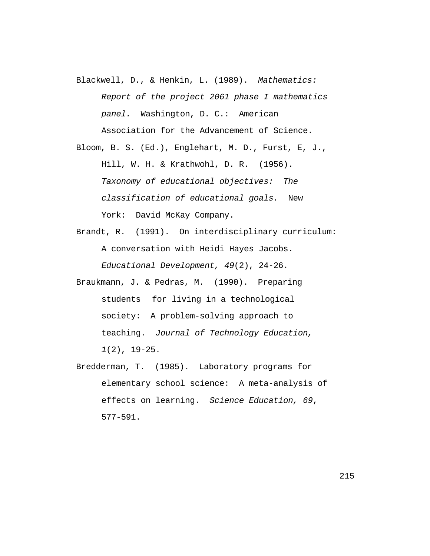Blackwell, D., & Henkin, L. (1989). Mathematics: Report of the project 2061 phase I mathematics panel. Washington, D. C.: American Association for the Advancement of Science.

Bloom, B. S. (Ed.), Englehart, M. D., Furst, E, J., Hill, W. H. & Krathwohl, D. R. (1956). Taxonomy of educational objectives: The classification of educational goals. New York: David McKay Company.

- Brandt, R. (1991). On interdisciplinary curriculum: A conversation with Heidi Hayes Jacobs. Educational Development, 49(2), 24-26.
- Braukmann, J. & Pedras, M. (1990). Preparing students for living in a technological society: A problem-solving approach to teaching. Journal of Technology Education, 1(2), 19-25.
- Bredderman, T. (1985). Laboratory programs for elementary school science: A meta-analysis of effects on learning. Science Education, 69, 577-591.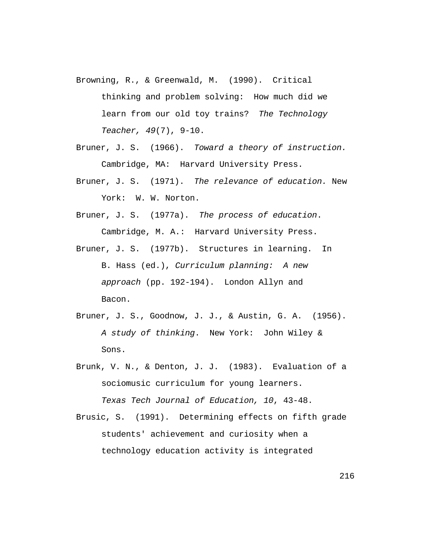- Browning, R., & Greenwald, M. (1990). Critical thinking and problem solving: How much did we learn from our old toy trains? The Technology Teacher, 49(7), 9-10.
- Bruner, J. S. (1966). Toward a theory of instruction. Cambridge, MA: Harvard University Press.
- Bruner, J. S. (1971). The relevance of education. New York: W. W. Norton.

Bruner, J. S. (1977a). The process of education. Cambridge, M. A.: Harvard University Press.

- Bruner, J. S. (1977b). Structures in learning. In B. Hass (ed.), Curriculum planning: A new approach (pp. 192-194). London Allyn and Bacon.
- Bruner, J. S., Goodnow, J. J., & Austin, G. A. (1956). A study of thinking. New York: John Wiley & Sons.
- Brunk, V. N., & Denton, J. J. (1983). Evaluation of a sociomusic curriculum for young learners. Texas Tech Journal of Education, 10, 43-48.
- Brusic, S. (1991). Determining effects on fifth grade students' achievement and curiosity when a technology education activity is integrated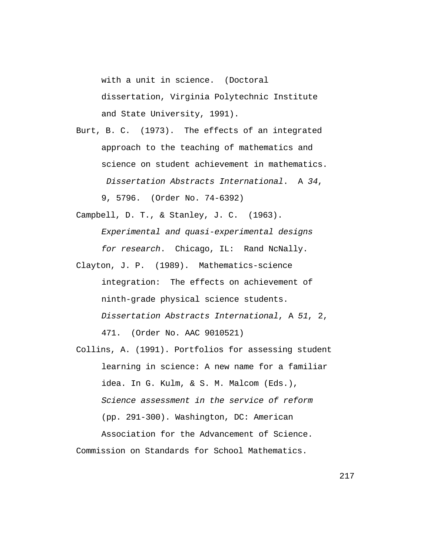with a unit in science. (Doctoral dissertation, Virginia Polytechnic Institute and State University, 1991).

Burt, B. C. (1973). The effects of an integrated approach to the teaching of mathematics and science on student achievement in mathematics. Dissertation Abstracts International. A 34, 9, 5796. (Order No. 74-6392)

Campbell, D. T., & Stanley, J. C. (1963).

Experimental and quasi-experimental designs for research. Chicago, IL: Rand NcNally.

- Clayton, J. P. (1989). Mathematics-science integration: The effects on achievement of ninth-grade physical science students. Dissertation Abstracts International, A 51, 2, 471. (Order No. AAC 9010521)
- Collins, A. (1991). Portfolios for assessing student learning in science: A new name for a familiar idea. In G. Kulm, & S. M. Malcom (Eds.), Science assessment in the service of reform (pp. 291-300). Washington, DC: American Association for the Advancement of Science.

Commission on Standards for School Mathematics.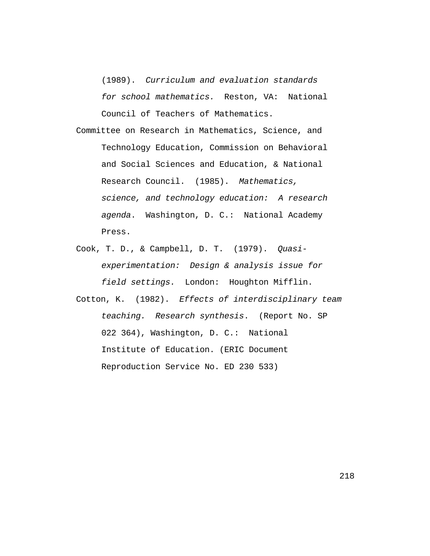(1989). Curriculum and evaluation standards for school mathematics. Reston, VA: National Council of Teachers of Mathematics.

- Committee on Research in Mathematics, Science, and Technology Education, Commission on Behavioral and Social Sciences and Education, & National Research Council. (1985). Mathematics, science, and technology education: A research agenda. Washington, D. C.: National Academy Press.
- Cook, T. D., & Campbell, D. T. (1979). Quasiexperimentation: Design & analysis issue for field settings. London: Houghton Mifflin.
- Cotton, K. (1982). Effects of interdisciplinary team teaching. Research synthesis. (Report No. SP 022 364), Washington, D. C.: National Institute of Education. (ERIC Document Reproduction Service No. ED 230 533)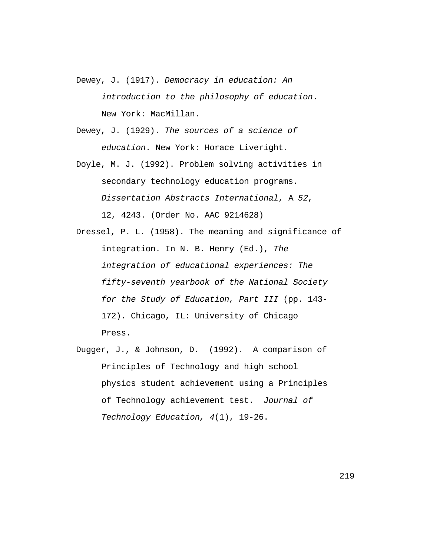Dewey, J. (1917). Democracy in education: An introduction to the philosophy of education. New York: MacMillan.

Dewey, J. (1929). The sources of a science of education. New York: Horace Liveright.

Doyle, M. J. (1992). Problem solving activities in secondary technology education programs. Dissertation Abstracts International, A 52, 12, 4243. (Order No. AAC 9214628)

Dressel, P. L. (1958). The meaning and significance of integration. In N. B. Henry (Ed.), The integration of educational experiences: The fifty-seventh yearbook of the National Society for the Study of Education, Part III (pp. 143- 172). Chicago, IL: University of Chicago Press.

Dugger, J., & Johnson, D. (1992). A comparison of Principles of Technology and high school physics student achievement using a Principles of Technology achievement test. Journal of Technology Education, 4(1), 19-26.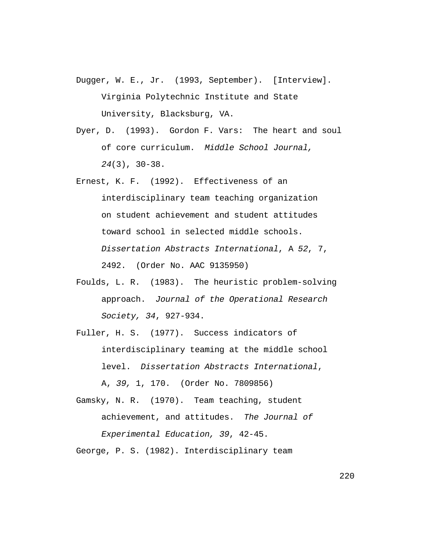- Dugger, W. E., Jr. (1993, September). [Interview]. Virginia Polytechnic Institute and State University, Blacksburg, VA.
- Dyer, D. (1993). Gordon F. Vars: The heart and soul of core curriculum. Middle School Journal, 24(3), 30-38.
- Ernest, K. F. (1992). Effectiveness of an interdisciplinary team teaching organization on student achievement and student attitudes toward school in selected middle schools. Dissertation Abstracts International, A 52, 7, 2492. (Order No. AAC 9135950)
- Foulds, L. R. (1983). The heuristic problem-solving approach. Journal of the Operational Research Society, 34, 927-934.
- Fuller, H. S. (1977). Success indicators of interdisciplinary teaming at the middle school level. Dissertation Abstracts International, A, 39, 1, 170. (Order No. 7809856)
- Gamsky, N. R. (1970). Team teaching, student achievement, and attitudes. The Journal of Experimental Education, 39, 42-45.

George, P. S. (1982). Interdisciplinary team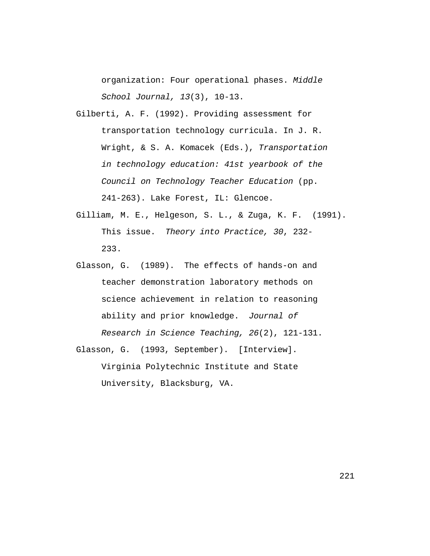organization: Four operational phases. Middle School Journal, 13(3), 10-13.

- Gilberti, A. F. (1992). Providing assessment for transportation technology curricula. In J. R. Wright, & S. A. Komacek (Eds.), Transportation in technology education: 41st yearbook of the Council on Technology Teacher Education (pp. 241-263). Lake Forest, IL: Glencoe.
- Gilliam, M. E., Helgeson, S. L., & Zuga, K. F. (1991). This issue. Theory into Practice, 30, 232- 233.
- Glasson, G. (1989). The effects of hands-on and teacher demonstration laboratory methods on science achievement in relation to reasoning ability and prior knowledge. Journal of Research in Science Teaching, 26(2), 121-131.
- Glasson, G. (1993, September). [Interview]. Virginia Polytechnic Institute and State University, Blacksburg, VA.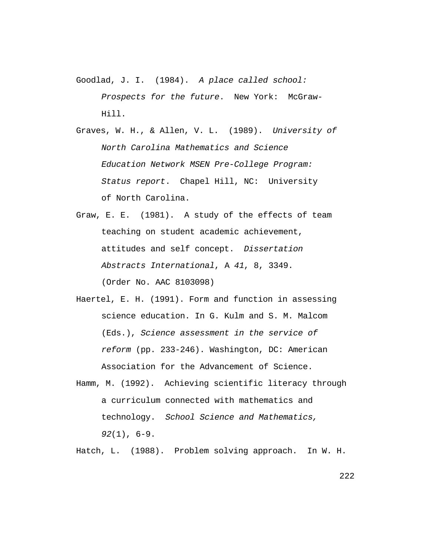- Goodlad, J. I. (1984). A place called school: Prospects for the future. New York: McGraw-Hill.
- Graves, W. H., & Allen, V. L. (1989). University of North Carolina Mathematics and Science Education Network MSEN Pre-College Program: Status report. Chapel Hill, NC: University of North Carolina.
- Graw, E. E. (1981). A study of the effects of team teaching on student academic achievement, attitudes and self concept. Dissertation Abstracts International, A 41, 8, 3349. (Order No. AAC 8103098)
- Haertel, E. H. (1991). Form and function in assessing science education. In G. Kulm and S. M. Malcom (Eds.), Science assessment in the service of reform (pp. 233-246). Washington, DC: American Association for the Advancement of Science.
- Hamm, M. (1992). Achieving scientific literacy through a curriculum connected with mathematics and technology. School Science and Mathematics, 92(1), 6-9.

Hatch, L. (1988). Problem solving approach. In W. H.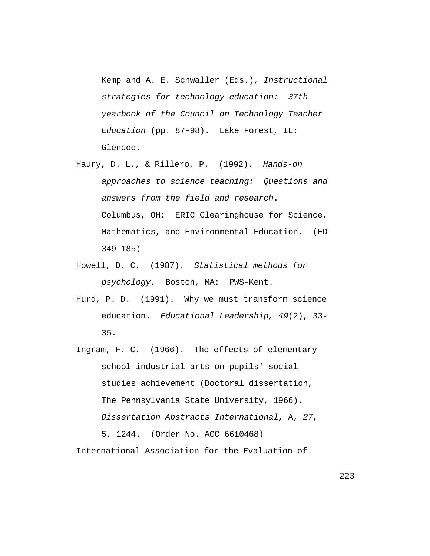Kemp and A. E. Schwaller (Eds.), Instructional strategies for technology education: 37th yearbook of the Council on Technology Teacher Education (pp. 87-98). Lake Forest, IL: Glencoe.

- Haury, D. L., & Rillero, P. (1992). Hands-on approaches to science teaching: Questions and answers from the field and research. Columbus, OH: ERIC Clearinghouse for Science, Mathematics, and Environmental Education. (ED 349 185)
- Howell, D. C. (1987). Statistical methods for psychology. Boston, MA: PWS-Kent.
- Hurd, P. D. (1991). Why we must transform science education. Educational Leadership, 49(2), 33- 35.
- Ingram, F. C. (1966). The effects of elementary school industrial arts on pupils' social studies achievement (Doctoral dissertation, The Pennsylvania State University, 1966). Dissertation Abstracts International, A, 27, 5, 1244. (Order No. ACC 6610468)

International Association for the Evaluation of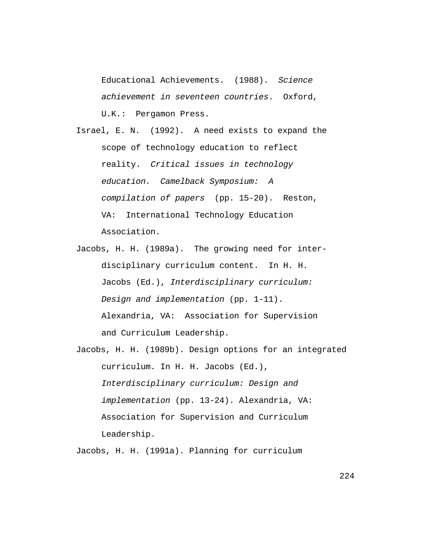Educational Achievements. (1988). Science achievement in seventeen countries. Oxford, U.K.: Pergamon Press.

Israel, E. N. (1992). A need exists to expand the scope of technology education to reflect reality. Critical issues in technology education. Camelback Symposium: A compilation of papers (pp. 15-20). Reston, VA: International Technology Education Association.

- Jacobs, H. H. (1989a). The growing need for interdisciplinary curriculum content. In H. H. Jacobs (Ed.), Interdisciplinary curriculum: Design and implementation (pp. 1-11). Alexandria, VA: Association for Supervision and Curriculum Leadership.
- Jacobs, H. H. (1989b). Design options for an integrated curriculum. In H. H. Jacobs (Ed.), Interdisciplinary curriculum: Design and implementation (pp. 13-24). Alexandria, VA: Association for Supervision and Curriculum Leadership.

Jacobs, H. H. (1991a). Planning for curriculum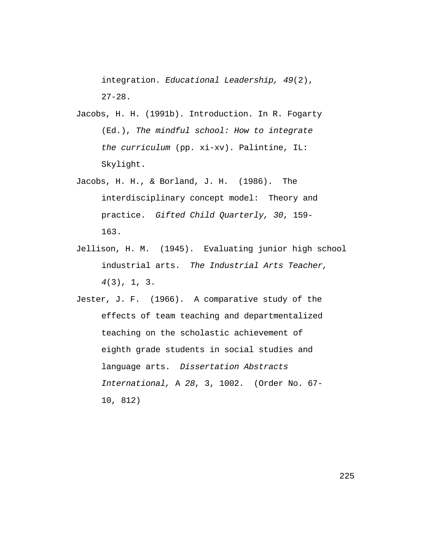integration. Educational Leadership, 49(2),  $27 - 28$ .

- Jacobs, H. H. (1991b). Introduction. In R. Fogarty (Ed.), The mindful school: How to integrate the curriculum (pp. xi-xv). Palintine, IL: Skylight.
- Jacobs, H. H., & Borland, J. H. (1986). The interdisciplinary concept model: Theory and practice. Gifted Child Quarterly, 30, 159- 163.
- Jellison, H. M. (1945). Evaluating junior high school industrial arts. The Industrial Arts Teacher, 4(3), 1, 3.
- Jester, J. F. (1966). A comparative study of the effects of team teaching and departmentalized teaching on the scholastic achievement of eighth grade students in social studies and language arts. Dissertation Abstracts International, A 28, 3, 1002. (Order No. 67- 10, 812)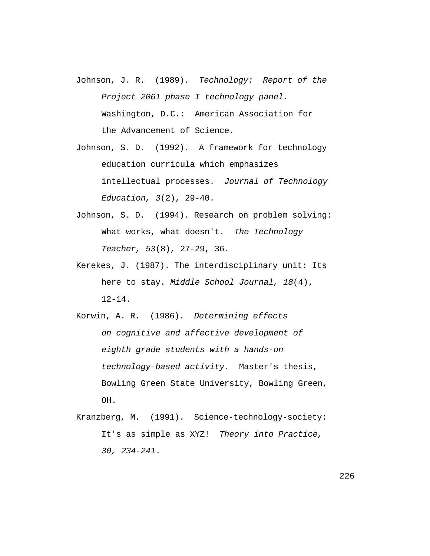- Johnson, J. R. (1989). Technology: Report of the Project 2061 phase I technology panel. Washington, D.C.: American Association for the Advancement of Science.
- Johnson, S. D. (1992). A framework for technology education curricula which emphasizes intellectual processes. Journal of Technology Education, 3(2), 29-40.
- Johnson, S. D. (1994). Research on problem solving: What works, what doesn't. The Technology Teacher, 53(8), 27-29, 36.
- Kerekes, J. (1987). The interdisciplinary unit: Its here to stay. Middle School Journal, 18(4),  $12 - 14$ .
- Korwin, A. R. (1986). Determining effects on cognitive and affective development of eighth grade students with a hands-on technology-based activity. Master's thesis, Bowling Green State University, Bowling Green, OH.
- Kranzberg, M. (1991). Science-technology-society: It's as simple as XYZ! Theory into Practice, 30, 234-241.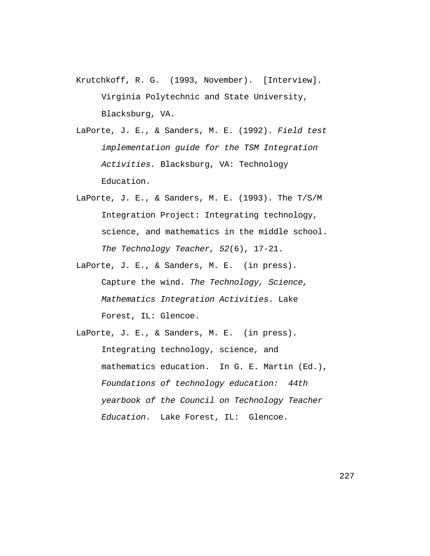- Krutchkoff, R. G. (1993, November). [Interview]. Virginia Polytechnic and State University, Blacksburg, VA.
- LaPorte, J. E., & Sanders, M. E. (1992). Field test implementation guide for the TSM Integration Activities. Blacksburg, VA: Technology Education.
- LaPorte, J. E., & Sanders, M. E. (1993). The T/S/M Integration Project: Integrating technology, science, and mathematics in the middle school. The Technology Teacher, 52(6), 17-21.
- LaPorte, J. E., & Sanders, M. E. (in press). Capture the wind. The Technology, Science, Mathematics Integration Activities. Lake Forest, IL: Glencoe.

LaPorte, J. E., & Sanders, M. E. (in press). Integrating technology, science, and mathematics education. In G. E. Martin (Ed.), Foundations of technology education: 44th yearbook of the Council on Technology Teacher Education. Lake Forest, IL: Glencoe.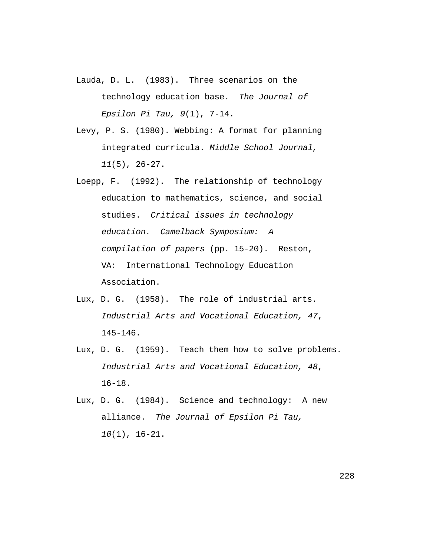- Lauda, D. L. (1983). Three scenarios on the technology education base. The Journal of Epsilon Pi Tau,  $9(1)$ ,  $7-14$ .
- Levy, P. S. (1980). Webbing: A format for planning integrated curricula. Middle School Journal, 11(5), 26-27.
- Loepp, F. (1992). The relationship of technology education to mathematics, science, and social studies. Critical issues in technology education. Camelback Symposium: A compilation of papers (pp. 15-20). Reston, VA: International Technology Education Association.
- Lux, D. G. (1958). The role of industrial arts. Industrial Arts and Vocational Education, 47, 145-146.
- Lux, D. G. (1959). Teach them how to solve problems. Industrial Arts and Vocational Education, 48, 16-18.
- Lux, D. G. (1984). Science and technology: A new alliance. The Journal of Epsilon Pi Tau, 10(1), 16-21.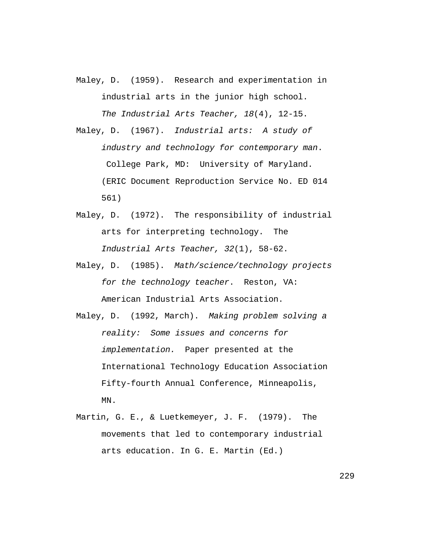- Maley, D. (1959). Research and experimentation in industrial arts in the junior high school. The Industrial Arts Teacher, 18(4), 12-15.
- Maley, D. (1967). Industrial arts: A study of industry and technology for contemporary man. College Park, MD: University of Maryland. (ERIC Document Reproduction Service No. ED 014 561)
- Maley, D. (1972). The responsibility of industrial arts for interpreting technology. The Industrial Arts Teacher, 32(1), 58-62.
- Maley, D. (1985). Math/science/technology projects for the technology teacher. Reston, VA: American Industrial Arts Association.
- Maley, D. (1992, March). Making problem solving a reality: Some issues and concerns for implementation. Paper presented at the International Technology Education Association Fifty-fourth Annual Conference, Minneapolis, MN.
- Martin, G. E., & Luetkemeyer, J. F. (1979). The movements that led to contemporary industrial arts education. In G. E. Martin (Ed.)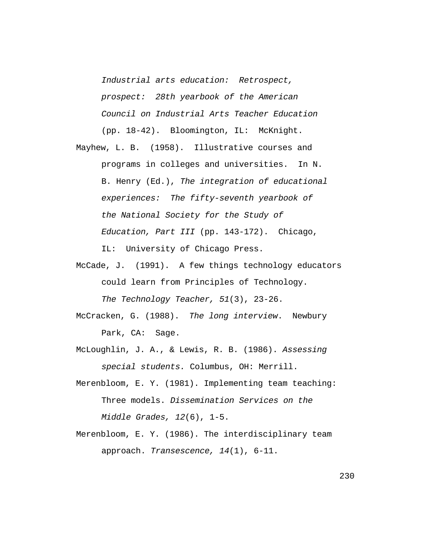Industrial arts education: Retrospect, prospect: 28th yearbook of the American Council on Industrial Arts Teacher Education (pp. 18-42). Bloomington, IL: McKnight.

Mayhew, L. B. (1958). Illustrative courses and programs in colleges and universities. In N. B. Henry (Ed.), The integration of educational experiences: The fifty-seventh yearbook of the National Society for the Study of Education, Part III (pp. 143-172). Chicago, IL: University of Chicago Press.

- McCade, J. (1991). A few things technology educators could learn from Principles of Technology. The Technology Teacher, 51(3), 23-26.
- McCracken, G. (1988). The long interview. Newbury Park, CA: Sage.
- McLoughlin, J. A., & Lewis, R. B. (1986). Assessing special students. Columbus, OH: Merrill.
- Merenbloom, E. Y. (1981). Implementing team teaching: Three models. Dissemination Services on the Middle Grades, 12(6), 1-5.
- Merenbloom, E. Y. (1986). The interdisciplinary team approach. Transescence, 14(1), 6-11.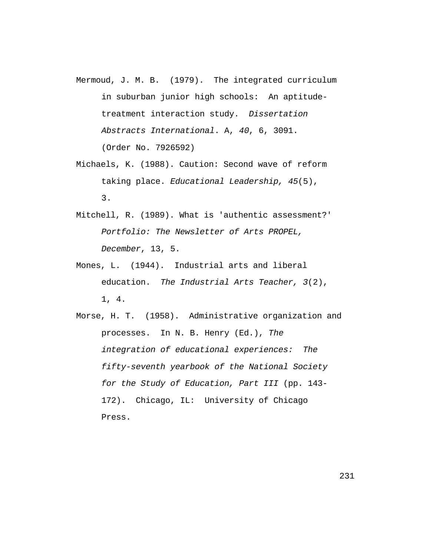- Mermoud, J. M. B. (1979). The integrated curriculum in suburban junior high schools: An aptitudetreatment interaction study. Dissertation Abstracts International. A, 40, 6, 3091. (Order No. 7926592)
- Michaels, K. (1988). Caution: Second wave of reform taking place. Educational Leadership, 45(5), 3.
- Mitchell, R. (1989). What is 'authentic assessment?' Portfolio: The Newsletter of Arts PROPEL, December, 13, 5.
- Mones, L. (1944). Industrial arts and liberal education. The Industrial Arts Teacher, 3(2), 1, 4.
- Morse, H. T. (1958). Administrative organization and processes. In N. B. Henry (Ed.), The integration of educational experiences: The fifty-seventh yearbook of the National Society for the Study of Education, Part III (pp. 143- 172). Chicago, IL: University of Chicago Press.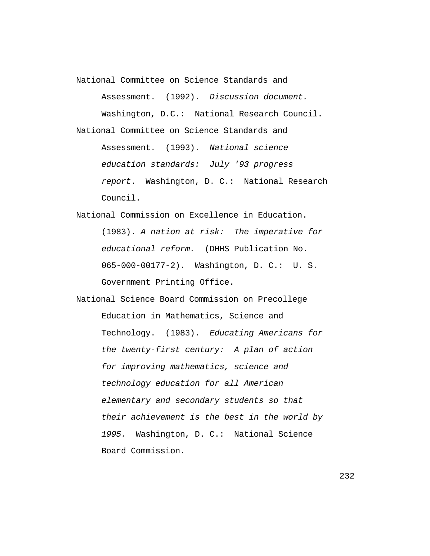National Committee on Science Standards and

Assessment. (1992). Discussion document. Washington, D.C.: National Research Council. National Committee on Science Standards and Assessment. (1993). National science education standards: July '93 progress report. Washington, D. C.: National Research Council.

National Commission on Excellence in Education. (1983). A nation at risk: The imperative for educational reform. (DHHS Publication No. 065-000-00177-2). Washington, D. C.: U. S. Government Printing Office.

National Science Board Commission on Precollege Education in Mathematics, Science and Technology. (1983). Educating Americans for the twenty-first century: A plan of action for improving mathematics, science and technology education for all American elementary and secondary students so that their achievement is the best in the world by 1995. Washington, D. C.: National Science Board Commission.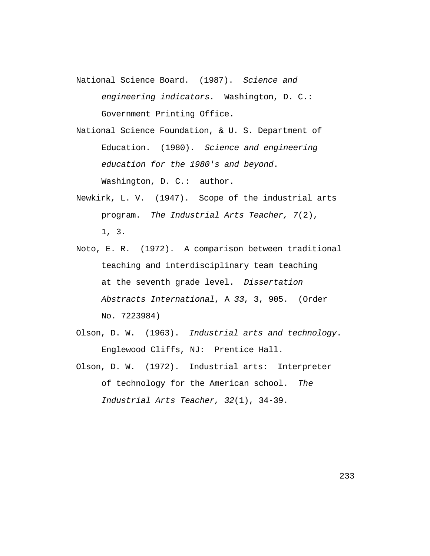- National Science Board. (1987). Science and engineering indicators. Washington, D. C.: Government Printing Office.
- National Science Foundation, & U. S. Department of Education. (1980). Science and engineering education for the 1980's and beyond. Washington, D. C.: author.
- Newkirk, L. V. (1947). Scope of the industrial arts program. The Industrial Arts Teacher, 7(2), 1, 3.
- Noto, E. R. (1972). A comparison between traditional teaching and interdisciplinary team teaching at the seventh grade level. Dissertation Abstracts International, A 33, 3, 905. (Order No. 7223984)
- Olson, D. W. (1963). Industrial arts and technology. Englewood Cliffs, NJ: Prentice Hall.
- Olson, D. W. (1972). Industrial arts: Interpreter of technology for the American school. The Industrial Arts Teacher, 32(1), 34-39.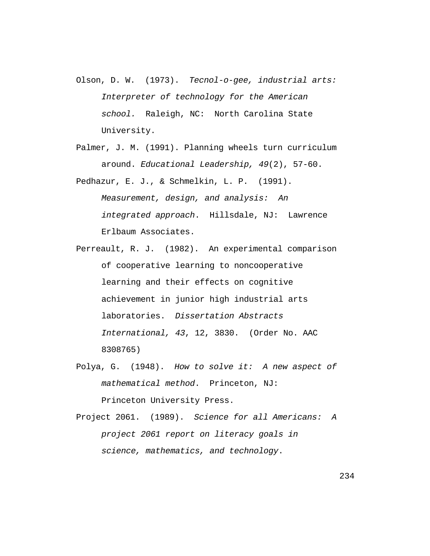- Olson, D. W. (1973). Tecnol-o-gee, industrial arts: Interpreter of technology for the American school. Raleigh, NC: North Carolina State University.
- Palmer, J. M. (1991). Planning wheels turn curriculum around. Educational Leadership, 49(2), 57-60.
- Pedhazur, E. J., & Schmelkin, L. P. (1991). Measurement, design, and analysis: An integrated approach. Hillsdale, NJ: Lawrence Erlbaum Associates.
- Perreault, R. J. (1982). An experimental comparison of cooperative learning to noncooperative learning and their effects on cognitive achievement in junior high industrial arts laboratories. Dissertation Abstracts International, 43, 12, 3830. (Order No. AAC 8308765)
- Polya, G. (1948). How to solve it: A new aspect of mathematical method. Princeton, NJ: Princeton University Press.
- Project 2061. (1989). Science for all Americans: A project 2061 report on literacy goals in science, mathematics, and technology.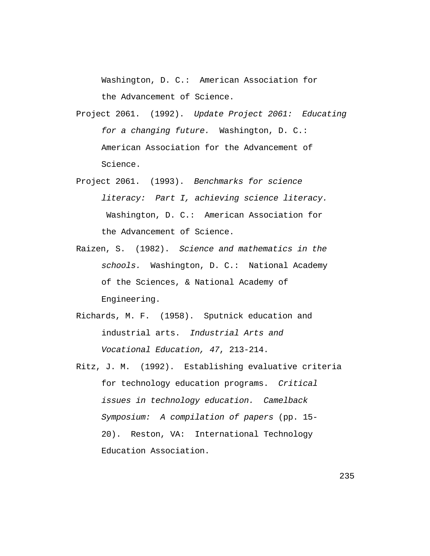Washington, D. C.: American Association for the Advancement of Science.

Project 2061. (1992). Update Project 2061: Educating for a changing future. Washington, D. C.: American Association for the Advancement of Science.

- Project 2061. (1993). Benchmarks for science literacy: Part I, achieving science literacy. Washington, D. C.: American Association for the Advancement of Science.
- Raizen, S. (1982). Science and mathematics in the schools. Washington, D. C.: National Academy of the Sciences, & National Academy of Engineering.
- Richards, M. F. (1958). Sputnick education and industrial arts. Industrial Arts and Vocational Education, 47, 213-214.
- Ritz, J. M. (1992). Establishing evaluative criteria for technology education programs. Critical issues in technology education. Camelback Symposium: A compilation of papers (pp. 15- 20). Reston, VA: International Technology Education Association.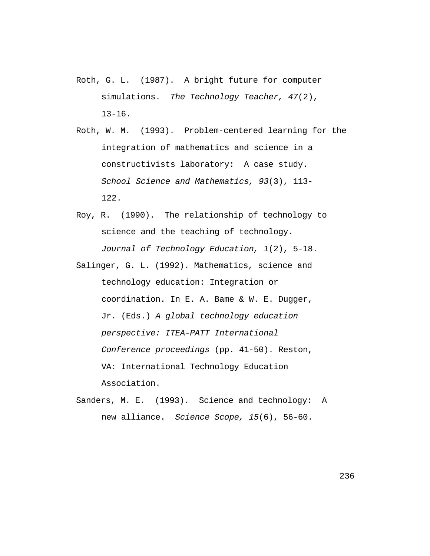- Roth, G. L. (1987). A bright future for computer simulations. The Technology Teacher, 47(2),  $13 - 16$ .
- Roth, W. M. (1993). Problem-centered learning for the integration of mathematics and science in a constructivists laboratory: A case study. School Science and Mathematics, 93(3), 113- 122.
- Roy, R. (1990). The relationship of technology to science and the teaching of technology. Journal of Technology Education, 1(2), 5-18.
- Salinger, G. L. (1992). Mathematics, science and technology education: Integration or coordination. In E. A. Bame & W. E. Dugger, Jr. (Eds.) A global technology education perspective: ITEA-PATT International Conference proceedings (pp. 41-50). Reston, VA: International Technology Education Association.
- Sanders, M. E. (1993). Science and technology: A new alliance. Science Scope, 15(6), 56-60.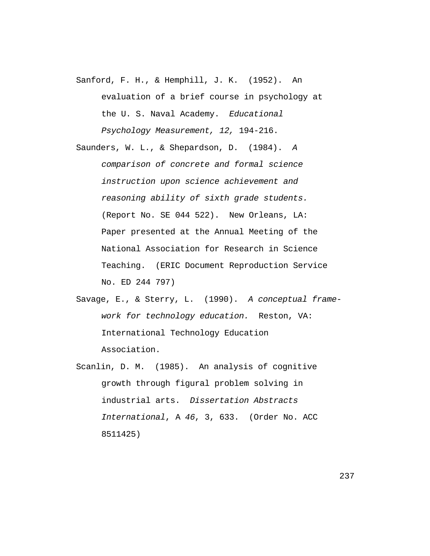- Sanford, F. H., & Hemphill, J. K. (1952). An evaluation of a brief course in psychology at the U. S. Naval Academy. Educational Psychology Measurement, 12, 194-216.
- Saunders, W. L., & Shepardson, D. (1984). A comparison of concrete and formal science instruction upon science achievement and reasoning ability of sixth grade students. (Report No. SE 044 522). New Orleans, LA: Paper presented at the Annual Meeting of the National Association for Research in Science Teaching. (ERIC Document Reproduction Service No. ED 244 797)
- Savage, E., & Sterry, L. (1990). A conceptual framework for technology education. Reston, VA: International Technology Education Association.
- Scanlin, D. M. (1985). An analysis of cognitive growth through figural problem solving in industrial arts. Dissertation Abstracts International, A 46, 3, 633. (Order No. ACC 8511425)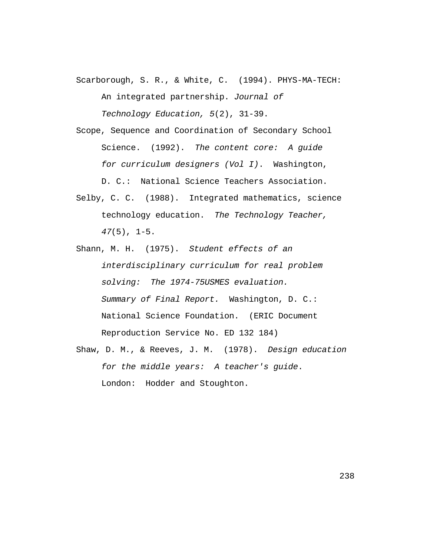Scarborough, S. R., & White, C. (1994). PHYS-MA-TECH:

An integrated partnership. Journal of

Technology Education, 5(2), 31-39.

- Scope, Sequence and Coordination of Secondary School Science. (1992). The content core: A quide for curriculum designers (Vol I). Washington, D. C.: National Science Teachers Association.
- Selby, C. C. (1988). Integrated mathematics, science technology education. The Technology Teacher,  $47(5)$ ,  $1-5$ .
- Shann, M. H. (1975). Student effects of an interdisciplinary curriculum for real problem solving: The 1974-75USMES evaluation. Summary of Final Report. Washington, D. C.: National Science Foundation. (ERIC Document Reproduction Service No. ED 132 184)
- Shaw, D. M., & Reeves, J. M. (1978). Design education for the middle years: A teacher's guide. London: Hodder and Stoughton.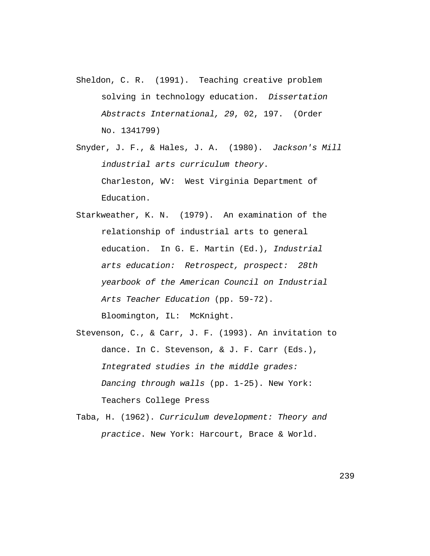- Sheldon, C. R. (1991). Teaching creative problem solving in technology education. Dissertation Abstracts International, 29, 02, 197. (Order No. 1341799)
- Snyder, J. F., & Hales, J. A. (1980). Jackson's Mill industrial arts curriculum theory. Charleston, WV: West Virginia Department of Education.
- Starkweather, K. N. (1979). An examination of the relationship of industrial arts to general education. In G. E. Martin (Ed.), Industrial arts education: Retrospect, prospect: 28th yearbook of the American Council on Industrial Arts Teacher Education (pp. 59-72). Bloomington, IL: McKnight.
- Stevenson, C., & Carr, J. F. (1993). An invitation to dance. In C. Stevenson, & J. F. Carr (Eds.), Integrated studies in the middle grades: Dancing through walls (pp. 1-25). New York: Teachers College Press
- Taba, H. (1962). Curriculum development: Theory and practice. New York: Harcourt, Brace & World.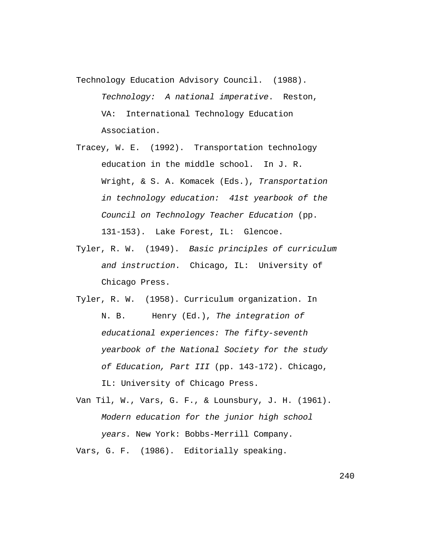Technology Education Advisory Council. (1988). Technology: A national imperative. Reston, VA: International Technology Education Association.

- Tracey, W. E. (1992). Transportation technology education in the middle school. In J. R. Wright, & S. A. Komacek (Eds.), Transportation in technology education: 41st yearbook of the Council on Technology Teacher Education (pp. 131-153). Lake Forest, IL: Glencoe.
- Tyler, R. W. (1949). Basic principles of curriculum and instruction. Chicago, IL: University of Chicago Press.
- Tyler, R. W. (1958). Curriculum organization. In N. B. Henry (Ed.), The integration of educational experiences: The fifty-seventh yearbook of the National Society for the study of Education, Part III (pp. 143-172). Chicago, IL: University of Chicago Press.
- Van Til, W., Vars, G. F., & Lounsbury, J. H. (1961). Modern education for the junior high school years. New York: Bobbs-Merrill Company.

Vars, G. F. (1986). Editorially speaking.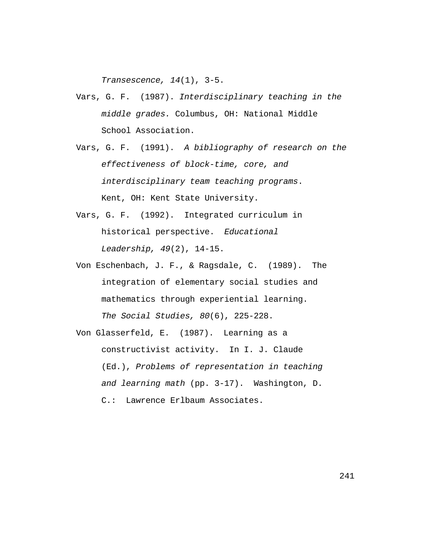Transescence, 14(1), 3-5.

- Vars, G. F. (1987). Interdisciplinary teaching in the middle grades. Columbus, OH: National Middle School Association.
- Vars, G. F. (1991). A bibliography of research on the effectiveness of block-time, core, and interdisciplinary team teaching programs. Kent, OH: Kent State University.
- Vars, G. F. (1992). Integrated curriculum in historical perspective. Educational Leadership, 49(2), 14-15.
- Von Eschenbach, J. F., & Ragsdale, C. (1989). The integration of elementary social studies and mathematics through experiential learning. The Social Studies, 80(6), 225-228.
- Von Glasserfeld, E. (1987). Learning as a constructivist activity. In I. J. Claude (Ed.), Problems of representation in teaching and learning math (pp. 3-17). Washington, D. C.: Lawrence Erlbaum Associates.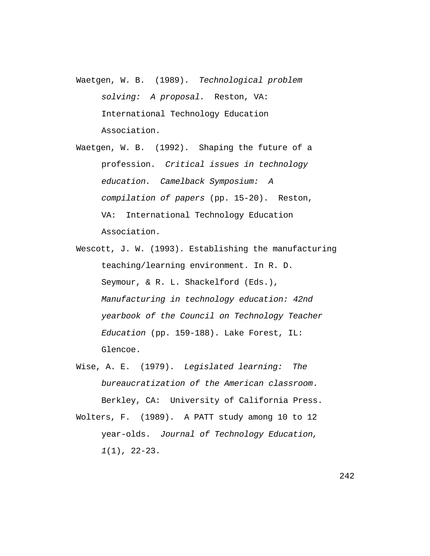- Waetgen, W. B. (1989). Technological problem solving: A proposal. Reston, VA: International Technology Education Association.
- Waetgen, W. B. (1992). Shaping the future of a profession. Critical issues in technology education. Camelback Symposium: A compilation of papers (pp. 15-20). Reston, VA: International Technology Education Association.
- Wescott, J. W. (1993). Establishing the manufacturing teaching/learning environment. In R. D. Seymour, & R. L. Shackelford (Eds.), Manufacturing in technology education: 42nd yearbook of the Council on Technology Teacher Education (pp. 159-188). Lake Forest, IL: Glencoe.
- Wise, A. E. (1979). Legislated learning: The bureaucratization of the American classroom. Berkley, CA: University of California Press.
- Wolters, F. (1989). A PATT study among 10 to 12 year-olds. Journal of Technology Education, 1(1), 22-23.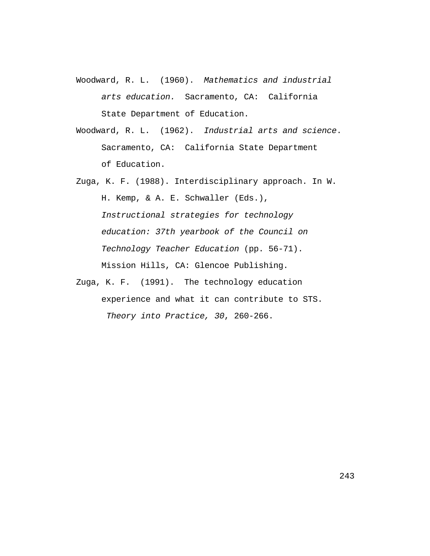- Woodward, R. L. (1960). Mathematics and industrial arts education. Sacramento, CA: California State Department of Education.
- Woodward, R. L. (1962). Industrial arts and science. Sacramento, CA: California State Department of Education.
- Zuga, K. F. (1988). Interdisciplinary approach. In W. H. Kemp, & A. E. Schwaller (Eds.), Instructional strategies for technology education: 37th yearbook of the Council on Technology Teacher Education (pp. 56-71). Mission Hills, CA: Glencoe Publishing.
- Zuga, K. F. (1991). The technology education experience and what it can contribute to STS. Theory into Practice, 30, 260-266.